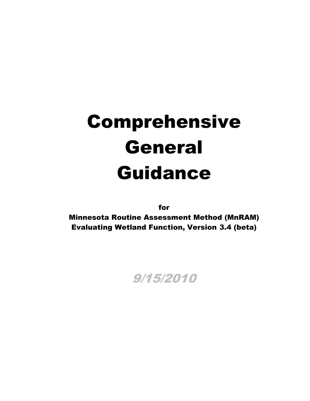# Comprehensive General Guidance

for

Minnesota Routine Assessment Method (MnRAM) Evaluating Wetland Function, Version 3.4 (beta)

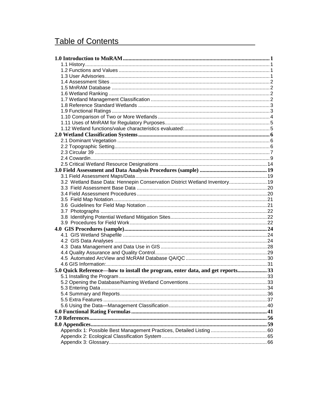# Table of Contents

| 3.2 Wetland Base Data: Hennepin Conservation District Wetland Inventory 19    |  |
|-------------------------------------------------------------------------------|--|
|                                                                               |  |
|                                                                               |  |
|                                                                               |  |
|                                                                               |  |
|                                                                               |  |
|                                                                               |  |
|                                                                               |  |
|                                                                               |  |
|                                                                               |  |
|                                                                               |  |
|                                                                               |  |
|                                                                               |  |
|                                                                               |  |
|                                                                               |  |
| 5.0 Quick Reference—how to install the program, enter data, and get reports33 |  |
|                                                                               |  |
|                                                                               |  |
|                                                                               |  |
|                                                                               |  |
|                                                                               |  |
|                                                                               |  |
|                                                                               |  |
|                                                                               |  |
|                                                                               |  |
|                                                                               |  |
|                                                                               |  |
|                                                                               |  |
|                                                                               |  |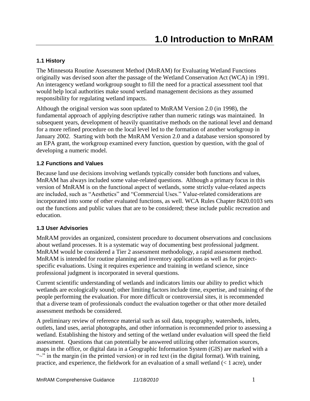## <span id="page-2-1"></span><span id="page-2-0"></span>**1.1 History**

The Minnesota Routine Assessment Method (MnRAM) for Evaluating Wetland Functions originally was devised soon after the passage of the Wetland Conservation Act (WCA) in 1991. An interagency wetland workgroup sought to fill the need for a practical assessment tool that would help local authorities make sound wetland management decisions as they assumed responsibility for regulating wetland impacts.

Although the original version was soon updated to MnRAM Version 2.0 (in 1998), the fundamental approach of applying descriptive rather than numeric ratings was maintained. In subsequent years, development of heavily quantitative methods on the national level and demand for a more refined procedure on the local level led to the formation of another workgroup in January 2002. Starting with both the MnRAM Version 2.0 and a database version sponsored by an EPA grant, the workgroup examined every function, question by question, with the goal of developing a numeric model.

## <span id="page-2-2"></span>**1.2 Functions and Values**

Because land use decisions involving wetlands typically consider both functions and values, MnRAM has always included some value-related questions. Although a primary focus in this version of MnRAM is on the functional aspect of wetlands, some strictly value-related aspects are included, such as "Aesthetics" and "Commercial Uses." Value-related considerations are incorporated into some of other evaluated functions, as well. WCA Rules Chapter 8420.0103 sets out the functions and public values that are to be considered; these include public recreation and education.

## <span id="page-2-3"></span>**1.3 User Advisories**

MnRAM provides an organized, consistent procedure to document observations and conclusions about wetland processes. It is a systematic way of documenting best professional judgment. MnRAM would be considered a Tier 2 assessment methodology, a rapid assessment method. MnRAM is intended for routine planning and inventory applications as well as for projectspecific evaluations. Using it requires experience and training in wetland science, since professional judgment is incorporated in several questions.

Current scientific understanding of wetlands and indicators limits our ability to predict which wetlands are ecologically sound; other limiting factors include time, expertise, and training of the people performing the evaluation. For more difficult or controversial sites, it is recommended that a diverse team of professionals conduct the evaluation together or that other more detailed assessment methods be considered.

A preliminary review of reference material such as soil data, topography, watersheds, inlets, outlets, land uses, aerial photographs, and other information is recommended prior to assessing a wetland. Establishing the history and setting of the wetland under evaluation will speed the field assessment. Questions that can potentially be answered utilizing other information sources, maps in the office, or digital data in a Geographic Information System (GIS) are marked with a " $\sim$ " in the margin (in the printed version) or in red text (in the digital format). With training, practice, and experience, the fieldwork for an evaluation of a small wetland  $($   $1$  acre), under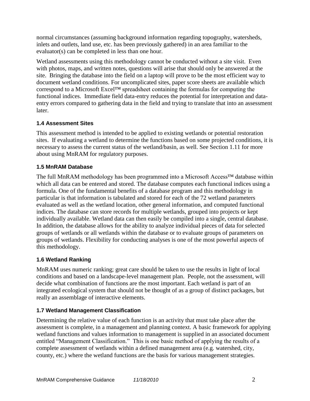normal circumstances (assuming background information regarding topography, watersheds, inlets and outlets, land use, etc. has been previously gathered) in an area familiar to the evaluator(s) can be completed in less than one hour.

Wetland assessments using this methodology cannot be conducted without a site visit. Even with photos, maps, and written notes, questions will arise that should only be answered at the site. Bringing the database into the field on a laptop will prove to be the most efficient way to document wetland conditions. For uncomplicated sites, paper score sheets are available which correspond to a Microsoft Excel™ spreadsheet containing the formulas for computing the functional indices. Immediate field data-entry reduces the potential for interpretation and dataentry errors compared to gathering data in the field and trying to translate that into an assessment later.

## <span id="page-3-0"></span>**1.4 Assessment Sites**

This assessment method is intended to be applied to existing wetlands or potential restoration sites. If evaluating a wetland to determine the functions based on some projected conditions, it is necessary to assess the current status of the wetland/basin, as well. See Section 1.11 for more about using MnRAM for regulatory purposes.

## <span id="page-3-1"></span>**1.5 MnRAM Database**

The full MnRAM methodology has been programmed into a Microsoft Access<sup>™</sup> database within which all data can be entered and stored. The database computes each functional indices using a formula. One of the fundamental benefits of a database program and this methodology in particular is that information is tabulated and stored for each of the 72 wetland parameters evaluated as well as the wetland location, other general information, and computed functional indices. The database can store records for multiple wetlands, grouped into projects or kept individually available. Wetland data can then easily be compiled into a single, central database. In addition, the database allows for the ability to analyze individual pieces of data for selected groups of wetlands or all wetlands within the database or to evaluate groups of parameters on groups of wetlands. Flexibility for conducting analyses is one of the most powerful aspects of this methodology.

## <span id="page-3-2"></span>**1.6 Wetland Ranking**

MnRAM uses numeric ranking; great care should be taken to use the results in light of local conditions and based on a landscape-level management plan. People, not the assessment, will decide what combination of functions are the most important. Each wetland is part of an integrated ecological system that should not be thought of as a group of distinct packages, but really an assemblage of interactive elements.

## <span id="page-3-3"></span>**1.7 Wetland Management Classification**

Determining the relative value of each function is an activity that must take place after the assessment is complete, in a management and planning context. A basic framework for applying wetland functions and values information to management is supplied in an associated document entitled "Management Classification." This is one basic method of applying the results of a complete assessment of wetlands within a defined management area (e.g. watershed, city, county, etc.) where the wetland functions are the basis for various management strategies.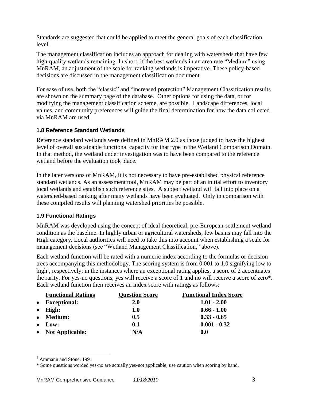Standards are suggested that could be applied to meet the general goals of each classification level.

The management classification includes an approach for dealing with watersheds that have few high-quality wetlands remaining. In short, if the best wetlands in an area rate "Medium" using MnRAM, an adjustment of the scale for ranking wetlands is imperative. These policy-based decisions are discussed in the management classification document.

For ease of use, both the "classic" and "increased protection" Management Classification results are shown on the summary page of the database. Other options for using the data, or for modifying the management classification scheme, are possible. Landscape differences, local values, and community preferences will guide the final determination for how the data collected via MnRAM are used.

## <span id="page-4-0"></span>**1.8 Reference Standard Wetlands**

Reference standard wetlands were defined in MnRAM 2.0 as those judged to have the highest level of overall sustainable functional capacity for that type in the Wetland Comparison Domain. In that method, the wetland under investigation was to have been compared to the reference wetland before the evaluation took place.

In the later versions of MnRAM, it is not necessary to have pre-established physical reference standard wetlands. As an assessment tool, MnRAM may be part of an initial effort to inventory local wetlands and establish such reference sites. A subject wetland will fall into place on a watershed-based ranking after many wetlands have been evaluated. Only in comparison with these compiled results will planning watershed priorities be possible.

## <span id="page-4-1"></span>**1.9 Functional Ratings**

MnRAM was developed using the concept of ideal theoretical, pre-European-settlement wetland condition as the baseline. In highly urban or agricultural watersheds, few basins may fall into the High category. Local authorities will need to take this into account when establishing a scale for management decisions (see "Wetland Management Classification," above).

Each wetland function will be rated with a numeric index according to the formulas or decision trees accompanying this methodology. The scoring system is from 0.001 to 1.0 signifying low to high<sup>1</sup>, respectively; in the instances where an exceptional rating applies, a score of 2 accentuates the rarity. For yes-no questions, yes will receive a score of 1 and no will receive a score of zero\*. Each wetland function then receives an index score with ratings as follows:

| <b>Functional Ratings</b> | <b>Question Score</b> | <b>Functional Index Score</b> |
|---------------------------|-----------------------|-------------------------------|
| • Exceptional:            | <b>2.0</b>            | $1.01 - 2.00$                 |
| $\bullet$ High:           | <b>1.0</b>            | $0.66 - 1.00$                 |
| • Medium:                 | 0.5                   | $0.33 - 0.65$                 |
| $\bullet$ Low:            | 0.1                   | $0.001 - 0.32$                |
| • Not Applicable:         | N/A                   | 0.0                           |

 $<sup>1</sup>$  Ammann and Stone, 1991</sup>

<sup>\*</sup> Some questions worded yes-no are actually yes-not applicable; use caution when scoring by hand.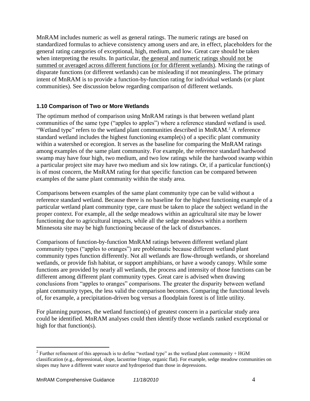MnRAM includes numeric as well as general ratings. The numeric ratings are based on standardized formulas to achieve consistency among users and are, in effect, placeholders for the general rating categories of exceptional, high, medium, and low. Great care should be taken when interpreting the results. In particular, the general and numeric ratings should not be summed or averaged across different functions (or for different wetlands). Mixing the ratings of disparate functions (or different wetlands) can be misleading if not meaningless. The primary intent of MnRAM is to provide a function-by-function rating for individual wetlands (or plant communities). See discussion below regarding comparison of different wetlands.

## <span id="page-5-0"></span>**1.10 Comparison of Two or More Wetlands**

The optimum method of comparison using MnRAM ratings is that between wetland plant communities of the same type ("apples to apples") where a reference standard wetland is used. "Wetland type" refers to the wetland plant communities described in MnRAM.<sup>2</sup> A reference standard wetland includes the highest functioning example(s) of a specific plant community within a watershed or ecoregion. It serves as the baseline for comparing the MnRAM ratings among examples of the same plant community. For example, the reference standard hardwood swamp may have four high, two medium, and two low ratings while the hardwood swamp within a particular project site may have two medium and six low ratings. Or, if a particular function(s) is of most concern, the MnRAM rating for that specific function can be compared between examples of the same plant community within the study area.

Comparisons between examples of the same plant community type can be valid without a reference standard wetland. Because there is no baseline for the highest functioning example of a particular wetland plant community type, care must be taken to place the subject wetland in the proper context. For example, all the sedge meadows within an agricultural site may be lower functioning due to agricultural impacts, while all the sedge meadows within a northern Minnesota site may be high functioning because of the lack of disturbances.

Comparisons of function-by-function MnRAM ratings between different wetland plant community types ("apples to oranges") are problematic because different wetland plant community types function differently. Not all wetlands are flow-through wetlands, or shoreland wetlands, or provide fish habitat, or support amphibians, or have a woody canopy. While some functions are provided by nearly all wetlands, the process and intensity of those functions can be different among different plant community types. Great care is advised when drawing conclusions from "apples to oranges" comparisons. The greater the disparity between wetland plant community types, the less valid the comparison becomes. Comparing the functional levels of, for example, a precipitation-driven bog versus a floodplain forest is of little utility.

For planning purposes, the wetland function(s) of greatest concern in a particular study area could be identified. MnRAM analyses could then identify those wetlands ranked exceptional or high for that function(s).

<sup>&</sup>lt;sup>2</sup> Further refinement of this approach is to define "wetland type" as the wetland plant community + HGM classification (e.g., depressional, slope, lacustrine fringe, organic flat). For example, sedge meadow communities on slopes may have a different water source and hydroperiod than those in depressions.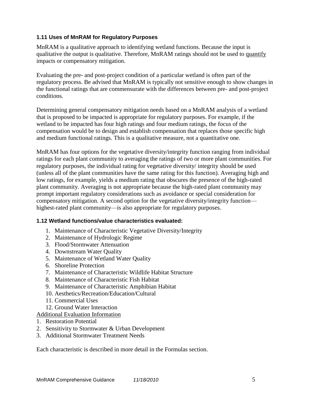## <span id="page-6-0"></span>**1.11 Uses of MnRAM for Regulatory Purposes**

MnRAM is a qualitative approach to identifying wetland functions. Because the input is qualitative the output is qualitative. Therefore, MnRAM ratings should not be used to quantify impacts or compensatory mitigation.

Evaluating the pre- and post-project condition of a particular wetland is often part of the regulatory process. Be advised that MnRAM is typically not sensitive enough to show changes in the functional ratings that are commensurate with the differences between pre- and post-project conditions.

Determining general compensatory mitigation needs based on a MnRAM analysis of a wetland that is proposed to be impacted is appropriate for regulatory purposes. For example, if the wetland to be impacted has four high ratings and four medium ratings, the focus of the compensation would be to design and establish compensation that replaces those specific high and medium functional ratings. This is a qualitative measure, not a quantitative one.

MnRAM has four options for the vegetative diversity/integrity function ranging from individual ratings for each plant community to averaging the ratings of two or more plant communities. For regulatory purposes, the individual rating for vegetative diversity/ integrity should be used (unless all of the plant communities have the same rating for this function). Averaging high and low ratings, for example, yields a medium rating that obscures the presence of the high-rated plant community. Averaging is not appropriate because the high-rated plant community may prompt important regulatory considerations such as avoidance or special consideration for compensatory mitigation. A second option for the vegetative diversity/integrity function highest-rated plant community—is also appropriate for regulatory purposes.

#### <span id="page-6-1"></span>**1.12 Wetland functions/value characteristics evaluated:**

- 1. Maintenance of Characteristic Vegetative Diversity/Integrity
- 2. Maintenance of Hydrologic Regime
- 3. Flood/Stormwater Attenuation
- 4. Downstream Water Quality
- 5. Maintenance of Wetland Water Quality
- 6. Shoreline Protection
- 7. Maintenance of Characteristic Wildlife Habitat Structure
- 8. Maintenance of Characteristic Fish Habitat
- 9. Maintenance of Characteristic Amphibian Habitat
- 10. Aesthetics/Recreation/Education/Cultural
- 11. Commercial Uses
- 12. Ground Water Interaction

#### Additional Evaluation Information

- 1. Restoration Potential
- 2. Sensitivity to Stormwater & Urban Development
- 3. Additional Stormwater Treatment Needs

Each characteristic is described in more detail in the Formulas section.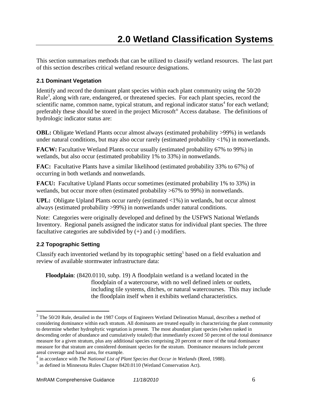<span id="page-7-0"></span>This section summarizes methods that can be utilized to classify wetland resources. The last part of this section describes critical wetland resource designations.

## <span id="page-7-1"></span>**2.1 Dominant Vegetation**

Identify and record the dominant plant species within each plant community using the 50/20 Rule<sup>3</sup>, along with rare, endangered, or threatened species. For each plant species, record the scientific name, common name, typical stratum, and regional indicator status<sup>4</sup> for each wetland; preferably these should be stored in the project Microsoft® Access database. The definitions of hydrologic indicator status are:

**OBL:** Obligate Wetland Plants occur almost always (estimated probability >99%) in wetlands under natural conditions, but may also occur rarely (estimated probability  $\langle 1\% \rangle$ ) in nonwetlands.

**FACW:** Facultative Wetland Plants occur usually (estimated probability 67% to 99%) in wetlands, but also occur (estimated probability 1% to 33%) in nonwetlands.

**FAC:** Facultative Plants have a similar likelihood (estimated probability 33% to 67%) of occurring in both wetlands and nonwetlands.

**FACU:** Facultative Upland Plants occur sometimes (estimated probability 1% to 33%) in wetlands, but occur more often (estimated probability >67% to 99%) in nonwetlands.

**UPL:** Obligate Upland Plants occur rarely (estimated <1%) in wetlands, but occur almost always (estimated probability >99%) in nonwetlands under natural conditions.

Note: Categories were originally developed and defined by the USFWS National Wetlands Inventory. Regional panels assigned the indicator status for individual plant species. The three facultative categories are subdivided by  $(+)$  and  $(-)$  modifiers.

## <span id="page-7-2"></span>**2.2 Topographic Setting**

 $\overline{a}$ 

Classify each inventoried wetland by its topographic setting<sup>5</sup> based on a field evaluation and review of available stormwater infrastructure data:

**Floodplain**: (8420.0110, subp. 19) A floodplain wetland is a wetland located in the floodplain of a watercourse, with no well defined inlets or outlets, including tile systems, ditches, or natural watercourses. This may include the floodplain itself when it exhibits wetland characteristics.

 $3$  The 50/20 Rule, detailed in the 1987 Corps of Engineers Wetland Delineation Manual, describes a method of considering dominance within each stratum. All dominants are treated equally in characterizing the plant community to determine whether hydrophytic vegetation is present. The most abundant plant species (when ranked in descending order of abundance and cumulatively totaled) that immediately exceed 50 percent of the total dominance measure for a given stratum, plus any additional species comprising 20 percent or more of the total dominance measure for that stratum are considered dominant species for the stratum. Dominance measures include percent areal coverage and basal area, for example.

<sup>4</sup> in accordance with *The National List of Plant Species that Occur in Wetlands* (Reed, 1988).

<sup>&</sup>lt;sup>5</sup> as defined in Minnesota Rules Chapter 8420.0110 (Wetland Conservation Act).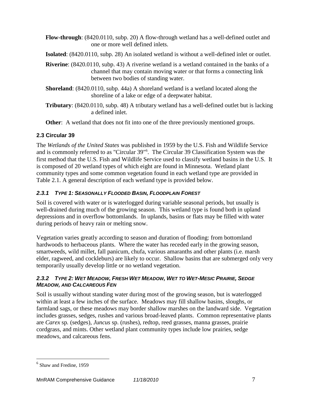- **Flow-through**: (8420.0110, subp. 20) A flow-through wetland has a well-defined outlet and one or more well defined inlets.
- **Isolated**: (8420.0110, subp. 28) An isolated wetland is without a well-defined inlet or outlet.
- **Riverine**: (8420.0110, subp. 43) A riverine wetland is a wetland contained in the banks of a channel that may contain moving water or that forms a connecting link between two bodies of standing water.
- **Shoreland**: (8420.0110, subp. 44a) A shoreland wetland is a wetland located along the shoreline of a lake or edge of a deepwater habitat.
- **Tributary**: (8420.0110, subp. 48) A tributary wetland has a well-defined outlet but is lacking a defined inlet.

**Other:** A wetland that does not fit into one of the three previously mentioned groups.

## <span id="page-8-0"></span>**2.3 Circular 39**

The *Wetlands of the United States* was published in 1959 by the U.S. Fish and Wildlife Service and is commonly referred to as "Circular 39"<sup>6</sup> . The Circular 39 Classification System was the first method that the U.S. Fish and Wildlife Service used to classify wetland basins in the U.S. It is composed of 20 wetland types of which eight are found in Minnesota. Wetland plant community types and some common vegetation found in each wetland type are provided in Table 2.1. A general description of each wetland type is provided below.

## *2.3.1 TYPE 1: SEASONALLY FLOODED BASIN, FLOODPLAIN FOREST*

Soil is covered with water or is waterlogged during variable seasonal periods, but usually is well-drained during much of the growing season. This wetland type is found both in upland depressions and in overflow bottomlands. In uplands, basins or flats may be filled with water during periods of heavy rain or melting snow.

Vegetation varies greatly according to season and duration of flooding: from bottomland hardwoods to herbaceous plants. Where the water has receded early in the growing season, smartweeds, wild millet, fall panicum, chufa, various amaranths and other plants (i.e. marsh elder, ragweed, and cockleburs) are likely to occur. Shallow basins that are submerged only very temporarily usually develop little or no wetland vegetation.

## 2.3.2 TYPE 2: WET MEADOW, FRESH WET MEADOW, WET TO WET-MESIC PRAIRIE, SEDGE *MEADOW, AND CALCAREOUS FEN*

Soil is usually without standing water during most of the growing season, but is waterlogged within at least a few inches of the surface. Meadows may fill shallow basins, sloughs, or farmland sags, or these meadows may border shallow marshes on the landward side. Vegetation includes grasses, sedges, rushes and various broad-leaved plants. Common representative plants are *Carex* sp*.* (sedges), *Juncus* sp. (rushes), redtop, reed grasses, manna grasses, prairie cordgrass, and mints. Other wetland plant community types include low prairies, sedge meadows, and calcareous fens.

<sup>6</sup> Shaw and Fredine, 1959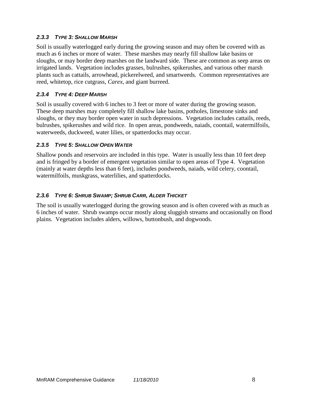## *2.3.3 TYPE 3: SHALLOW MARSH*

Soil is usually waterlogged early during the growing season and may often be covered with as much as 6 inches or more of water. These marshes may nearly fill shallow lake basins or sloughs, or may border deep marshes on the landward side. These are common as seep areas on irrigated lands. Vegetation includes grasses, bulrushes, spikerushes, and various other marsh plants such as cattails, arrowhead, pickerelweed, and smartweeds. Common representatives are reed, whitetop, rice cutgrass, *Carex*, and giant burreed.

## *2.3.4 TYPE 4: DEEP MARSH*

Soil is usually covered with 6 inches to 3 feet or more of water during the growing season. These deep marshes may completely fill shallow lake basins, potholes, limestone sinks and sloughs, or they may border open water in such depressions. Vegetation includes cattails, reeds, bulrushes, spikerushes and wild rice. In open areas, pondweeds, naiads, coontail, watermilfoils, waterweeds, duckweed, water lilies, or spatterdocks may occur.

#### *2.3.5 TYPE 5: SHALLOW OPEN WATER*

Shallow ponds and reservoirs are included in this type. Water is usually less than 10 feet deep and is fringed by a border of emergent vegetation similar to open areas of Type 4. Vegetation (mainly at water depths less than 6 feet), includes pondweeds, naiads, wild celery, coontail, watermilfoils, muskgrass, waterlilies, and spatterdocks.

## *2.3.6 TYPE 6: SHRUB SWAMP; SHRUB CARR, ALDER THICKET*

The soil is usually waterlogged during the growing season and is often covered with as much as 6 inches of water. Shrub swamps occur mostly along sluggish streams and occasionally on flood plains. Vegetation includes alders, willows, buttonbush, and dogwoods.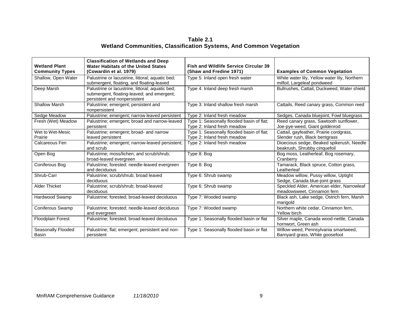## **Table 2.1 Wetland Communities, Classification Systems, And Common Vegetation**

| <b>Wetland Plant</b><br><b>Community Types</b> | <b>Classification of Wetlands and Deep</b><br><b>Water Habitats of the United States</b><br>(Cowardin et al. 1979)             | <b>Fish and Wildlife Service Circular 39</b><br>(Shaw and Fredine 1971)  | <b>Examples of Common Vegetation</b>                                         |
|------------------------------------------------|--------------------------------------------------------------------------------------------------------------------------------|--------------------------------------------------------------------------|------------------------------------------------------------------------------|
| Shallow, Open Water                            | Palustrine or lacustrine, littoral; aquatic bed;<br>submergent, floating, and floating-leaved                                  | Type 5: Inland open fresh water                                          | White water lily, Yellow water lily, Northern<br>milfoil, Largeleaf pondweed |
| Deep Marsh                                     | Palustrine or lacustrine, littoral; aquatic bed;<br>submergent, floating-leaved; and emergent;<br>persistent and nonpersistent | Type 4: Inland deep fresh marsh                                          | Bullrushes, Cattail, Duckweed, Water shield                                  |
| <b>Shallow Marsh</b>                           | Palustrine; emergent; persistent and<br>nonpersistent                                                                          | Type 3: Inland shallow fresh marsh                                       | Cattails, Reed canary grass, Common reed                                     |
| Sedge Meadow                                   | Palustrine; emergent; narrow leaved persistent                                                                                 | Type 2: Inland fresh meadow                                              | Sedges, Canada bluejoint, Fowl bluegrass                                     |
| Fresh (Wet) Meadow                             | Palustrine; emergent; broad and narrow-leaved<br>persistent                                                                    | Type 1: Seasonally flooded basin of flat;<br>Type 2: Inland fresh meadow | Reed canary grass, Sawtooth sunflower,<br>Joe-pye-weed, Giant goldenrod      |
| Wet to Wet-Mesic<br>Prairie                    | Palustrine; emergent; broad- and narrow<br>leaved persistent                                                                   | Type 1: Seasonally flooded basin of flat;<br>Type 2: Inland fresh meadow | Cattail, gayfeather, Prairie cordgrass,<br>Slender rush, Black bentgrass     |
| Calcareous Fen                                 | Palustrine; emergent; narrow-leaved persistent;<br>and scrub                                                                   | Type 2: Inland fresh meadow                                              | Dioecious sedge, Beaked spikerush, Needle<br>beakrush, Shrubby cinquefoil    |
| Open Bog                                       | Palustrine; moss/lichen; and scrub/shrub;<br>broad-leaved evergreen                                                            | Type 8: Bog                                                              | Bog moss, Leatherleaf, Bog rosemary,<br>Cranberry                            |
| Coniferous Bog                                 | Palustrine; forested: needle-leaved evergreen<br>and deciduous                                                                 | Type 8: Bog                                                              | Tamarack, Black spruce, Cotton grass,<br>Leatherleaf                         |
| Shrub-Carr                                     | Palustrine; scrub/shrub; broad leaved<br>deciduous                                                                             | Type 6: Shrub swamp                                                      | Meadow willow, Pussy willow, Uptight<br>Sedge, Canada blue-joint grass       |
| <b>Alder Thicket</b>                           | Palustrine; scrub/shrub; broad-leaved<br>deciduous                                                                             | Type 6: Shrub swamp                                                      | Speckled Alder, American elder, Narrowleaf<br>meadowsweet, Cinnamon fern     |
| Hardwood Swamp                                 | Palustrine; forested; broad-leaved deciduous                                                                                   | Type 7: Wooded swamp                                                     | Black ash, Lake sedge, Ostrich fern, Marsh<br>marigold                       |
| Coniferous Swamp                               | Palustrine; forested; needle-leaved deciduous<br>and evergreen                                                                 | Type 7: Wooded swamp                                                     | Northern white cedar, Cinnamon fern,<br>Yellow birch                         |
| <b>Floodplain Forest</b>                       | Palustrine; forested; broad-leaved deciduous                                                                                   | Type 1: Seasonally flooded basin or flat                                 | Silver maple, Canada wood-nettle, Canada<br>hornwort, Green ash              |
| Seasonally Flooded<br>Basin                    | Palustrine; flat; emergent; persistent and non-<br>persistent                                                                  | Type 1: Seasonally flooded basin or flat                                 | Willow-weed, Pennsylvania smartweed,<br>Barnyard grass, White goosefoot      |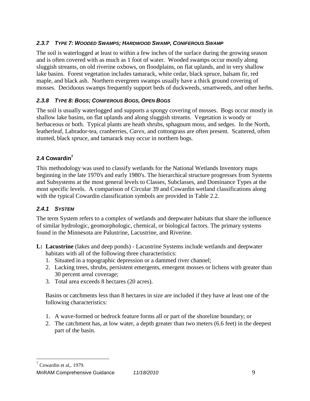## *2.3.7 TYPE 7: WOODED SWAMPS; HARDWOOD SWAMP, CONIFEROUS SWAMP*

The soil is waterlogged at least to within a few inches of the surface during the growing season and is often covered with as much as 1 foot of water. Wooded swamps occur mostly along sluggish streams, on old riverine oxbows, on floodplains, on flat uplands, and in very shallow lake basins. Forest vegetation includes tamarack, white cedar, black spruce, balsam fir, red maple, and black ash. Northern evergreen swamps usually have a thick ground covering of mosses. Deciduous swamps frequently support beds of duckweeds, smartweeds, and other herbs.

## *2.3.8 TYPE 8: BOGS; CONIFEROUS BOGS, OPEN BOGS*

The soil is usually waterlogged and supports a spongy covering of mosses. Bogs occur mostly in shallow lake basins, on flat uplands and along sluggish streams. Vegetation is woody or herbaceous or both. Typical plants are heath shrubs, sphagnum moss, and sedges. In the North, leatherleaf, Labrador-tea, cranberries, *Carex*, and cottongrass are often present. Scattered, often stunted, black spruce, and tamarack may occur in northern bogs.

## <span id="page-11-0"></span>**2.4 Cowardin<sup>7</sup>**

This methodology was used to classify wetlands for the National Wetlands Inventory maps beginning in the late 1970's and early 1980's. The hierarchical structure progresses from Systems and Subsystems at the most general levels to Classes, Subclasses, and Dominance Types at the most specific levels. A comparison of Circular 39 and Cowardin wetland classifications along with the typical Cowardin classification symbols are provided in Table 2.2.

## *2.4.1 SYSTEM*

The term System refers to a complex of wetlands and deepwater habitats that share the influence of similar hydrologic, geomorphologic, chemical, or biological factors. The primary systems found in the Minnesota are Palustrine, Lacustrine, and Riverine.

- **L: Lacustrine** (lakes and deep ponds) Lacustrine Systems include wetlands and deepwater habitats with all of the following three characteristics:
	- 1. Situated in a topographic depression or a dammed river channel;
	- 2. Lacking trees, shrubs, persistent emergents, emergent mosses or lichens with greater than 30 percent areal coverage;
	- 3. Total area exceeds 8 hectares (20 acres).

Basins or catchments less than 8 hectares in size are included if they have at least one of the following characteristics:

- 1. A wave-formed or bedrock feature forms all or part of the shoreline boundary; or
- 2. The catchment has, at low water, a depth greater than two meters (6.6 feet) in the deepest part of the basin.

 $7$  Cowardin et al,. 1979.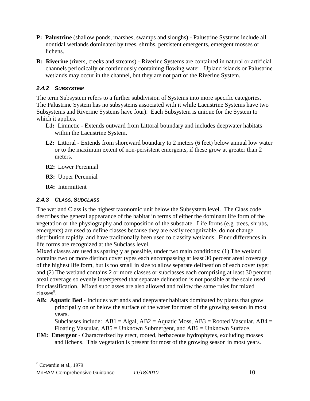- **P: Palustrine** (shallow ponds, marshes, swamps and sloughs) Palustrine Systems include all nontidal wetlands dominated by trees, shrubs, persistent emergents, emergent mosses or lichens.
- **R: Riverine** (rivers, creeks and streams) Riverine Systems are contained in natural or artificial channels periodically or continuously containing flowing water. Upland islands or Palustrine wetlands may occur in the channel, but they are not part of the Riverine System.

## *2.4.2 SUBSYSTEM*

The term Subsystem refers to a further subdivision of Systems into more specific categories. The Palustrine System has no subsystems associated with it while Lacustrine Systems have two Subsystems and Riverine Systems have four). Each Subsystem is unique for the System to which it applies.

- **L1:** Limnetic Extends outward from Littoral boundary and includes deepwater habitats within the Lacustrine System.
- **L2:** Littoral Extends from shoreward boundary to 2 meters (6 feet) below annual low water or to the maximum extent of non-persistent emergents, if these grow at greater than 2 meters.
- **R2:** Lower Perennial
- **R3:** Upper Perennial
- **R4:** Intermittent

## *2.4.3 CLASS, SUBCLASS*

The wetland Class is the highest taxonomic unit below the Subsystem level. The Class code describes the general appearance of the habitat in terms of either the dominant life form of the vegetation or the physiography and composition of the substrate. Life forms (e.g. trees, shrubs, emergents) are used to define classes because they are easily recognizable, do not change distribution rapidly, and have traditionally been used to classify wetlands. Finer differences in life forms are recognized at the Subclass level.

Mixed classes are used as sparingly as possible, under two main conditions: (1) The wetland contains two or more distinct cover types each encompassing at least 30 percent areal coverage of the highest life form, but is too small in size to allow separate delineation of each cover type; and (2) The wetland contains 2 or more classes or subclasses each comprising at least 30 percent areal coverage so evenly interspersed that separate delineation is not possible at the scale used for classification. Mixed subclasses are also allowed and follow the same rules for mixed classes<sup>8</sup>.

**AB: Aquatic Bed** - Includes wetlands and deepwater habitats dominated by plants that grow principally on or below the surface of the water for most of the growing season in most years.

Subclasses include:  $AB1 = Algal$ ,  $AB2 = Aquatic Moss$ ,  $AB3 = Rooted Vascular$ ,  $AB4 =$ Floating Vascular, AB5 = Unknown Submergent, and AB6 = Unknown Surface.

**EM: Emergent** - Characterized by erect, rooted, herbaceous hydrophytes, excluding mosses and lichens. This vegetation is present for most of the growing season in most years.

8 Cowardin et al., 1979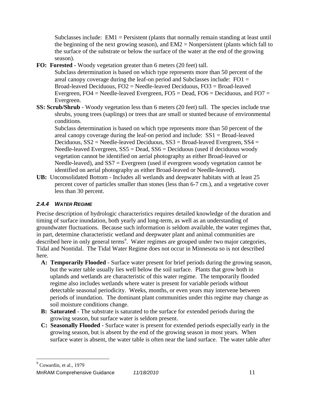Subclasses include: EM1 = Persistent (plants that normally remain standing at least until the beginning of the next growing season), and  $EM2 =$  Nonpersistent (plants which fall to the surface of the substrate or below the surface of the water at the end of the growing season).

**FO: Forested** - Woody vegetation greater than 6 meters (20 feet) tall.

Subclass determination is based on which type represents more than 50 percent of the areal canopy coverage during the leaf-on period and Subclasses include:  $FO1 =$ Broad-leaved Deciduous, FO2 = Needle-leaved Deciduous, FO3 = Broad-leaved Evergreen, FO4 = Needle-leaved Evergreen, FO5 = Dead, FO6 = Deciduous, and FO7 = Evergreen.

**SS: Scrub/Shrub** - Woody vegetation less than 6 meters (20 feet) tall. The species include true shrubs, young trees (saplings) or trees that are small or stunted because of environmental conditions.

Subclass determination is based on which type represents more than 50 percent of the areal canopy coverage during the leaf-on period and include: SS1 = Broad-leaved Deciduous,  $SS2 =$  Needle-leaved Deciduous,  $SS3 =$  Broad-leaved Evergreen,  $SS4 =$ Needle-leaved Evergreen, SS5 = Dead, SS6 = Deciduous (used if deciduous woody vegetation cannot be identified on aerial photography as either Broad-leaved or Needle-leaved), and SS7 = Evergreen (used if evergreen woody vegetation cannot be identified on aerial photography as either Broad-leaved or Needle-leaved).

**UB:** Unconsolidated Bottom - Includes all wetlands and deepwater habitats with at least 25 percent cover of particles smaller than stones (less than 6-7 cm.), and a vegetative cover less than 30 percent.

## *2.4.4 WATER REGIME*

 $\overline{a}$ 

Precise description of hydrologic characteristics requires detailed knowledge of the duration and timing of surface inundation, both yearly and long-term, as well as an understanding of groundwater fluctuations. Because such information is seldom available, the water regimes that, in part, determine characteristic wetland and deepwater plant and animal communities are described here in only general terms<sup>9</sup>. Water regimes are grouped under two major categories, Tidal and Nontidal. The Tidal Water Regime does not occur in Minnesota so is not described here.

- **A: Temporarily Flooded** Surface water present for brief periods during the growing season, but the water table usually lies well below the soil surface. Plants that grow both in uplands and wetlands are characteristic of this water regime. The temporarily flooded regime also includes wetlands where water is present for variable periods without detectable seasonal periodicity. Weeks, months, or even years may intervene between periods of inundation. The dominant plant communities under this regime may change as soil moisture conditions change.
- **B: Saturated** The substrate is saturated to the surface for extended periods during the growing season, but surface water is seldom present.
- **C: Seasonally Flooded** Surface water is present for extended periods especially early in the growing season, but is absent by the end of the growing season in most years. When surface water is absent, the water table is often near the land surface. The water table after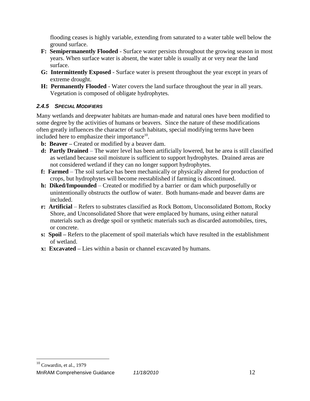flooding ceases is highly variable, extending from saturated to a water table well below the ground surface.

- **F: Semipermanently Flooded** Surface water persists throughout the growing season in most years. When surface water is absent, the water table is usually at or very near the land surface.
- **G: Intermittently Exposed** Surface water is present throughout the year except in years of extreme drought.
- **H: Permanently Flooded** Water covers the land surface throughout the year in all years. Vegetation is composed of obligate hydrophytes.

## *2.4.5 SPECIAL MODIFIERS*

Many wetlands and deepwater habitats are human-made and natural ones have been modified to some degree by the activities of humans or beavers. Since the nature of these modifications often greatly influences the character of such habitats, special modifying terms have been included here to emphasize their importance $10$ .

- **b: Beaver –** Created or modified by a beaver dam.
- **d: Partly Drained**  The water level has been artificially lowered, but he area is still classified as wetland because soil moisture is sufficient to support hydrophytes. Drained areas are not considered wetland if they can no longer support hydrophytes.
- **f: Farmed** The soil surface has been mechanically or physically altered for production of crops, but hydrophytes will become reestablished if farming is discontinued.
- **h: Diked/Impounded** Created or modified by a barrier or dam which purposefully or unintentionally obstructs the outflow of water. Both humans-made and beaver dams are included.
- **r: Artificial** Refers to substrates classified as Rock Bottom, Unconsolidated Bottom, Rocky Shore, and Unconsolidated Shore that were emplaced by humans, using either natural materials such as dredge spoil or synthetic materials such as discarded automobiles, tires, or concrete.
- **s: Spoil –** Refers to the placement of spoil materials which have resulted in the establishment of wetland.
- **x: Excavated –** Lies within a basin or channel excavated by humans.

 $10$  Cowardin, et al., 1979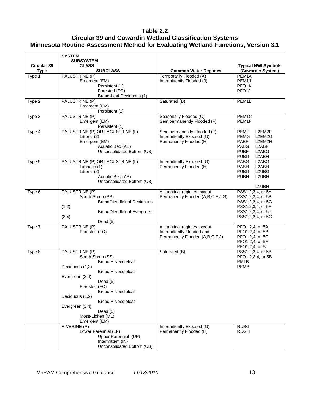## **Table 2.2 Circular 39 and Cowardin Wetland Classification Systems Minnesota Routine Assessment Method for Evaluating Wetland Functions, Version 3.1**

|                    | <b>SYSTEM</b>                                                                                                                                                                                                                                                                          |                                                                                              |                                                                                                                                          |
|--------------------|----------------------------------------------------------------------------------------------------------------------------------------------------------------------------------------------------------------------------------------------------------------------------------------|----------------------------------------------------------------------------------------------|------------------------------------------------------------------------------------------------------------------------------------------|
| <b>Circular 39</b> | <b>SUBSYSTEM</b><br><b>CLASS</b>                                                                                                                                                                                                                                                       |                                                                                              | <b>Typical NWI Symbols</b>                                                                                                               |
| <b>Type</b>        | <b>SUBCLASS</b>                                                                                                                                                                                                                                                                        | <b>Common Water Regimes</b>                                                                  | (Cowardin System)                                                                                                                        |
| Type 1             | PALUSTRINE (P)<br>Emergent (EM)<br>Persistent (1)<br>Forested (FO)<br>Broad-Leaf Deciduous (1)                                                                                                                                                                                         | Temporarily Flooded (A)<br>Intermittently Flooded (J)                                        | PEM <sub>1</sub> A<br>PEM1J<br>PFO <sub>1</sub> A<br>PFO <sub>1</sub>                                                                    |
| Type 2             | PALUSTRINE (P)<br>Emergent (EM)<br>Persistent (1)                                                                                                                                                                                                                                      | Saturated (B)                                                                                | PEM1B                                                                                                                                    |
| Type 3             | PALUSTRINE (P)<br>Emergent (EM)<br>Persistent (1)                                                                                                                                                                                                                                      | Seasonally Flooded (C)<br>Semipermanently Flooded (F)                                        | PEM1C<br>PEM1F                                                                                                                           |
| Type 4             | PALUSTRINE (P) OR LACUSTRINE (L)<br>Littoral (2)<br>Emergent (EM)<br>Aquatic Bed (AB)<br>Unconsolidated Bottom (UB)                                                                                                                                                                    | Semipermanently Flooded (F)<br>Intermittently Exposed (G)<br>Permanently Flooded (H)         | L2EM2F<br><b>PEMF</b><br>L2EM2G<br><b>PEMG</b><br><b>PABF</b><br>L2EM2H<br>PABG<br>L2ABF<br>L2ABG<br><b>PUBF</b><br>L2ABH<br><b>PUBG</b> |
| Type 5             | PALUSTRINE (P) OR LACUSTRINE (L)<br>Limnetic (1)<br>Littoral (2)<br>Aquatic Bed (AB)<br>Unconsolidated Bottom (UB)                                                                                                                                                                     | Intermittently Exposed (G)<br>Permanently Flooded (H)                                        | L2ABG<br>PABG<br>L2ABH<br>PABH<br><b>PUBG</b><br>L2UBG<br>L2UBH<br><b>PUBH</b><br>L1UBH                                                  |
| Type 6             | PALUSTRINE (P)<br>Scrub-Shrub (SS)<br><b>Broad/Needleleaf Deciduous</b><br>(1,2)<br>Broad/Needleleaf Evergreen<br>(3,4)<br>Dead (5)                                                                                                                                                    | All nontidal regimes except<br>Permanently Flooded (A,B,C,F,J,G)                             | PSS1,2,3,4, or 5A<br>PSS1,2,3,4, or 5B<br>PSS1,2,3,4, or 5C<br>PSS1,2,3,4, or 5F<br>PSS1,2,3,4, or 5J<br>PSS1,2,3,4, or 5G               |
| Type 7             | PALUSTRINE (P)<br>Forested (FO)                                                                                                                                                                                                                                                        | All nontidal regimes except<br>Intermittently Flooded and<br>Permanently Flooded (A,B,C,F,J) | PFO1,2,4, or 5A<br>PFO1,2,4, or 5B<br>PFO1,2,4, or 5C<br>PFO1,2,4, or 5F<br>PFO1,2,4, or 5J                                              |
| Type 8             | PALUSTRINE (P)<br>Scrub-Shrub (SS)<br>Broad + Needleleaf<br>Deciduous (1,2)<br>Broad + Needleleaf<br>Evergreen (3,4)<br>Dead (5)<br>Forested (FO)<br>Broad + Needleleaf<br>Deciduous (1,2)<br>Broad + Needleleaf<br>Evergreen (3,4)<br>Dead $(5)$<br>Moss-Lichen (ML)<br>Emergent (EM) | Saturated (B)                                                                                | PSS1,2,3,4, or 5B<br>PFO1,2,3,4, or 5B<br><b>PMLB</b><br><b>PEMB</b>                                                                     |
|                    | RIVERINE (R)<br>Lower Perennial (LP)<br>Upper Perennial (UP)<br>Intermittent (IN)<br>Unconsolidated Bottom (UB)                                                                                                                                                                        | Intermittently Exposed (G)<br>Permanently Flooded (H)                                        | <b>RUBG</b><br><b>RUGH</b>                                                                                                               |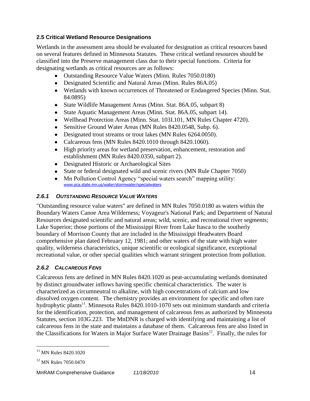## <span id="page-16-0"></span>**2.5 Critical Wetland Resource Designations**

Wetlands in the assessment area should be evaluated for designation as critical resources based on several features defined in Minnesota Statutes. These critical wetland resources should be classified into the Preserve management class due to their special functions. Criteria for designating wetlands as critical resources are as follows:

- Outstanding Resource Value Waters (Minn. Rules 7050.0180)
- Designated Scientific and Natural Areas (Minn. Rules 86A.05)
- Wetlands with known occurrences of Threatened or Endangered Species (Minn. Stat. 84.0895)
- State Wildlife Management Areas (Minn. Stat. 86A.05, subpart 8)
- State Aquatic Management Areas (Minn. Stat. 86A.05, subpart 14).
- Wellhead Protection Areas (Minn. Stat. 103I.101, MN Rules Chapter 4720).
- Sensitive Ground Water Areas (MN Rules 8420.0548, Subp. 6).
- Designated trout streams or trout lakes (MN Rules 6264.0050).
- Calcareous fens (MN Rules 8420.1010 through 8420.1060).
- High priority areas for wetland preservation, enhancement, restoration and establishment (MN Rules 8420.0350, subpart 2).
- Designated Historic or Archaeological Sites
- State or federal designated wild and scenic rivers (MN Rule Chapter 7050)
- Mn Pollution Control Agency "special waters search" mapping utility: www.pca.state.mn.us/water/stormwater/specialwaters

## *2.6.1 OUTSTANDING RESOURCE VALUE WATERS*

"Outstanding resource value waters" are defined in MN Rules 7050.0180 as waters within the Boundary Waters Canoe Area Wilderness; Voyageur's National Park; and Department of Natural Resources designated scientific and natural areas; wild, scenic, and recreational river segments; Lake Superior; those portions of the Mississippi River from Lake Itasca to the southerly boundary of Morrison County that are included in the Mississippi Headwaters Board comprehensive plan dated February 12, 1981; and other waters of the state with high water quality, wilderness characteristics, unique scientific or ecological significance, exceptional recreational value, or other special qualities which warrant stringent protection from pollution.

## *2.6.2 CALCAREOUS FENS*

Calcareous fens are defined in MN Rules 8420.1020 as peat-accumulating wetlands dominated by distinct groundwater inflows having specific chemical characteristics. The water is characterized as circumneutral to alkaline, with high concentrations of calcium and low dissolved oxygen content. The chemistry provides an environment for specific and often rare hydrophytic plants<sup>11</sup>. Minnesota Rules 8420.1010-1070 sets out minimum standards and criteria for the identification, protection, and management of calcareous fens as authorized by Minnesota Statutes, section 103G.223. The MnDNR is charged with identifying and maintaining a list of calcareous fens in the state and maintains a database of them. Calcareous fens are also listed in the Classifications for Waters in Major Surface Water Drainage Basins<sup>12</sup>. Finally, the rules for

 $11$  MN Rules 8420.1020

<sup>&</sup>lt;sup>12</sup> MN Rules 7050.0470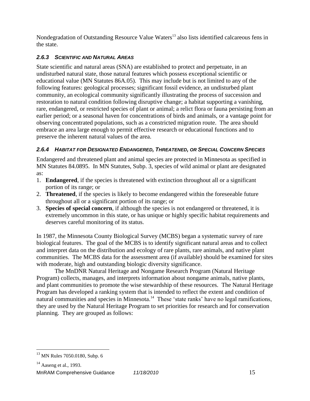Nondegradation of Outstanding Resource Value Waters<sup>13</sup> also lists identified calcareous fens in the state.

## *2.6.3 SCIENTIFIC AND NATURAL AREAS*

State scientific and natural areas (SNA) are established to protect and perpetuate, in an undisturbed natural state, those natural features which possess exceptional scientific or educational value (MN Statutes 86A.05). This may include but is not limited to any of the following features: geological processes; significant fossil evidence, an undisturbed plant community, an ecological community significantly illustrating the process of succession and restoration to natural condition following disruptive change; a habitat supporting a vanishing, rare, endangered, or restricted species of plant or animal; a relict flora or fauna persisting from an earlier period; or a seasonal haven for concentrations of birds and animals, or a vantage point for observing concentrated populations, such as a constricted migration route. The area should embrace an area large enough to permit effective research or educational functions and to preserve the inherent natural values of the area.

## *2.6.4 HABITAT FOR DESIGNATED ENDANGERED, THREATENED, OR SPECIAL CONCERN SPECIES*

Endangered and threatened plant and animal species are protected in Minnesota as specified in MN Statutes 84.0895. In MN Statutes, Subp. 3, species of wild animal or plant are designated as:

- 1. **Endangered**, if the species is threatened with extinction throughout all or a significant portion of its range; or
- 2. **Threatened**, if the species is likely to become endangered within the foreseeable future throughout all or a significant portion of its range; or
- 3. **Species of special concern**, if although the species is not endangered or threatened, it is extremely uncommon in this state, or has unique or highly specific habitat requirements and deserves careful monitoring of its status.

In 1987, the Minnesota County Biological Survey (MCBS) began a systematic survey of rare biological features. The goal of the MCBS is to identify significant natural areas and to collect and interpret data on the distribution and ecology of rare plants, rare animals, and native plant communities. The MCBS data for the assessment area (if available) should be examined for sites with moderate, high and outstanding biologic diversity significance.

The MnDNR Natural Heritage and Nongame Research Program (Natural Heritage Program) collects, manages, and interprets information about nongame animals, native plants, and plant communities to promote the wise stewardship of these resources. The Natural Heritage Program has developed a ranking system that is intended to reflect the extent and condition of natural communities and species in Minnesota.<sup>14</sup> These 'state ranks' have no legal ramifications, they are used by the Natural Heritage Program to set priorities for research and for conservation planning. They are grouped as follows:

<sup>&</sup>lt;sup>13</sup> MN Rules 7050.0180, Subp. 6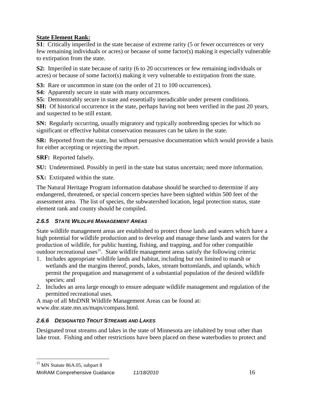## **State Element Rank:**

**S1**: Critically imperiled in the state because of extreme rarity (5 or fewer occurrences or very few remaining individuals or acres) or because of some factor(s) making it especially vulnerable to extirpation from the state.

**S2:** Imperiled in state because of rarity (6 to 20 occurrences or few remaining individuals or acres) or because of some factor(s) making it very vulnerable to extirpation from the state.

**S3:** Rare or uncommon in state (on the order of 21 to 100 occurrences).

**S4:** Apparently secure in state with many occurrences.

**S5:** Demonstrably secure in state and essentially ineradicable under present conditions.

**SH:** Of historical occurrence in the state, perhaps having not been verified in the past 20 years, and suspected to be still extant.

**SN:** Regularly occurring, usually migratory and typically nonbreeding species for which no significant or effective habitat conservation measures can be taken in the state.

**SR:** Reported from the state, but without persuasive documentation which would provide a basis for either accepting or rejecting the report.

**SRF:** Reported falsely.

**SU:** Undetermined. Possibly in peril in the state but status uncertain; need more information.

**SX:** Extirpated within the state.

The Natural Heritage Program information database should be searched to determine if any endangered, threatened, or special concern species have been sighted within 500 feet of the assessment area. The list of species, the subwatershed location, legal protection status, state element rank and county should be compiled.

## *2.6.5 STATE WILDLIFE MANAGEMENT AREAS*

State wildlife management areas are established to protect those lands and waters which have a high potential for wildlife production and to develop and manage these lands and waters for the production of wildlife, for public hunting, fishing, and trapping, and for other compatible outdoor recreational uses<sup>15</sup>. State wildlife management areas satisfy the following criteria:

- 1. Includes appropriate wildlife lands and habitat, including but not limited to marsh or wetlands and the margins thereof, ponds, lakes, stream bottomlands, and uplands, which permit the propagation and management of a substantial population of the desired wildlife species; and
- 2. Includes an area large enough to ensure adequate wildlife management and regulation of the permitted recreational uses.

A map of all MnDNR Wildlife Management Areas can be found at: www.dnr.state.mn.us/maps/compass.html.

## *2.6.6 DESIGNATED TROUT STREAMS AND LAKES*

Designated trout streams and lakes in the state of Minnesota are inhabited by trout other than lake trout. Fishing and other restrictions have been placed on these waterbodies to protect and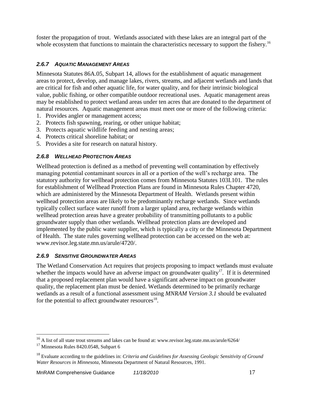foster the propagation of trout. Wetlands associated with these lakes are an integral part of the whole ecosystem that functions to maintain the characteristics necessary to support the fishery.<sup>16</sup>

## *2.6.7 AQUATIC MANAGEMENT AREAS*

Minnesota Statutes 86A.05, Subpart 14, allows for the establishment of aquatic management areas to protect, develop, and manage lakes, rivers, streams, and adjacent wetlands and lands that are critical for fish and other aquatic life, for water quality, and for their intrinsic biological value, public fishing, or other compatible outdoor recreational uses. Aquatic management areas may be established to protect wetland areas under ten acres that are donated to the department of natural resources. Aquatic management areas must meet one or more of the following criteria:

- 1. Provides angler or management access;
- 2. Protects fish spawning, rearing, or other unique habitat;
- 3. Protects aquatic wildlife feeding and nesting areas;
- 4. Protects critical shoreline habitat; or
- 5. Provides a site for research on natural history.

## *2.6.8 WELLHEAD PROTECTION AREAS*

Wellhead protection is defined as a method of preventing well contamination by effectively managing potential contaminant sources in all or a portion of the well's recharge area. The statutory authority for wellhead protection comes from Minnesota Statutes 103I.101. The rules for establishment of Wellhead Protection Plans are found in Minnesota Rules Chapter 4720, which are administered by the Minnesota Department of Health. Wetlands present within wellhead protection areas are likely to be predominantly recharge wetlands. Since wetlands typically collect surface water runoff from a larger upland area, recharge wetlands within wellhead protection areas have a greater probability of transmitting pollutants to a public groundwater supply than other wetlands. Wellhead protection plans are developed and implemented by the public water supplier, which is typically a city or the Minnesota Department of Health. The state rules governing wellhead protection can be accessed on the web at: www.revisor.leg.state.mn.us/arule/4720/.

## *2.6.9 SENSITIVE GROUNDWATER AREAS*

The Wetland Conservation Act requires that projects proposing to impact wetlands must evaluate whether the impacts would have an adverse impact on groundwater quality<sup>17</sup>. If it is determined that a proposed replacement plan would have a significant adverse impact on groundwater quality, the replacement plan must be denied. Wetlands determined to be primarily recharge wetlands as a result of a functional assessment using *MNRAM Version 3.1* should be evaluated for the potential to affect groundwater resources $^{18}$ .

<sup>&</sup>lt;sup>16</sup> A list of all state trout streams and lakes can be found at: www.revisor.leg.state.mn.us/arule/6264/

<sup>&</sup>lt;sup>17</sup> Minnesota Rules 8420.0548, Subpart 6

<sup>18</sup> Evaluate according to the guidelines in: *Criteria and Guidelines for Assessing Geologic Sensitivity of Ground Water Resources in Minnesota*, Minnesota Department of Natural Resources, 1991.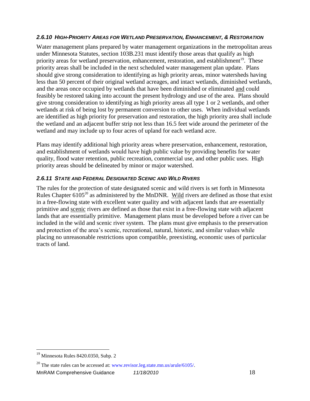## *2.6.10 HIGH-PRIORITY AREAS FOR WETLAND PRESERVATION, ENHANCEMENT, & RESTORATION*

Water management plans prepared by water management organizations in the metropolitan areas under Minnesota Statutes, section 103B.231 must identify those areas that qualify as high priority areas for wetland preservation, enhancement, restoration, and establishment<sup>19</sup>. These priority areas shall be included in the next scheduled water management plan update. Plans should give strong consideration to identifying as high priority areas, minor watersheds having less than 50 percent of their original wetland acreages, and intact wetlands, diminished wetlands, and the areas once occupied by wetlands that have been diminished or eliminated and could feasibly be restored taking into account the present hydrology and use of the area. Plans should give strong consideration to identifying as high priority areas all type 1 or 2 wetlands, and other wetlands at risk of being lost by permanent conversion to other uses. When individual wetlands are identified as high priority for preservation and restoration, the high priority area shall include the wetland and an adjacent buffer strip not less than 16.5 feet wide around the perimeter of the wetland and may include up to four acres of upland for each wetland acre.

Plans may identify additional high priority areas where preservation, enhancement, restoration, and establishment of wetlands would have high public value by providing benefits for water quality, flood water retention, public recreation, commercial use, and other public uses. High priority areas should be delineated by minor or major watershed.

## *2.6.11 STATE AND FEDERAL DESIGNATED SCENIC AND WILD RIVERS*

The rules for the protection of state designated scenic and wild rivers is set forth in Minnesota Rules Chapter  $6105^{20}$  as administered by the MnDNR. Wild rivers are defined as those that exist in a free-flowing state with excellent water quality and with adjacent lands that are essentially primitive and scenic rivers are defined as those that exist in a free-flowing state with adjacent lands that are essentially primitive. Management plans must be developed before a river can be included in the wild and scenic river system. The plans must give emphasis to the preservation and protection of the area's scenic, recreational, natural, historic, and similar values while placing no unreasonable restrictions upon compatible, preexisting, economic uses of particular tracts of land.

<sup>&</sup>lt;sup>19</sup> Minnesota Rules 8420.0350, Subp. 2

<sup>&</sup>lt;sup>20</sup> The state rules can be accessed at: [www.revisor.leg.state.mn.us/arule/6105/.](http://www.revisor.leg.state.mn.us/arule/6105/)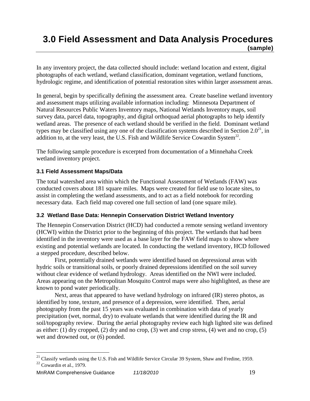## <span id="page-21-0"></span>**3.0 Field Assessment and Data Analysis Procedures (sample)**

In any inventory project, the data collected should include: wetland location and extent, digital photographs of each wetland, wetland classification, dominant vegetation, wetland functions, hydrologic regime, and identification of potential restoration sites within larger assessment areas.

In general, begin by specifically defining the assessment area. Create baseline wetland inventory and assessment maps utilizing available information including: Minnesota Department of Natural Resources Public Waters Inventory maps, National Wetlands Inventory maps, soil survey data, parcel data, topography, and digital orthoquad aerial photographs to help identify wetland areas. The presence of each wetland should be verified in the field. Dominant wetland types may be classified using any one of the classification systems described in Section  $2.0^{21}$ , in addition to, at the very least, the U.S. Fish and Wildlife Service Cowardin System<sup>22</sup>.

The following sample procedure is excerpted from documentation of a Minnehaha Creek wetland inventory project.

## <span id="page-21-1"></span>**3.1 Field Assessment Maps/Data**

The total watershed area within which the Functional Assessment of Wetlands (FAW) was conducted covers about 181 square miles. Maps were created for field use to locate sites, to assist in completing the wetland assessments, and to act as a field notebook for recording necessary data. Each field map covered one full section of land (one square mile).

## <span id="page-21-2"></span>**3.2 Wetland Base Data: Hennepin Conservation District Wetland Inventory**

The Hennepin Conservation District (HCD) had conducted a remote sensing wetland inventory (HCWI) within the District prior to the beginning of this project. The wetlands that had been identified in the inventory were used as a base layer for the FAW field maps to show where existing and potential wetlands are located. In conducting the wetland inventory, HCD followed a stepped procedure, described below.

First, potentially drained wetlands were identified based on depressional areas with hydric soils or transitional soils, or poorly drained depressions identified on the soil survey without clear evidence of wetland hydrology. Areas identified on the NWI were included. Areas appearing on the Metropolitan Mosquito Control maps were also highlighted, as these are known to pond water periodically.

Next, areas that appeared to have wetland hydrology on infrared (IR) stereo photos, as identified by tone, texture, and presence of a depression, were identified. Then, aerial photography from the past 15 years was evaluated in combination with data of yearly precipitation (wet, normal, dry) to evaluate wetlands that were identified during the IR and soil/topography review. During the aerial photography review each high lighted site was defined as either: (1) dry cropped, (2) dry and no crop, (3) wet and crop stress, (4) wet and no crop, (5) wet and drowned out, or (6) ponded.

<sup>&</sup>lt;sup>21</sup> Classify wetlands using the U.S. Fish and Wildlife Service Circular 39 System, Shaw and Fredine, 1959.

 $22$  Cowardin et al., 1979.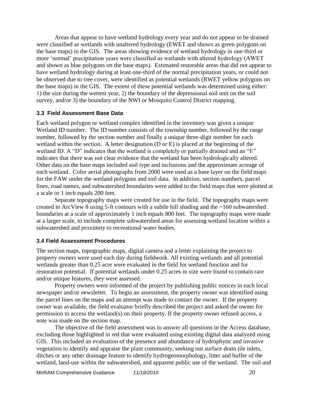Areas that appear to have wetland hydrology every year and do not appear to be drained were classified as wetlands with unaltered hydrology (EWET and shown as green polygons on the base maps) in the GIS. The areas showing evidence of wetland hydrology in one-third or more ‗normal' precipitation years were classified as wetlands with altered hydrology (AWET and shown as blue polygons on the base maps). Estimated restorable areas that did not appear to have wetland hydrology during at least one-third of the normal precipitation years, or could not be observed due to tree cover, were identified as potential wetlands (RWET yellow polygons on the base maps) in the GIS. The extent of these potential wetlands was determined using either: 1) the size during the wettest year, 2) the boundary of the depressional soil unit on the soil survey, and/or 3) the boundary of the NWI or Mosquito Control District mapping.

#### <span id="page-22-0"></span>**3.3 Field Assessment Base Data**

Each wetland polygon or wetland complex identified in the inventory was given a unique Wetland ID number. The ID number consists of the township number, followed by the range number, followed by the section number and finally a unique three-digit number for each wetland within the section. A letter designation (D or E) is placed at the beginning of the wetland ID. A "D" indicates that the wetland is completely or partially drained and an "E" indicates that there was not clear evidence that the wetland has been hydrologically altered. Other data on the base maps included soil type and inclusions and the approximate acreage of each wetland. Color aerial photographs from 2000 were used as a base layer on the field maps for the FAW under the wetland polygons and soil data. In addition, section numbers, parcel lines, road names, and subwatershed boundaries were added to the field maps that were plotted at a scale or 1 inch equals 200 feet.

Separate topography maps were created for use in the field. The topography maps were created in ArcView 8 using 5-ft contours with a subtle hill shading and the ~160 subwatershed boundaries at a scale of approximately 1 inch equals 800 feet. The topography maps were made at a larger scale, to include complete subwatershed areas for assessing wetland location within a subwatershed and proximity to recreational water bodies.

#### <span id="page-22-1"></span>**3.4 Field Assessment Procedures**

The section maps, topographic maps, digital camera and a letter explaining the project to property owners were used each day during fieldwork. All existing wetlands and all potential wetlands greater than 0.25 acre were evaluated in the field for wetland function and for restoration potential. If potential wetlands under 0.25 acres in size were found to contain rare and/or unique features, they were assessed.

Property owners were informed of the project by publishing public notices in each local newspaper and/or newsletter. To begin an assessment, the property owner was identified using the parcel lines on the maps and an attempt was made to contact the owner. If the property owner was available, the field evaluator briefly described the project and asked the owner for permission to access the wetland(s) on their property. If the property owner refused access, a note was made on the section map.

The objective of the field assessment was to answer all questions in the Access database, excluding those highlighted in red that were evaluated using existing digital data analyzed using GIS. This included an evaluation of the presence and abundance of hydrophytic and invasive vegetation to identify and appraise the plant community, seeking out surface drain tile inlets, ditches or any other drainage feature to identify hydrogeomorphology, litter and buffer of the wetland, land-use within the subwatershed, and apparent public use of the wetland. The soil and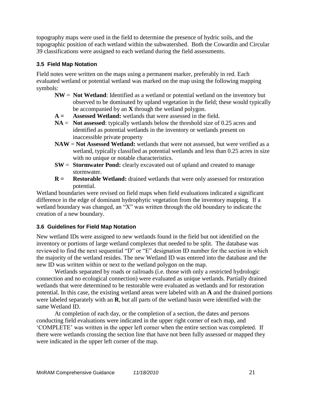topography maps were used in the field to determine the presence of hydric soils, and the topographic position of each wetland within the subwatershed. Both the Cowardin and Circular 39 classifications were assigned to each wetland during the field assessments.

## <span id="page-23-0"></span>**3.5 Field Map Notation**

Field notes were written on the maps using a permanent marker, preferably in red. Each evaluated wetland or potential wetland was marked on the map using the following mapping symbols:

- **NW** = **Not Wetland**: Identified as a wetland or potential wetland on the inventory but observed to be dominated by upland vegetation in the field; these would typically be accompanied by an **X** through the wetland polygon.
- **A = Assessed Wetland:** wetlands that were assessed in the field.
- **NA** = **Not assessed**: typically wetlands below the threshold size of 0.25 acres and identified as potential wetlands in the inventory or wetlands present on inaccessible private property
- **NAW** = **Not Assessed Wetland:** wetlands that were not assessed, but were verified as a wetland, typically classified as potential wetlands and less than 0.25 acres in size with no unique or notable characteristics.
- **SW** = **Stormwater Pond:** clearly excavated out of upland and created to manage stormwater.
- **R** = **Restorable Wetland:** drained wetlands that were only assessed for restoration potential.

Wetland boundaries were revised on field maps when field evaluations indicated a significant difference in the edge of dominant hydrophytic vegetation from the inventory mapping. If a wetland boundary was changed, an "X" was written through the old boundary to indicate the creation of a new boundary.

## <span id="page-23-1"></span>**3.6 Guidelines for Field Map Notation**

New wetland IDs were assigned to new wetlands found in the field but not identified on the inventory or portions of large wetland complexes that needed to be split. The database was reviewed to find the next sequential "D" or "E" designation ID number for the section in which the majority of the wetland resides. The new Wetland ID was entered into the database and the new ID was written within or next to the wetland polygon on the map.

Wetlands separated by roads or railroads (i.e. those with only a restricted hydrologic connection and no ecological connection) were evaluated as unique wetlands. Partially drained wetlands that were determined to be restorable were evaluated as wetlands and for restoration potential. In this case, the existing wetland areas were labeled with an **A** and the drained portions were labeled separately with an **R**, but all parts of the wetland basin were identified with the same Wetland ID.

At completion of each day, or the completion of a section, the dates and persons conducting field evaluations were indicated in the upper right corner of each map, and ‗COMPLETE' was written in the upper left corner when the entire section was completed. If there were wetlands crossing the section line that have not been fully assessed or mapped they were indicated in the upper left corner of the map.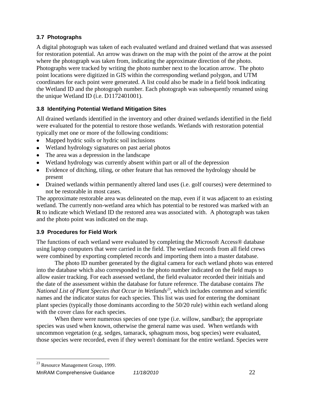## <span id="page-24-0"></span>**3.7 Photographs**

A digital photograph was taken of each evaluated wetland and drained wetland that was assessed for restoration potential. An arrow was drawn on the map with the point of the arrow at the point where the photograph was taken from, indicating the approximate direction of the photo. Photographs were tracked by writing the photo number next to the location arrow. The photo point locations were digitized in GIS within the corresponding wetland polygon, and UTM coordinates for each point were generated. A list could also be made in a field book indicating the Wetland ID and the photograph number. Each photograph was subsequently renamed using the unique Wetland ID (i.e. D1172401001).

## <span id="page-24-1"></span>**3.8 Identifying Potential Wetland Mitigation Sites**

All drained wetlands identified in the inventory and other drained wetlands identified in the field were evaluated for the potential to restore those wetlands. Wetlands with restoration potential typically met one or more of the following conditions:

- Mapped hydric soils or hydric soil inclusions
- Wetland hydrology signatures on past aerial photos
- The area was a depression in the landscape
- Wetland hydrology was currently absent within part or all of the depression
- Evidence of ditching, tiling, or other feature that has removed the hydrology should be present
- Drained wetlands within permanently altered land uses (i.e. golf courses) were determined to not be restorable in most cases.

The approximate restorable area was delineated on the map, even if it was adjacent to an existing wetland. The currently non-wetland area which has potential to be restored was marked with an **R** to indicate which Wetland ID the restored area was associated with. A photograph was taken and the photo point was indicated on the map.

## <span id="page-24-2"></span>**3.9 Procedures for Field Work**

The functions of each wetland were evaluated by completing the Microsoft Access® database using laptop computers that were carried in the field. The wetland records from all field crews were combined by exporting completed records and importing them into a master database.

The photo ID number generated by the digital camera for each wetland photo was entered into the database which also corresponded to the photo number indicated on the field maps to allow easier tracking. For each assessed wetland, the field evaluator recorded their initials and the date of the assessment within the database for future reference. The database contains *The National List of Plant Species that Occur in Wetlands<sup>23</sup>*, which includes common and scientific names and the indicator status for each species. This list was used for entering the dominant plant species (typically those dominants according to the 50/20 rule) within each wetland along with the cover class for each species.

When there were numerous species of one type (i.e. willow, sandbar); the appropriate species was used when known, otherwise the general name was used. When wetlands with uncommon vegetation (e.g. sedges, tamarack, sphagnum moss, bog species) were evaluated, those species were recorded, even if they weren't dominant for the entire wetland. Species were

<sup>23</sup> Resource Management Group, 1999.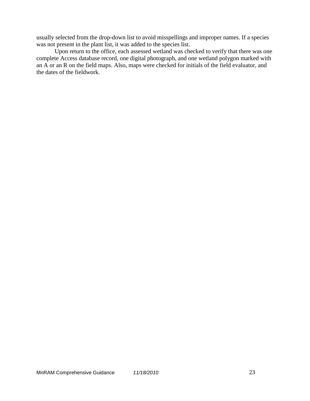usually selected from the drop-down list to avoid misspellings and improper names. If a species was not present in the plant list, it was added to the species list.

Upon return to the office, each assessed wetland was checked to verify that there was one complete Access database record, one digital photograph, and one wetland polygon marked with an A or an R on the field maps. Also, maps were checked for initials of the field evaluator, and the dates of the fieldwork.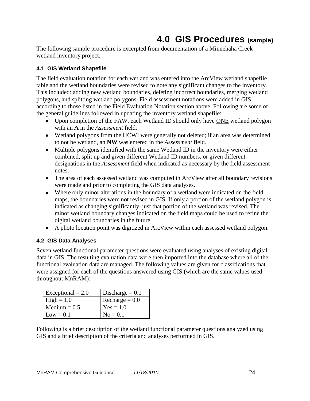## **4.0 GIS Procedures (sample)**

<span id="page-26-0"></span>The following sample procedure is excerpted from documentation of a Minnehaha Creek wetland inventory project.

## <span id="page-26-1"></span>**4.1 GIS Wetland Shapefile**

The field evaluation notation for each wetland was entered into the ArcView wetland shapefile table and the wetland boundaries were revised to note any significant changes to the inventory. This included: adding new wetland boundaries, deleting incorrect boundaries, merging wetland polygons, and splitting wetland polygons. Field assessment notations were added in GIS according to those listed in the Field Evaluation Notation section above. Following are some of the general guidelines followed in updating the inventory wetland shapefile:

- Upon completion of the FAW, each Wetland ID should only have ONE wetland polygon with an **A** in the *Assessment* field.
- Wetland polygons from the HCWI were generally not deleted; if an area was determined to not be wetland, an **NW** was entered in the *Assessment* field.
- Multiple polygons identified with the same Wetland ID in the inventory were either combined, split up and given different Wetland ID numbers, or given different designations in the *Assessment* field when indicated as necessary by the field assessment notes.
- The area of each assessed wetland was computed in ArcView after all boundary revisions were made and prior to completing the GIS data analyses.
- Where only minor alterations in the boundary of a wetland were indicated on the field maps, the boundaries were not revised in GIS. If only a portion of the wetland polygon is indicated as changing significantly, just that portion of the wetland was revised. The minor wetland boundary changes indicated on the field maps could be used to refine the digital wetland boundaries in the future.
- A photo location point was digitized in ArcView within each assessed wetland polygon.

## <span id="page-26-2"></span>**4.2 GIS Data Analyses**

Seven wetland functional parameter questions were evaluated using analyses of existing digital data in GIS. The resulting evaluation data were then imported into the database where all of the functional evaluation data are managed. The following values are given for classifications that were assigned for each of the questions answered using GIS (which are the same values used throughout MnRAM):

| Exceptional $= 2.0$ | Discharge $= 0.1$ |
|---------------------|-------------------|
| $High = 1.0$        | Recharge $= 0.0$  |
| Medium $= 0.5$      | $Yes = 1.0$       |
| $Low = 0.1$         | $No = 0.1$        |

Following is a brief description of the wetland functional parameter questions analyzed using GIS and a brief description of the criteria and analyses performed in GIS.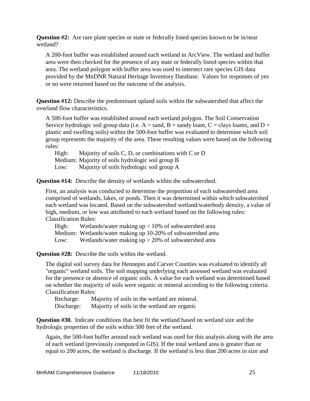**Question #2:** Are rare plant species or state or federally listed species known to be in/near wetland?

A 200-foot buffer was established around each wetland in ArcView. The wetland and buffer area were then checked for the presence of any state or federally listed species within that area. The wetland polygon with buffer area was used to intersect rare species GIS data provided by the MnDNR Natural Heritage Inventory Database. Values for responses of yes or no were returned based on the outcome of the analysis.

**Question #12:** Describe the predominant upland soils within the subwatershed that affect the overland flow characteristics.

A 500-foot buffer was established around each wetland polygon. The Soil Conservation Service hydrologic soil group data (i.e.  $A =$  sand,  $B =$  sandy loam,  $C =$  clays loams, and  $D =$ plastic and swelling soils) within the 500-foot buffer was evaluated to determine which soil group represents the majority of the area. These resulting values were based on the following rules:

High: Majority of soils C, D, or combinations with C or D Medium: Majority of soils hydrologic soil group B Low: Majority of soils hydrologic soil group A

**Question #14:** Describe the density of wetlands within the subwatershed.

First, an analysis was conducted to determine the proportion of each subwatershed area comprised of wetlands, lakes, or ponds. Then it was determined within which subwatershed each wetland was located. Based on the subwatershed wetland/waterbody density, a value of high, medium, or low was attributed to each wetland based on the following rules: Classification Rules:

High: Wetlands/water making up < 10% of subwatershed area

Medium: Wetlands/water making up 10-20% of subwatershed area

Low: Wetlands/water making up > 20% of subwatershed area

**Question #28:** Describe the soils within the wetland.

The digital soil survey data for Hennepin and Carver Counties was evaluated to identify all "organic" wetland soils. The soil mapping underlying each assessed wetland was evaluated for the presence or absence of organic soils. A value for each wetland was determined based on whether the majority of soils were organic or mineral according to the following criteria: Classification Rules:

Recharge: Majority of soils in the wetland are mineral. Discharge: Majority of soils in the wetland are organic

**Question #30.** Indicate conditions that best fit the wetland based on wetland size and the hydrologic properties of the soils within 500 feet of the wetland.

Again, the 500-foot buffer around each wetland was used for this analysis along with the area of each wetland (previously computed in GIS). If the total wetland area is greater than or equal to 200 acres, the wetland is discharge. If the wetland is less than 200 acres in size and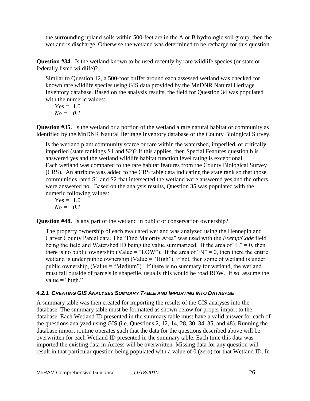the surrounding upland soils within 500-feet are in the A or B hydrologic soil group, then the wetland is discharge. Otherwise the wetland was determined to be recharge for this question.

**Question #34.** Is the wetland known to be used recently by rare wildlife species (or state or federally listed wildlife)?

Similar to Question 12, a 500-foot buffer around each assessed wetland was checked for known rare wildlife species using GIS data provided by the MnDNR Natural Heritage Inventory database. Based on the analysis results, the field for Question 34 was populated with the numeric values:

$$
Yes = 1.0\nNo = 0.1
$$

**Question #35.** Is the wetland or a portion of the wetland a rare natural habitat or community as identified by the MnDNR Natural Heritage Inventory database or the County Biological Survey.

Is the wetland plant community scarce or rare within the watershed, imperiled, or critically imperiled (state rankings S1 and S2)? If this applies, then Special Features question b is answered yes and the wetland wildlife habitat function level rating is exceptional. Each wetland was compared to the rare habitat features from the County Biological Survey (CBS). An attribute was added to the CBS table data indicating the state rank so that those communities rated S1 and S2 that intersected the wetland were answered yes and the others were answered no. Based on the analysis results, Question 35 was populated with the numeric following values:

$$
Yes = 1.0\nNo = 0.1
$$

**Question #48.** Is any part of the wetland in public or conservation ownership?

The property ownership of each evaluated wetland was analyzed using the Hennepin and Carver County Parcel data. The "Find Majority Area" was used with the *ExemptCode* field being the field and Watershed ID being the value summarized. If the area of  $E = 0$ , then there is no public ownership (Value =  $\text{``LOW''}$ ). If the area of "N" = 0, then there the entire wetland is under public ownership (Value  $=$  "High"), if not, then some of wetland is under public ownership, (Value = "Medium"). If there is no summary for wetland, the wetland must fall outside of parcels in shapefile, usually this would be road ROW. If so, assume the value  $=$  "high."

## *4.2.1 CREATING GIS ANALYSES SUMMARY TABLE AND IMPORTING INTO DATABASE*

A summary table was then created for importing the results of the GIS analyses into the database. The summary table must be formatted as shown below for proper import to the database. Each Wetland ID presented in the summary table must have a valid answer for each of the questions analyzed using GIS (i.e. Questions 2, 12, 14, 28, 30, 34, 35, and 48). Running the database import routine operates such that the data for the questions described above will be overwritten for each Wetland ID presented in the summary table. Each time this data was imported the existing data in Access will be overwritten. Missing data for any question will result in that particular question being populated with a value of 0 (zero) for that Wetland ID. In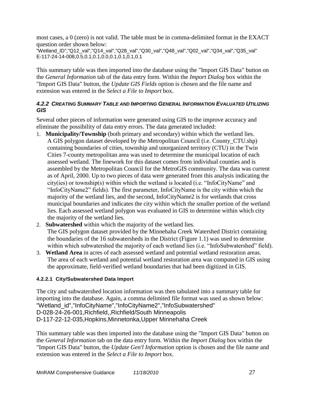most cases, a 0 (zero) is not valid. The table must be in comma-delimited format in the EXACT question order shown below:

"Wetland\_ID","Q12\_val","Q14\_val","Q28\_val","Q30\_val","Q48\_val","Q02\_val","Q34\_val","Q35\_val" E-117-24-14-008,0.5,0.1,0.1,0.0,0.1,0.1,0.1,0.1

This summary table was then imported into the database using the "Import GIS Data" button on the *General Information* tab of the data entry form. Within the *Import Dialog* box within the "Import GIS Data" button, the *Update GIS Fields* option is chosen and the file name and extension was entered in the *Select a File to Import* box.

## *4.2.2 CREATING SUMMARY TABLE AND IMPORTING GENERAL INFORMATION EVALUATED UTILIZING GIS*

Several other pieces of information were generated using GIS to the improve accuracy and eliminate the possibility of data entry errors. The data generated included:

- 1. **Municipality/Township** (both primary and secondary) within which the wetland lies. A GIS polygon dataset developed by the Metropolitan Council (i.e. County\_CTU.shp) containing boundaries of cities, township and unorganized territory (CTU) in the Twin Cities 7-county metropolitan area was used to determine the municipal location of each assessed wetland. The linework for this dataset comes from individual counties and is assembled by the Metropolitan Council for the MetroGIS community. The data was current as of April, 2000. Up to two pieces of data were generated from this analysis indicating the  $city(ies)$  or township(s) within which the wetland is located (i.e. "InfoCityName" and "InfoCityName2" fields). The first parameter, InfoCityName is the city within which the majority of the wetland lies, and the second, InfoCityName2 is for wetlands that cross municipal boundaries and indicates the city within which the smaller portion of the wetland lies. Each assessed wetland polygon was evaluated in GIS to determine within which city the majority of the wetland lies.
- 2. **Subwatershed** within which the majority of the wetland lies. The GIS polygon dataset provided by the Minnehaha Creek Watershed District containing the boundaries of the 16 subwatersheds in the District (Figure 1.1) was used to determine within which subwatershed the majority of each wetland lies (i.e. "InfoSubwatershed" field).
- 3. **Wetland Area** in acres of each assessed wetland and potential wetland restoration areas. The area of each wetland and potential wetland restoration area was computed in GIS using the approximate, field-verified wetland boundaries that had been digitized in GIS.

## **4.2.2.1 City/Subwatershed Data Import**

The city and subwatershed location information was then tabulated into a summary table for importing into the database. Again, a comma delimited file format was used as shown below: "Wetland\_id","InfoCityName","InfoCityName2","InfoSubwatershed" D-028-24-26-001,Richfield,,Richfield/South Minneapolis D-117-22-12-035,Hopkins,Minnetonka,Upper Minnehaha Creek

This summary table was then imported into the database using the "Import GIS Data" button on the *General Information* tab on the data entry form. Within the *Import Dialog* box within the "Import GIS Data" button, the *Update Gen'l Information* option is chosen and the file name and extension was entered in the *Select a File to Import* box.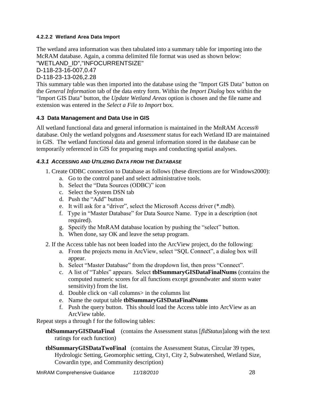## **4.2.2.2 Wetland Area Data Import**

The wetland area information was then tabulated into a summary table for importing into the McRAM database. Again, a comma delimited file format was used as shown below:

"WETLAND\_ID","INFOCURRENTSIZE"

D-118-23-16-007,0.47

D-118-23-13-026,2.28

This summary table was then imported into the database using the "Import GIS Data" button on the *General Information* tab of the data entry form. Within the *Import Dialog* box within the "Import GIS Data" button, the *Update Wetland Areas* option is chosen and the file name and extension was entered in the *Select a File to Import* box.

## <span id="page-30-0"></span>**4.3 Data Management and Data Use in GIS**

All wetland functional data and general information is maintained in the MnRAM Access® database. Only the wetland polygons and *Assessment* status for each Wetland ID are maintained in GIS. The wetland functional data and general information stored in the database can be temporarily referenced in GIS for preparing maps and conducting spatial analyses.

#### *4.3.1 ACCESSING AND UTILIZING DATA FROM THE DATABASE*

- 1. Create ODBC connection to Database as follows (these directions are for Windows2000):
	- a. Go to the control panel and select administrative tools.
	- b. Select the "Data Sources (ODBC)" icon
	- c. Select the System DSN tab
	- d. Push the "Add" button
	- e. It will ask for a "driver", select the Microsoft Access driver (\*.mdb).
	- f. Type in "Master Database" for Data Source Name. Type in a description (not required).
	- g. Specify the MnRAM database location by pushing the "select" button.
	- h. When done, say OK and leave the setup program.
- 2. If the Access table has not been loaded into the ArcView project, do the following:
	- a. From the projects menu in ArcView, select "SQL Connect", a dialog box will appear.
	- b. Select "Master Database" from the dropdown list, then press "Connect".
	- c. A list of "Tables" appears. Select **the Summary GISDataFinalNums** (contains the computed numeric scores for all functions except groundwater and storm water sensitivity) from the list.
	- d. Double click on <all columns> in the columns list
	- e. Name the output table **tblSummaryGISDataFinalNums**
	- f. Push the query button. This should load the Access table into ArcView as an ArcView table.

Repeat steps a through f for the following tables:

**tblSummaryGISDataFinal** (contains the Assessment status [*fldStatus*]along with the text ratings for each function)

**tblSummaryGISDataTwoFinal** (contains the Assessment Status, Circular 39 types, Hydrologic Setting, Geomorphic setting, City1, City 2, Subwatershed, Wetland Size, Cowardin type, and Community description)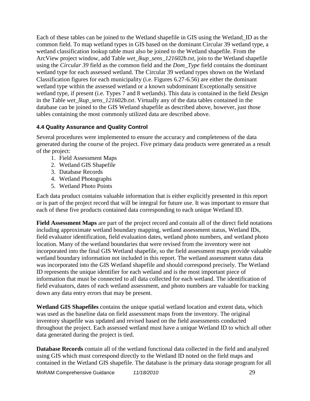Each of these tables can be joined to the Wetland shapefile in GIS using the Wetland\_ID as the common field. To map wetland types in GIS based on the dominant Circular 39 wetland type, a wetland classification lookup table must also be joined to the Wetland shapefile. From the ArcView project window, add Table *wet\_lkup\_sens\_121602b.txt*, join to the Wetland shapefile using the *Circular 39* field as the common field and the *Dom\_Type* field contains the dominant wetland type for each assessed wetland. The Circular 39 wetland types shown on the Wetland Classification figures for each municipality (i.e. Figures 6.27-6.56) are either the dominant wetland type within the assessed wetland or a known subdominant Exceptionally sensitive wetland type, if present (i.e. Types 7 and 8 wetlands). This data is contained in the field *Design* in the Table *wet\_lkup\_sens\_121602b.txt*. Virtually any of the data tables contained in the database can be joined to the GIS Wetland shapefile as described above, however, just those tables containing the most commonly utilized data are described above.

## <span id="page-31-0"></span>**4.4 Quality Assurance and Quality Control**

Several procedures were implemented to ensure the accuracy and completeness of the data generated during the course of the project. Five primary data products were generated as a result of the project:

- 1. Field Assessment Maps
- 2. Wetland GIS Shapefile
- 3. Database Records
- 4. Wetland Photographs
- 5. Wetland Photo Points

Each data product contains valuable information that is either explicitly presented in this report or is part of the project record that will be integral for future use. It was important to ensure that each of these five products contained data corresponding to each unique Wetland ID.

**Field Assessment Maps** are part of the project record and contain all of the direct field notations including approximate wetland boundary mapping, wetland assessment status, Wetland IDs, field evaluator identification, field evaluation dates, wetland photo numbers, and wetland photo location. Many of the wetland boundaries that were revised from the inventory were not incorporated into the final GIS Wetland shapefile, so the field assessment maps provide valuable wetland boundary information not included in this report. The wetland assessment status data was incorporated into the GIS Wetland shapefile and should correspond precisely. The Wetland ID represents the unique identifier for each wetland and is the most important piece of information that must be connected to all data collected for each wetland. The identification of field evaluators, dates of each wetland assessment, and photo numbers are valuable for tracking down any data entry errors that may be present.

**Wetland GIS Shapefiles** contains the unique spatial wetland location and extent data, which was used as the baseline data on field assessment maps from the inventory. The original inventory shapefile was updated and revised based on the field assessments conducted throughout the project. Each assessed wetland must have a unique Wetland ID to which all other data generated during the project is tied.

**Database Records** contain all of the wetland functional data collected in the field and analyzed using GIS which must correspond directly to the Wetland ID noted on the field maps and contained in the Wetland GIS shapefile. The database is the primary data storage program for all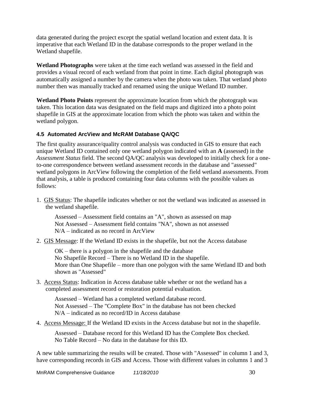data generated during the project except the spatial wetland location and extent data. It is imperative that each Wetland ID in the database corresponds to the proper wetland in the Wetland shapefile.

**Wetland Photographs** were taken at the time each wetland was assessed in the field and provides a visual record of each wetland from that point in time. Each digital photograph was automatically assigned a number by the camera when the photo was taken. That wetland photo number then was manually tracked and renamed using the unique Wetland ID number.

**Wetland Photo Points** represent the approximate location from which the photograph was taken. This location data was designated on the field maps and digitized into a photo point shapefile in GIS at the approximate location from which the photo was taken and within the wetland polygon.

## <span id="page-32-0"></span>**4.5 Automated ArcView and McRAM Database QA/QC**

The first quality assurance/quality control analysis was conducted in GIS to ensure that each unique Wetland ID contained only one wetland polygon indicated with an **A** (assessed) in the *Assessment Status* field. The second QA/QC analysis was developed to initially check for a oneto-one correspondence between wetland assessment records in the database and "assessed" wetland polygons in ArcView following the completion of the field wetland assessments. From that analysis, a table is produced containing four data columns with the possible values as follows:

1. GIS Status: The shapefile indicates whether or not the wetland was indicated as assessed in the wetland shapefile.

Assessed – Assessment field contains an "A", shown as assessed on map Not Assessed – Assessment field contains "NA", shown as not assessed N/A – indicated as no record in ArcView

2. GIS Message: If the Wetland ID exists in the shapefile, but not the Access database

OK – there is a polygon in the shapefile and the database No Shapefile Record – There is no Wetland ID in the shapefile. More than One Shapefile – more than one polygon with the same Wetland ID and both shown as "Assessed"

3. Access Status: Indication in Access database table whether or not the wetland has a completed assessment record or restoration potential evaluation.

Assessed – Wetland has a completed wetland database record. Not Assessed – The "Complete Box" in the database has not been checked N/A – indicated as no record/ID in Access database

4. Access Message: If the Wetland ID exists in the Access database but not in the shapefile.

Assessed – Database record for this Wetland ID has the Complete Box checked. No Table Record – No data in the database for this ID.

A new table summarizing the results will be created. Those with "Assessed" in column 1 and 3, have corresponding records in GIS and Access. Those with different values in columns 1 and 3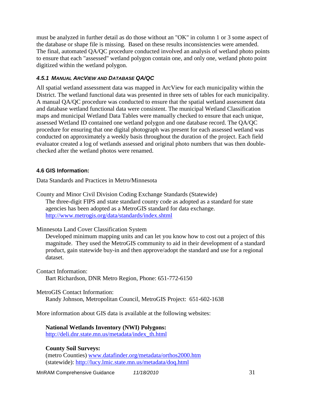must be analyzed in further detail as do those without an "OK" in column 1 or 3 some aspect of the database or shape file is missing. Based on these results inconsistencies were amended. The final, automated QA/QC procedure conducted involved an analysis of wetland photo points to ensure that each "assessed" wetland polygon contain one, and only one, wetland photo point digitized within the wetland polygon.

## *4.5.1 MANUAL ARCVIEW AND DATABASE QA/QC*

All spatial wetland assessment data was mapped in ArcView for each municipality within the District. The wetland functional data was presented in three sets of tables for each municipality. A manual QA/QC procedure was conducted to ensure that the spatial wetland assessment data and database wetland functional data were consistent. The municipal Wetland Classification maps and municipal Wetland Data Tables were manually checked to ensure that each unique, assessed Wetland ID contained one wetland polygon and one database record. The QA/QC procedure for ensuring that one digital photograph was present for each assessed wetland was conducted on approximately a weekly basis throughout the duration of the project. Each field evaluator created a log of wetlands assessed and original photo numbers that was then doublechecked after the wetland photos were renamed.

## <span id="page-33-0"></span>**4.6 GIS Information:**

Data Standards and Practices in Metro/Minnesota

County and Minor Civil Division Coding Exchange Standards (Statewide) The three-digit FIPS and state standard county code as adopted as a standard for state agencies has been adopted as a MetroGIS standard for data exchange. <http://www.metrogis.org/data/standards/index.shtml>

Minnesota Land Cover Classification System

Developed minimum mapping units and can let you know how to cost out a project of this magnitude. They used the MetroGIS community to aid in their development of a standard product, gain statewide buy-in and then approve/adopt the standard and use for a regional dataset.

Contact Information: Bart Richardson, DNR Metro Region, Phone: 651-772-6150

MetroGIS Contact Information:

Randy Johnson, Metropolitan Council, MetroGIS Project: 651-602-1638

More information about GIS data is available at the following websites:

**National Wetlands Inventory (NWI) Polygons:** 

[http://deli.dnr.state.mn.us/metadata/index\\_th.html](http://deli.dnr.state.mn.us/metadata/index_th.html)

## **County Soil Surveys:**

(metro Counties) [www.datafinder.org/metadata/orthos2000.htm](http://www.datafinder.org/metadata/orthos2000.htm) (statewide):<http://lucy.lmic.state.mn.us/metadata/doq.html>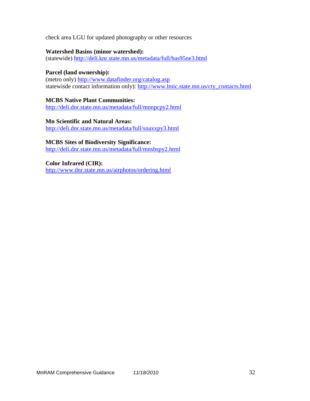check area LGU for updated photography or other resources

#### **Watershed Basins (minor watershed):**

(statewide)<http://deli.knr.state.mn.us/metadata/full/bas95ne3.html>

#### **Parcel (land ownership):**

(metro only)<http://www.datafinder.org/catalog.asp> statewisde contact information only): [http://www.lmic.state.mn.us/cty\\_contacts.html](http://www.lmic.state.mn.us/cty_contacts.html)

**MCBS Native Plant Communities:** <http://deli.dnr.state.mn.us/metadata/full/mnnpcpy2.html>

**Mn Scientific and Natural Areas:** <http://deli.dnr.state.mn.us/metadata/full/snaxxpy3.html>

**MCBS Sites of Biodiversity Significance:** <http://deli.dnr.state.mn.us/metadata/full/mnsbspy2.html>

**Color Infrared (CIR):** <http://www.dnr.state.mn.us/airphotos/ordering.html>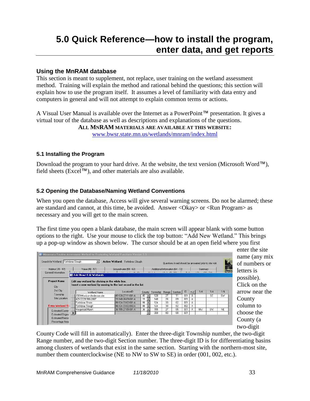## <span id="page-35-0"></span>**Using the MnRAM database**

This section is meant to supplement, not replace, user training on the wetland assessment method. Training will explain the method and rational behind the questions; this section will explain how to use the program itself. It assumes a level of familiarity with data entry and computers in general and will not attempt to explain common terms or actions.

A Visual User Manual is available over the Internet as a PowerPoint™ presentation. It gives a virtual tour of the database as well as descriptions and explanations of the questions.

**ALL MNRAM MATERIALS ARE AVAILABLE AT THIS WEBSITE:**

[www.bwsr.state.mn.us/wetlands/mnram/index.html](http://www.bwsr.state.mn.us/wetlands/mnram/index.html)

## <span id="page-35-1"></span>**5.1 Installing the Program**

Download the program to your hard drive. At the website, the text version (Microsoft Word™), field sheets (Excel™), and other materials are also available.

## <span id="page-35-2"></span>**5.2 Opening the Database/Naming Wetland Conventions**

When you open the database, Access will give several warning screens. Do not be alarmed; these are standard and cannot, at this time, be avoided. Answer <Okay> or <Run Program> as necessary and you will get to the main screen.

The first time you open a blank database, the main screen will appear blank with some button options to the right. Use your mouse to click the top button: "Add New Wetland." This brings up a pop-up window as shown below. The cursor should be at an open field where you first

| Habitat (35 - 47)                       |                                                                                                                  |                                          |          |             |          |                                  |              |        |           | Questions in red should be answered prior to site visit. |     |
|-----------------------------------------|------------------------------------------------------------------------------------------------------------------|------------------------------------------|----------|-------------|----------|----------------------------------|--------------|--------|-----------|----------------------------------------------------------|-----|
|                                         | Value (48 - 57)                                                                                                  | Groundwater (58 - 63)                    |          |             |          | Additional Information (64 - 72) |              |        | Summary   |                                                          |     |
| General Information                     | 0.1001<br><b>BE Add New/ Edit Wetlands</b>                                                                       | $2.2 \times 10^6$ and $2.5$              |          | $1.1 - 1.1$ | 10.3720  |                                  | $n - \alpha$ |        | 101       | (22)                                                     |     |
| <b>Project Name</b><br>City<br>2nd City | Edit any wetland by clicking in the white box.<br>Insert a new wetland by moving to the last record in the list. |                                          |          |             |          |                                  |              |        | 1/4       | 1/4                                                      | 1/4 |
| Township                                | Wetland Name                                                                                                     | LocationID                               | County   | Township    | Range    | Section                          | ID           | $A-Z$  |           |                                                          |     |
| Site Location                           | 2009-Morrison-Anderson site                                                                                      | 49-128-27-11-001-A                       | 49       | 128         | 27       | 11                               | 001          | А      |           | <b>SE</b>                                                | SW  |
|                                         | 429-07291966-2007<br>Fortinbras Shore                                                                            | 31-148-26-09-001-A<br>86-124-33-02-001-A | 31<br>86 | 148<br>124  | 26<br>33 | 09<br>02                         | 001<br>001   | А      |           |                                                          |     |
| <b>Enter Wetland Si</b>                 | Fortinbras Slough                                                                                                | 86-124-33-02-002-A                       | 86       | 124         | 33       | 02                               | 002          | А      |           |                                                          |     |
|                                         | Mergetroid Marsh                                                                                                 | 36-155-27-05-001-A                       | 36       | 155         | 27       | 05                               | 001          | А<br>А | <b>NW</b> | <b>SW</b>                                                | NE  |
| <b>Estimated Curren</b>                 |                                                                                                                  |                                          |          |             |          |                                  |              |        |           |                                                          |     |

enter the site name (any mix of numbers or letters is possible). Click on the arrow near the County column to choose the County (a two-digit

County Code will fill in automatically). Enter the three-digit Township number, the two-digit Range number, and the two-digit Section number. The three-digit ID is for differentiating basins among clusters of wetlands that exist in the same section. Starting with the northern-most site, number them counterclockwise (NE to NW to SW to SE) in order (001, 002, etc.).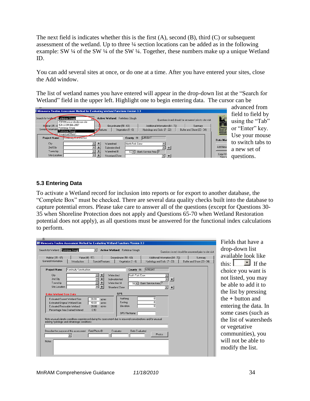The next field is indicates whether this is the first  $(A)$ , second  $(B)$ , third  $(C)$  or subsequent assessment of the wetland. Up to three ¼ section locations can be added as in the following example: SW ¼ of the SW ¼ of the SW ¼. Together, these numbers make up a unique Wetland ID.

You can add several sites at once, or do one at a time. After you have entered your sites, close the Add window.

The list of wetland names you have entered will appear in the drop-down list at the "Search for Wetland" field in the upper left. Highlight one to begin entering data. The cursor can be

| ■ Minnesota Routine Assessment Method for Evaluating Wetland Functions Version 3.3 |                                     |                                  |                                                          |                                           |
|------------------------------------------------------------------------------------|-------------------------------------|----------------------------------|----------------------------------------------------------|-------------------------------------------|
| Search for Wetland: Fortinbras Slough<br>2009-Morrison-Anderson site               | Active Wetland: Fortinbras Slough   |                                  | Questions in red should be answered prior to site visit. |                                           |
| 429-07291966-2007<br>Habitat (35 - 4                                               | Groundwater (58 - 63)               | Additional Information (64 - 72) | Summary                                                  |                                           |
| Gener Informatic Fortinbras Shore<br>i Fortinbras Slough                           | Vegetation (1 - 6)<br>cial Veatures | Hydrology and Soils (7 - 22)     | Buffer and Shore (23 - 34)                               | Minnes<br>Board of<br>Water &<br>Resource |
| Mergetroid Marsh                                                                   |                                     |                                  |                                                          |                                           |
| Kontinuity Konstruction<br><b>Project Name</b>                                     | County 86                           | MRIGHT                           |                                                          | Data Mar                                  |
| City                                                                               | North Fork Crow<br>Watershed        |                                  |                                                          |                                           |
| 2nd City                                                                           | Subwatershed                        | $+$                              |                                                          | Add New                                   |
| Township                                                                           | Watershed #<br>$18 -$               | Bank Service Area                |                                                          |                                           |
| Site Location                                                                      | Shoreland Zone                      | ٠<br>×I                          |                                                          | Copy We<br>New V                          |

advanced from field to field by using the "Tab" or "Enter" key. Use your mouse to switch tabs to a new set of questions.

## **5.3 Entering Data**

To activate a Wetland record for inclusion into reports or for export to another database, the ―Complete Box‖ must be checked. There are several data quality checks built into the database to capture potential errors. Please take care to answer all of the questions (except for Questions 30- 35 when Shoreline Protection does not apply and Questions 65-70 when Wetland Restoration potential does not apply), as all questions must be answered for the functional index calculations to perform.

| Habitat (35 - 47)<br>General Information                                                                                                                                                                                                                                                                      | Value (48 - 57)<br>Introduction | Special Features                                           | Groundwater (58 - 63)                                                    | Vegetation [1 - 6]                     | Additional Information (64 - 72)<br>Hydrology and Soils (7 - 22) | Summary<br>Buffer and Shore (23 - 34) |
|---------------------------------------------------------------------------------------------------------------------------------------------------------------------------------------------------------------------------------------------------------------------------------------------------------------|---------------------------------|------------------------------------------------------------|--------------------------------------------------------------------------|----------------------------------------|------------------------------------------------------------------|---------------------------------------|
| <b>Project Name</b><br>City<br>2nd City<br>Township<br>Site Location<br><b>Enter Wetland Size Data</b>                                                                                                                                                                                                        | Kontinuity Konstruction         | ۰<br>÷<br>÷<br>$\overline{\phantom{0}}$<br>$\ddot{}$       | Watershed<br>Subwatershed<br>Watershed #<br>Shoreland Zone<br><b>GPS</b> | County 86<br>North Fork Crow<br>$18 -$ | WRIGHT<br>$+$<br>Bank Service Area 7<br>$+$<br>$\bullet$         |                                       |
| Estimated Current Wetland Size<br>Estimated Original Wetland Size<br>Estimated Restorable Wetland<br>Percentage Area Drained\Altered<br>Note unusual climatic conditions experienced during this assessment due to seasonal considerations and/or unusual<br>existing hydrologic and climatologic conditions: |                                 | 20.00<br>acres<br>40.00<br>acres<br>20.00<br>acres<br>0.50 | Northing<br>Easting<br>Elevation                                         | GPS File Name                          | n<br>n<br>n                                                      |                                       |
| Describe the purpose of this assessment                                                                                                                                                                                                                                                                       | $\overline{\phantom{a}}$        | Field Photo ID                                             | Evaluator                                                                | Date Evaluated                         | Photos                                                           |                                       |

Fields that have a drop-down list available look like this:  $\boxed{\phantom{a}}$  If the choice you want is not listed, you may be able to add it to the list by pressing the **+** button and entering the data. In some cases (such as the list of watersheds or vegetative communities), you will not be able to modify the list.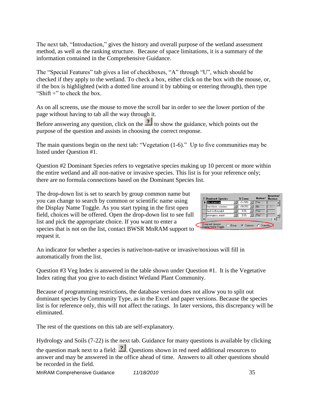The next tab, "Introduction," gives the history and overall purpose of the wetland assessment method, as well as the ranking structure. Because of space limitations, it is a summary of the information contained in the Comprehensive Guidance.

The "Special Features" tab gives a list of checkboxes, "A" through "U", which should be checked if they apply to the wetland. To check a box, either click on the box with the mouse, or, if the box is highlighted (with a dotted line around it by tabbing or entering through), then type "Shift  $+$ " to check the box.

As on all screens, use the mouse to move the scroll bar in order to see the lower portion of the page without having to tab all the way through it.

Before answering any question, click on the  $\frac{1}{2}$  to show the guidance, which points out the purpose of the question and assists in choosing the correct response.

The main questions begin on the next tab: "Vegetation  $(1-6)$ ." Up to five communities may be listed under Question #1.

Question #2 Dominant Species refers to vegetative species making up 10 percent or more within the entire wetland and all non-native or invasive species. This list is for your reference only; there are no formula connections based on the Dominant Species list.

The drop-down list is set to search by group common name but you can change to search by common or scientific name using the Display Name Toggle. As you start typing in the first open field, choices will be offered. Open the drop-down list to see full list and pick the appropriate choice. If you want to enter a species that is not on the list, contact BWSR MnRAM support to request it.

| 2. Dominant Species                     |                | % Cover                       | Native?      | Invasive/<br><b>Noxious</b> |
|-----------------------------------------|----------------|-------------------------------|--------------|-----------------------------|
| elm, American                           |                | $>3$ < 10% $\blacksquare$ Yes |              |                             |
| buckthorn, common                       |                | $>10-25%$                     | lNo          |                             |
| Jack-in-the-pulpit                      |                | 0.3%                          | <b>Yes</b>   |                             |
| arrowgrass, marsh                       |                | 0.3%                          | <b>Yes</b>   |                             |
|                                         |                |                               |              |                             |
| Dominant Species<br>Display Name Toggle | <b>C</b> Group | C Common                      | C Scientific |                             |

An indicator for whether a species is native/non-native or invasive/noxious will fill in automatically from the list.

Question #3 Veg Index is answered in the table shown under Question #1. It is the Vegetative Index rating that you give to each distinct Wetland Plant Community.

Because of programming restrictions, the database version does not allow you to split out dominant species by Community Type, as in the Excel and paper versions. Because the species list is for reference only, this will not affect the ratings. In later versions, this discrepancy will be eliminated.

The rest of the questions on this tab are self-explanatory.

Hydrology and Soils (7-22) is the next tab. Guidance for many questions is available by clicking the question mark next to a field:  $\frac{?}{?}$  Questions shown in red need additional resources to answer and may be answered in the office ahead of time. Answers to all other questions should be recorded in the field.

MnRAM Comprehensive Guidance *11/18/2010* 35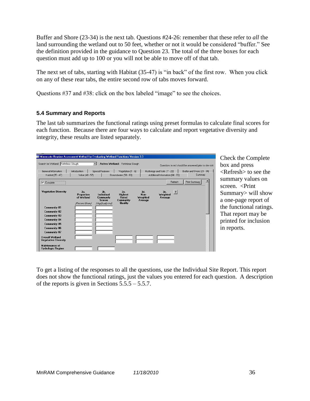Buffer and Shore (23-34) is the next tab. Questions #24-26: remember that these refer to *all* the land surrounding the wetland out to 50 feet, whether or not it would be considered "buffer." See the definition provided in the guidance to Question 23. The total of the three boxes for each question must add up to 100 or you will not be able to move off of that tab.

The next set of tabs, starting with Habitat (35-47) is "in back" of the first row. When you click on any of these rear tabs, the entire second row of tabs moves forward.

Questions #37 and #38: click on the box labeled "image" to see the choices.

## **5.4 Summary and Reports**

The last tab summarizes the functional ratings using preset formulas to calculate final scores for each function. Because there are four ways to calculate and report vegetative diversity and integrity, these results are listed separately.

| <b>Minnesota Routine Assessment Method for Evaluating Wetland Functions Version 3.3</b><br>E. |                                                    |                                                                       |                                                               |                                   |                                              |                                                          |
|-----------------------------------------------------------------------------------------------|----------------------------------------------------|-----------------------------------------------------------------------|---------------------------------------------------------------|-----------------------------------|----------------------------------------------|----------------------------------------------------------|
| Search for Wetland: Fortinbras Slough                                                         |                                                    | $\mathbf{v}$                                                          | Active Wetland: Fortinbras Slough                             |                                   |                                              | Questions in red should be answered prior to site visit. |
| General Information                                                                           | Introduction                                       | <b>Special Features</b>                                               | Vegetation $(1 - 6)$                                          |                                   | Hydrology and Soils (7 - 22)                 | Buffer and Shore (23 - 34)                               |
| Habitat (35 - 47)                                                                             | Value (48 - 57)                                    |                                                                       | Groundwater (58 - 63)                                         |                                   | Additional Information (64 - 72)             | Summary                                                  |
| $\nabla$ Complete                                                                             |                                                    |                                                                       |                                                               |                                   | Refresh                                      | Print Summary                                            |
| <b>Vegetative Diversity</b>                                                                   | 3a.<br>Proportion<br>of Wetland<br>(Percent Given) | $3b$ .<br>Individual<br>Community<br><b>Scores</b><br>NegQuality Indi | Зс.<br><b>Highest</b><br><b>Rated</b><br>Community<br>Quality | 3d<br>Non-<br>Weighted<br>Average | $\overline{?}$<br>Зе.<br>Weighted<br>Average |                                                          |
| Community #1                                                                                  |                                                    |                                                                       |                                                               |                                   |                                              |                                                          |
| <b>Community #2</b>                                                                           |                                                    |                                                                       |                                                               |                                   |                                              |                                                          |
| Community #3                                                                                  |                                                    |                                                                       |                                                               |                                   |                                              |                                                          |
| <b>Community #4</b>                                                                           |                                                    |                                                                       |                                                               |                                   |                                              |                                                          |
| Community #5                                                                                  |                                                    |                                                                       |                                                               |                                   |                                              |                                                          |
| <b>Community #6</b>                                                                           |                                                    |                                                                       |                                                               |                                   |                                              |                                                          |
| Community #7                                                                                  |                                                    |                                                                       |                                                               |                                   |                                              |                                                          |
| <b>Overall Wetland</b><br><b>Vegetative Diversity</b>                                         |                                                    |                                                                       |                                                               |                                   |                                              |                                                          |
| <b>Maintenance of</b><br><b>Hydrologic Regime</b>                                             |                                                    |                                                                       |                                                               |                                   |                                              |                                                          |

Check the Complete box and press <Refresh> to see the summary values on screen. <Print Summary> will show a one-page report of the functional ratings. That report may be printed for inclusion in reports.

To get a listing of the responses to all the questions, use the Individual Site Report. This report does not show the functional ratings, just the values you entered for each question. A description of the reports is given in Sections 5.5.5 – 5.5.7.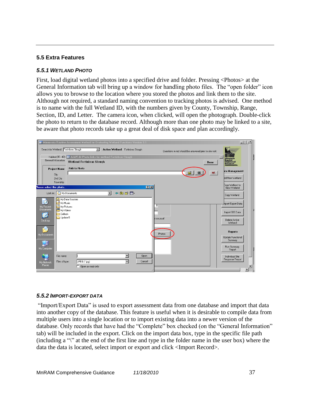### **5.5 Extra Features**

#### *5.5.1 WETLAND PHOTO*

First, load digital wetland photos into a specified drive and folder. Pressing <Photos> at the General Information tab will bring up a window for handling photo files. The "open folder" icon allows you to browse to the location where you stored the photos and link them to the site. Although not required, a standard naming convention to tracking photos is advised. One method is to name with the full Wetland ID, with the numbers given by County, Township, Range, Section, ID, and Letter. The camera icon, when clicked, will open the photograph. Double-click the photo to return to the database record. Although more than one photo may be linked to a site, be aware that photo records take up a great deal of disk space and plan accordingly.



### *5.5.2 IMPORT-EXPORT DATA*

"Import/Export Data" is used to export assessment data from one database and import that data into another copy of the database. This feature is useful when it is desirable to compile data from multiple users into a single location or to import existing data into a newer version of the database. Only records that have had the "Complete" box checked (on the "General Information" tab) will be included in the export. Click on the import data box, type in the specific file path (including a " $\mathcal{C}$ ") at the end of the first line and type in the folder name in the user box) where the data the data is located, select import or export and click <Import Record>.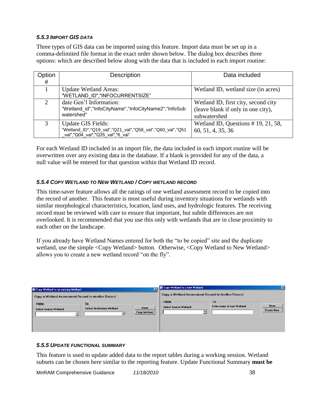## *5.5.3 IMPORT GIS DATA*

Three types of GIS data can be imported using this feature. Import data must be set up in a comma-delimited file format in the exact order shown below. The dialog box describes three options: which are described below along with the data that is included in each import routine:

| Option | Description                                                                                   | Data included                         |
|--------|-----------------------------------------------------------------------------------------------|---------------------------------------|
| #      |                                                                                               |                                       |
|        | <b>Update Wetland Areas:</b>                                                                  | Wetland ID, wetland size (in acres)   |
|        | "WETLAND ID","INFOCURRENTSIZE"                                                                |                                       |
|        | date Gen'l Information:                                                                       | Wetland ID, first city, second city   |
|        | "Wetland_id","InfoCityName","InfoCityName2","InfoSub                                          | (leave blank if only in one city),    |
|        | watershed"                                                                                    | subwatershed                          |
| 3      | <b>Update GIS Fields:</b>                                                                     | Wetland ID, Questions $# 19, 21, 58,$ |
|        | "Wetland_ID","Q19_val","Q21_val","Q58_val","Q60_val","Q51<br>val","Q04 val","Q35 val","6 val" | 60, 51, 4, 35, 36                     |

For each Wetland ID included in an import file, the data included in each import routine will be overwritten over any existing data in the database. If a blank is provided for any of the data, a null value will be entered for that question within that Wetland ID record.

## *5.5.4 COPY WETLAND TO NEW WETLAND / COPY WETLAND RECORD*

This time-saver feature allows all the ratings of one wetland assessment record to be copied into the record of another. This feature is most useful during inventory situations for wetlands with similar morphological characteristics, location, land uses, and hydrologic features. The receiving record must be reviewed with care to ensure that important, but subtle differences are not overlooked. It is recommended that you use this only with wetlands that are in close proximity to each other on the landscape.

If you already have Wetland Names entered for both the "to be copied" site and the duplicate wetland, use the simple <Copy Wetland> button. Otherwise, <Copy Wetland to New Wetland> allows you to create a new wetland record "on the fly".

| E Copy Wetland to an existing Wetland                                                                                                                                  | $\overline{\mathbf{x}}$ | E Copy Wetland to a new Wetland                                                                                                        | $\mathbf{x}$              |
|------------------------------------------------------------------------------------------------------------------------------------------------------------------------|-------------------------|----------------------------------------------------------------------------------------------------------------------------------------|---------------------------|
| Copy a Wetland Assessment Record to Another Record<br><b>FROM:</b><br>TO:<br>Done<br><b>Select destination Wetland</b><br><b>Select Source Wetland</b><br>Copy Wetland |                         | Copy a Wetland Assessment Record to Another Record<br><b>FROM:</b><br>TO:<br>Enter name of new Wetland<br><b>Select Source Wetland</b> | Done<br><b>Create New</b> |

### *5.5.5 UPDATE FUNCTIONAL SUMMARY*

This feature is used to update added data to the report tables during a working session. Wetland subsets can be chosen here similar to the reporting feature. Update Functional Summary **must be**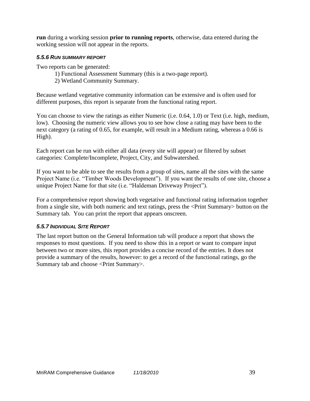**run** during a working session **prior to running reports**, otherwise, data entered during the working session will not appear in the reports.

## *5.5.6 RUN SUMMARY REPORT*

Two reports can be generated:

- 1) Functional Assessment Summary (this is a two-page report).
- 2) Wetland Community Summary.

Because wetland vegetative community information can be extensive and is often used for different purposes, this report is separate from the functional rating report.

You can choose to view the ratings as either Numeric (i.e. 0.64, 1.0) or Text (i.e. high, medium, low). Choosing the numeric view allows you to see how close a rating may have been to the next category (a rating of 0.65, for example, will result in a Medium rating, whereas a 0.66 is High).

Each report can be run with either all data (every site will appear) or filtered by subset categories: Complete/Incomplete, Project, City, and Subwatershed.

If you want to be able to see the results from a group of sites, name all the sites with the same Project Name (i.e. "Timber Woods Development"). If you want the results of one site, choose a unique Project Name for that site (i.e. "Haldeman Driveway Project").

For a comprehensive report showing both vegetative and functional rating information together from a single site, with both numeric and text ratings, press the <Print Summary> button on the Summary tab. You can print the report that appears onscreen.

### *5.5.7 INDIVIDUAL SITE REPORT*

The last report button on the General Information tab will produce a report that shows the responses to most questions. If you need to show this in a report or want to compare input between two or more sites, this report provides a concise record of the entries. It does not provide a summary of the results, however: to get a record of the functional ratings, go the Summary tab and choose <Print Summary>.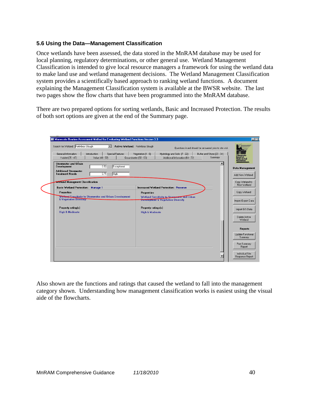## **5.6 Using the Data—Management Classification**

Once wetlands have been assessed, the data stored in the MnRAM database may be used for local planning, regulatory determinations, or other general use. Wetland Management Classification is intended to give local resource managers a framework for using the wetland data to make land use and wetland management decisions. The Wetland Management Classification system provides a scientifically based approach to ranking wetland functions. A document explaining the Management Classification system is available at the BWSR website. The last two pages show the flow charts that have been programmed into the MnRAM database.

There are two prepared options for sorting wetlands, Basic and Increased Protection. The results of both sort options are given at the end of the Summary page.

|                                                                                                        | Questions in red should be answered prior to site visit.                                                                                                   |                                |
|--------------------------------------------------------------------------------------------------------|------------------------------------------------------------------------------------------------------------------------------------------------------------|--------------------------------|
| General Information<br><b>Special Features</b><br>Introduction<br>Value (48 - 57)<br>Habitat (35 - 47) | Vegetation $[1 - 6]$<br>Hydrology and Soils (7 - 22)<br>Buffer and Shore [23 - 34]<br>Summary<br>Groundwater (58 - 63)<br>Additional Information (64 - 72) | ater & So                      |
| Stormwater and Urban                                                                                   |                                                                                                                                                            | <b>ESOUrces</b>                |
| 0.50<br>Development<br>Exceptional                                                                     |                                                                                                                                                            | Data Management                |
| <b>Additional Stormwater</b><br>0.71<br>High<br><b>Treatment Needs</b>                                 |                                                                                                                                                            | Add New Wetland                |
|                                                                                                        |                                                                                                                                                            |                                |
| <b>Wetland Managment Classification</b>                                                                |                                                                                                                                                            | Copy Wetland to<br>New Wetland |
| <b>Basic Wetland Protection: Manage 1</b>                                                              | <b>Increased Wetland Protection: Preserve</b>                                                                                                              |                                |
| <b>Properties</b><br>Wetland Sensitivity to Stormwater and Urban Development                           | <b>Propertries</b>                                                                                                                                         | Copy Wetland                   |
| <b>&amp; Vegetative Diversity</b>                                                                      | Wetland Sensitivity to Stormwater and Urban<br><b>Development &amp; Vegetative Diversity</b>                                                               | Import/Export Data             |
| Property rating(s)                                                                                     | Property ratings(s)                                                                                                                                        | Import GIS Data                |
| <b>High &amp; Moderate</b>                                                                             | <b>High &amp; Moderate</b>                                                                                                                                 |                                |
|                                                                                                        |                                                                                                                                                            | Delete Active<br>Wetland       |
|                                                                                                        |                                                                                                                                                            |                                |
|                                                                                                        |                                                                                                                                                            | Reports                        |
|                                                                                                        |                                                                                                                                                            | Update Functional<br>Summary   |
|                                                                                                        |                                                                                                                                                            | Run Summary                    |

Also shown are the functions and ratings that caused the wetland to fall into the management category shown. Understanding how management classification works is easiest using the visual aide of the flowcharts.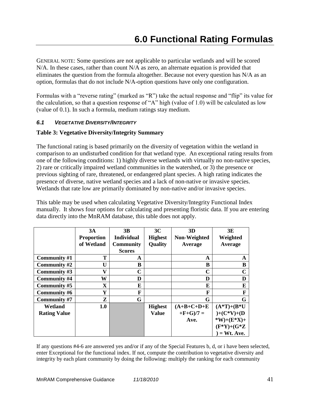GENERAL NOTE: Some questions are not applicable to particular wetlands and will be scored N/A. In these cases, rather than count N/A as zero, an alternate equation is provided that eliminates the question from the formula altogether. Because not every question has N/A as an option, formulas that do not include N/A-option questions have only one configuration.

Formulas with a "reverse rating" (marked as "R") take the actual response and "flip" its value for the calculation, so that a question response of "A" high (value of 1.0) will be calculated as low (value of 0.1). In such a formula, medium ratings stay medium.

## *6.1 VEGETATIVE DIVERSITY/INTEGRITY*

## **Table 3: Vegetative Diversity/Integrity Summary**

The functional rating is based primarily on the diversity of vegetation within the wetland in comparison to an undisturbed condition for that wetland type. An exceptional rating results from one of the following conditions: 1) highly diverse wetlands with virtually no non-native species, 2) rare or critically impaired wetland communities in the watershed, or 3) the presence or previous sighting of rare, threatened, or endangered plant species. A high rating indicates the presence of diverse, native wetland species and a lack of non-native or invasive species. Wetlands that rate low are primarily dominated by non-native and/or invasive species.

This table may be used when calculating Vegetative Diversity/Integrity Functional Index manually. It shows four options for calculating and presenting floristic data. If you are entering data directly into the MnRAM database, this table does not apply.

|                     | 3A                | 3B                | 3C             | 3D           | 3E              |
|---------------------|-------------------|-------------------|----------------|--------------|-----------------|
|                     | <b>Proportion</b> | <b>Individual</b> | <b>Highest</b> | Non-Weighted | Weighted        |
|                     | of Wetland        | <b>Community</b>  | <b>Quality</b> | Average      | Average         |
|                     |                   | <b>Scores</b>     |                |              |                 |
| Community #1        | Т                 | A                 |                | A            | A               |
| Community #2        | U                 | B                 |                | B            | B               |
| Community #3        | V                 | $\mathbf C$       |                | $\mathbf C$  | $\mathbf C$     |
| <b>Community #4</b> | W                 | D                 |                | D            | D               |
| Community #5        | X                 | E                 |                | E            | E               |
| Community #6        | Y                 | F                 |                | F            | F               |
| Community #7        | Z                 | G                 |                | G            | G               |
| Wetland             | 1.0               |                   | <b>Highest</b> | $(A+B+C+D+E$ | $(A*T)+(B*U)$   |
| <b>Rating Value</b> |                   |                   | <b>Value</b>   | $+F+G)/7=$   | $)+(C*V)+(D$    |
|                     |                   |                   |                | Ave.         | *W)+( $E^*X$ )+ |
|                     |                   |                   |                |              | $(F^*Y)+(G^*Z)$ |
|                     |                   |                   |                |              | $= Wt$ . Ave.   |

If any questions #4-6 are answered yes and/or if any of the Special Features b, d, or i have been selected, enter Exceptional for the functional index. If not, compute the contribution to vegetative diversity and integrity by each plant community by doing the following: multiply the ranking for each community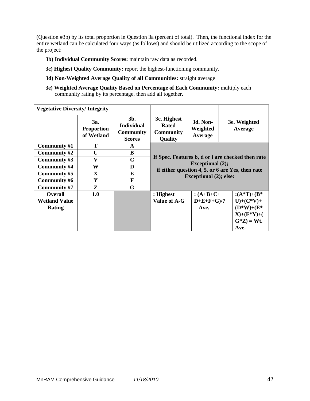(Question #3b) by its total proportion in Question 3a (percent of total). Then, the functional index for the entire wetland can be calculated four ways (as follows) and should be utilized according to the scope of the project:

- **3b) Individual Community Scores:** maintain raw data as recorded.
- **3c) Highest Quality Community:** report the highest-functioning community.
- **3d) Non-Weighted Average Quality of all Communities:** straight average
- **3e) Weighted Average Quality Based on Percentage of Each Community:** multiply each community rating by its percentage, then add all together.

|                      | <b>Vegetative Diversity/Integrity</b>  |                                                                  |                                                                                                                                                                   |                                 |                         |  |  |
|----------------------|----------------------------------------|------------------------------------------------------------------|-------------------------------------------------------------------------------------------------------------------------------------------------------------------|---------------------------------|-------------------------|--|--|
|                      | За.<br><b>Proportion</b><br>of Wetland | $3b$ .<br><b>Individual</b><br><b>Community</b><br><b>Scores</b> | 3c. Highest<br>Rated<br><b>Community</b><br>Quality                                                                                                               | 3d. Non-<br>Weighted<br>Average | 3e. Weighted<br>Average |  |  |
| Community #1         | Т                                      | A                                                                | If Spec. Features b, d or i are checked then rate<br><b>Exceptional</b> (2);<br>if either question 4, 5, or 6 are Yes, then rate<br><b>Exceptional (2); else:</b> |                                 |                         |  |  |
| Community #2         | U                                      | B                                                                |                                                                                                                                                                   |                                 |                         |  |  |
| Community #3         | V                                      | C                                                                |                                                                                                                                                                   |                                 |                         |  |  |
| Community #4         | W                                      | D                                                                |                                                                                                                                                                   |                                 |                         |  |  |
| Community #5         | $\mathbf x$                            | E                                                                |                                                                                                                                                                   |                                 |                         |  |  |
| Community #6         | Y                                      | F                                                                |                                                                                                                                                                   |                                 |                         |  |  |
| Community #7         | Z                                      | G                                                                |                                                                                                                                                                   |                                 |                         |  |  |
| <b>Overall</b>       | 1.0                                    |                                                                  | : Highest                                                                                                                                                         | $: (A+B+C+$                     | : $(A^*T)+(B^*$         |  |  |
| <b>Wetland Value</b> |                                        |                                                                  | Value of A-G                                                                                                                                                      | $D+E+F+G$ )/7                   | $U)+(C*V)+$             |  |  |
| Rating               |                                        |                                                                  |                                                                                                                                                                   | $=$ Ave.                        | $(D^*W) + (E^*$         |  |  |
|                      |                                        |                                                                  |                                                                                                                                                                   |                                 | $X)+(F*Y)+($            |  |  |
|                      |                                        |                                                                  |                                                                                                                                                                   |                                 | $G^*Z$ = Wt.            |  |  |
|                      |                                        |                                                                  |                                                                                                                                                                   |                                 | Ave.                    |  |  |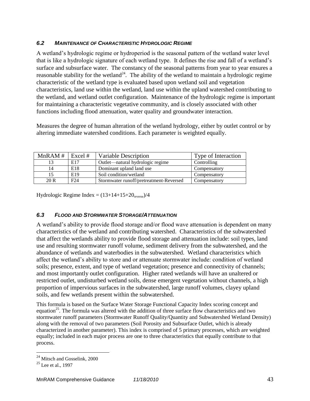## *6.2 MAINTENANCE OF CHARACTERISTIC HYDROLOGIC REGIME*

A wetland's hydrologic regime or hydroperiod is the seasonal pattern of the wetland water level that is like a hydrologic signature of each wetland type. It defines the rise and fall of a wetland's surface and subsurface water. The constancy of the seasonal patterns from year to year ensures a reasonable stability for the wetland<sup>24</sup>. The ability of the wetland to maintain a hydrologic regime characteristic of the wetland type is evaluated based upon wetland soil and vegetation characteristics, land use within the wetland, land use within the upland watershed contributing to the wetland, and wetland outlet configuration. Maintenance of the hydrologic regime is important for maintaining a characteristic vegetative community, and is closely associated with other functions including flood attenuation, water quality and groundwater interaction.

Measures the degree of human alteration of the wetland hydrology, either by outlet control or by altering immediate watershed conditions. Each parameter is weighted equally.

| MnRAM# | Excel $#$       | Variable Description                    | Type of Interaction |
|--------|-----------------|-----------------------------------------|---------------------|
|        | E17             | Outlet—natural hydrologic regime        | Controlling         |
| 14     | E18             | Dominant upland land use                | Compensatory        |
|        | E <sub>19</sub> | Soil condition/wetland                  | Compensatory        |
| 20 R   | F24             | Stormwater runoff/pretreatment-Reversed | Compensatory        |

Hydrologic Regime Index =  $(13+14+15+20)$ <sub>reverse</sub> $)/4$ 

## *6.3 FLOOD AND STORMWATER STORAGE/ATTENUATION*

A wetland's ability to provide flood storage and/or flood wave attenuation is dependent on many characteristics of the wetland and contributing watershed. Characteristics of the subwatershed that affect the wetlands ability to provide flood storage and attenuation include: soil types, land use and resulting stormwater runoff volume, sediment delivery from the subwatershed, and the abundance of wetlands and waterbodies in the subwatershed. Wetland characteristics which affect the wetland's ability to store and or attenuate stormwater include: condition of wetland soils; presence, extent, and type of wetland vegetation; presence and connectivity of channels; and most importantly outlet configuration. Higher rated wetlands will have an unaltered or restricted outlet, undisturbed wetland soils, dense emergent vegetation without channels, a high proportion of impervious surfaces in the subwatershed, large runoff volumes, clayey upland soils, and few wetlands present within the subwatershed.

This formula is based on the Surface Water Storage Functional Capacity Index scoring concept and equation<sup>25</sup>. The formula was altered with the addition of three surface flow characteristics and two stormwater runoff parameters (Stormwater Runoff Quality/Quantity and Subwatershed Wetland Density) along with the removal of two parameters (Soil Porosity and Subsurface Outlet, which is already characterized in another parameter). This index is comprised of 5 primary processes, which are weighted equally; included in each major process are one to three characteristics that equally contribute to that process.

 $\overline{a}$ 

<sup>&</sup>lt;sup>24</sup> Mitsch and Gosselink, 2000

 $25$  Lee et al., 1997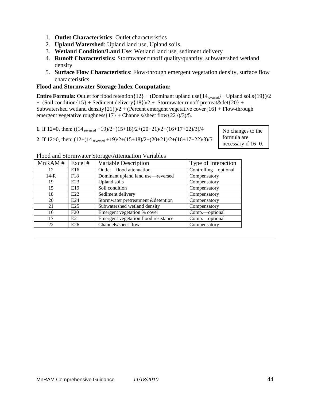- 1. **Outlet Characteristics**: Outlet characteristics
- 2. **Upland Watershed**: Upland land use, Upland soils,
- 3. **Wetland Condition/Land Use**: Wetland land use, sediment delivery
- 4. **Runoff Characteristics:** Stormwater runoff quality/quantity, subwatershed wetland density
- 5. **Surface Flow Characteristics**: Flow-through emergent vegetation density, surface flow characteristics

## **Flood and Stormwater Storage Index Computation:**

**Entire Formula:** Outlet for flood retention $\{12\} + ($ Dominant upland use $\{14_{\text{reversed}}\} +$  Upland soils $\{19\}/2$ + (Soil condition{15} + Sediment delivery{18})/2 + Stormwater runoff pretreat&det{20} + Subwatershed wetland density $\{21\}/2 +$  (Percent emergent vegetative cover $\{16\} +$  Flow-through emergent vegetative roughness $\{17\}$  + Channels/sheet flow $\{22\}/3$ /3)/5.

**1**. If 12=0, then: ((14 reversed +19)/2+(15+18)/2+(20+21)/2+(16**+**17+22)/3)/4

**2**. If 12>0, then: (12+(14 reversed +19)/2+(15+18)/2+(20+21)/2+(16+17+22)/3)/5

No changes to the formula are necessary if 16=0.

| MnRAM# | Excel #         | Variable Description                 | Type of Interaction  |
|--------|-----------------|--------------------------------------|----------------------|
| 12     | E16             | Outlet-flood attenuation             | Controlling-optional |
| $14-R$ | F18             | Dominant upland land use-reversed    | Compensatory         |
| 19     | E23             | Upland soils                         | Compensatory         |
| 15     | E <sub>19</sub> | Soil condition                       | Compensatory         |
| 18     | E22             | Sediment delivery                    | Compensatory         |
| 20     | E24             | Stormwater pretreatment &detention   | Compensatory         |
| 21     | E25             | Subwatershed wetland density         | Compensatory         |
| 16     | F20             | Emergent vegetation % cover          | Comp.-optional       |
| 17     | E <sub>21</sub> | Emergent vegetation flood resistance | Comp.—optional       |
| 22     | E <sub>26</sub> | Channels/sheet flow                  | Compensatory         |

### Flood and Stormwater Storage/Attenuation Variables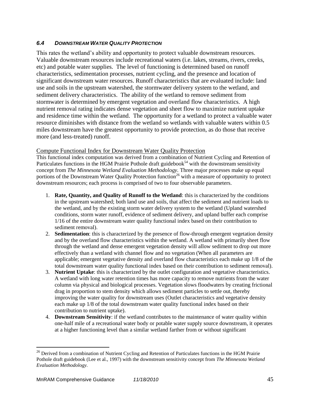## *6.4 DOWNSTREAM WATER QUALITY PROTECTION*

This rates the wetland's ability and opportunity to protect valuable downstream resources. Valuable downstream resources include recreational waters (i.e. lakes, streams, rivers, creeks, etc) and potable water supplies. The level of functioning is determined based on runoff characteristics, sedimentation processes, nutrient cycling, and the presence and location of significant downstream water resources. Runoff characteristics that are evaluated include: land use and soils in the upstream watershed, the stormwater delivery system to the wetland, and sediment delivery characteristics. The ability of the wetland to remove sediment from stormwater is determined by emergent vegetation and overland flow characteristics. A high nutrient removal rating indicates dense vegetation and sheet flow to maximize nutrient uptake and residence time within the wetland. The opportunity for a wetland to protect a valuable water resource diminishes with distance from the wetland so wetlands with valuable waters within 0.5 miles downstream have the greatest opportunity to provide protection, as do those that receive more (and less-treated) runoff.

#### Compute Functional Index for Downstream Water Quality Protection

This functional index computation was derived from a combination of Nutrient Cycling and Retention of Particulates functions in the HGM Prairie Pothole draft guidebook<sup>54</sup> with the downstream sensitivity concept from *The Minnesota Wetland Evaluation Methodology.* Three major processes make up equal portions of the Downstream Water Quality Protection function<sup>26</sup> with a measure of opportunity to protect downstream resources; each process is comprised of two to four observable parameters.

- 1. **Rate, Quantity, and Quality of Runoff to the Wetland**: this is characterized by the conditions in the upstream watershed; both land use and soils, that affect the sediment and nutrient loads to the wetland, and by the existing storm water delivery system to the wetland (Upland watershed conditions, storm water runoff, evidence of sediment delivery, and upland buffer each comprise 1/16 of the entire downstream water quality functional index based on their contribution to sediment removal).
- 2. **Sedimentation**: this is characterized by the presence of flow-through emergent vegetation density and by the overland flow characteristics within the wetland. A wetland with primarily sheet flow through the wetland and dense emergent vegetation density will allow sediment to drop out more effectively than a wetland with channel flow and no vegetation (When all parameters are applicable; emergent vegetative density and overland flow characteristics each make up 1/8 of the total downstream water quality functional index based on their contribution to sediment removal).
- 3. **Nutrient Uptake**: this is characterized by the outlet configuration and vegetative characteristics. A wetland with long water retention times has more capacity to remove nutrients from the water column via physical and biological processes. Vegetation slows floodwaters by creating frictional drag in proportion to stem density which allows sediment particles to settle out, thereby improving the water quality for downstream uses (Outlet characteristics and vegetative density each make up 1/8 of the total downstream water quality functional index based on their contribution to nutrient uptake).
- 4. **Downstream Sensitivity**: if the wetland contributes to the maintenance of water quality within one-half mile of a recreational water body or potable water supply source downstream, it operates at a higher functioning level than a similar wetland farther from or without significant

 $\overline{a}$ 

<sup>&</sup>lt;sup>26</sup> Derived from a combination of Nutrient Cycling and Retention of Particulates functions in the HGM Prairie Pothole draft guidebook (Lee et al., 1997) with the downstream sensitivity concept from *The Minnesota Wetland Evaluation Methodology.*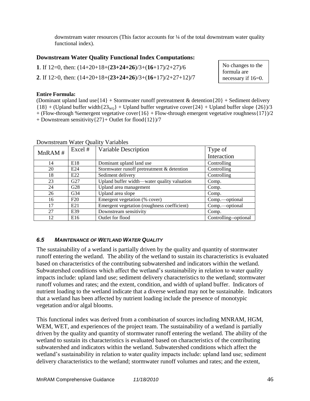downstream water resources (This factor accounts for ¼ of the total downstream water quality functional index).

## **Downstream Water Quality Functional Index Computations:**

**1**. If 12=0, then: (14+20+18+(**23+24+26**)/3+(**16**+17)/2+27)/6 **2**. If 12>0, then: (14+20+18+(**23+24+26**)/3+(**16**+17)/2+27+12)/7 No changes to the formula are necessary if 16=0.

#### **Entire Formula:**

(Dominant upland land use  $\{14\}$  + Stormwater runoff pretreatment & detention  $\{20\}$  + Sediment delivery  ${18} +$  (Upland buffer width ${23_{\text{wo}}}$  + Upland buffer vegetative cover  ${24}$  + Upland buffer slope  ${26}$ )/3  $+$  (Flow-through %emergent vegetative cover{16} + Flow-through emergent vegetative roughness{17})/2 + Downstream sensitivity{27}+ Outlet for flood{12})/7

| MnRAM# | Excel #         | Variable Description                        | Type of               |
|--------|-----------------|---------------------------------------------|-----------------------|
|        |                 |                                             | Interaction           |
| 14     | E18             | Dominant upland land use                    | Controlling           |
| 20     | E <sub>24</sub> | Stormwater runoff pretreatment & detention  | Controlling           |
| 18     | E <sub>22</sub> | Sediment delivery                           | Controlling           |
| 23     | G27             | Upland buffer width—water quality valuation | Comp.                 |
| 24     | G28             | Upland area management                      | Comp.                 |
| 26     | G <sub>34</sub> | Upland area slope                           | Comp.                 |
| 16     | F20             | Emergent vegetation (% cover)               | Comp.—optional        |
| 17     | E <sub>21</sub> | Emergent vegetation (roughness coefficient) | Comp.-optional        |
| 27     | E39             | Downstream sensitivity                      | Comp.                 |
| 12     | E <sub>16</sub> | Outlet for flood                            | Controlling--optional |

### Downstream Water Quality Variables

## *6.5 MAINTENANCE OF WETLAND WATER QUALITY*

The sustainability of a wetland is partially driven by the quality and quantity of stormwater runoff entering the wetland. The ability of the wetland to sustain its characteristics is evaluated based on characteristics of the contributing subwatershed and indicators within the wetland. Subwatershed conditions which affect the wetland's sustainability in relation to water quality impacts include: upland land use; sediment delivery characteristics to the wetland; stormwater runoff volumes and rates; and the extent, condition, and width of upland buffer. Indicators of nutrient loading to the wetland indicate that a diverse wetland may not be sustainable. Indicators that a wetland has been affected by nutrient loading include the presence of monotypic vegetation and/or algal blooms.

This functional index was derived from a combination of sources including MNRAM, HGM, WEM, WET, and experiences of the project team. The sustainability of a wetland is partially driven by the quality and quantity of stormwater runoff entering the wetland. The ability of the wetland to sustain its characteristics is evaluated based on characteristics of the contributing subwatershed and indicators within the wetland. Subwatershed conditions which affect the wetland's sustainability in relation to water quality impacts include: upland land use; sediment delivery characteristics to the wetland; stormwater runoff volumes and rates; and the extent,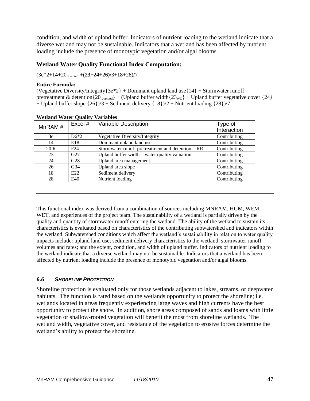condition, and width of upland buffer. Indicators of nutrient loading to the wetland indicate that a diverse wetland may not be sustainable. Indicators that a wetland has been affected by nutrient loading include the presence of monotypic vegetation and/or algal blooms.

## **Wetland Water Quality Functional Index Computation:**

(3e\*2+14+20reversed +(**23**+**24**+**26)/**3+18+28)/7

#### **Entire Formula:**

(Vegetative Diversity/Integrity $\{3e^*2\}$  + Dominant upland land use $\{14\}$  + Stormwater runoff pretreatment & detention ${20<sub>reversed</sub>} + {Upland buffer width{23<sub>WO</sub>} + Upland buffer vegetative cover {24}}$ + Upland buffer slope  $\{26\}/3$  + Sediment delivery  $\{18\}/2$  + Nutrient loading  $\{28\}/7$ 

| MnRAM $#$ | Excel #         | Variable Description                            | Type of<br>Interaction          |
|-----------|-----------------|-------------------------------------------------|---------------------------------|
| 3e        | $D6*2$          | Vegetative Diversity/Integrity                  | Contributing                    |
| 14        | E18             | Dominant upland land use                        | $\overline{\text{Continuting}}$ |
| 20 R      | F24             | Stormwater runoff pretreatment and detention-RR | Contributing                    |
| 23        | G27             | Upland buffer width—water quality valuation     | Contributing                    |
| 24        | G28             | Upland area management                          | Contributing                    |
| 26        | G <sub>34</sub> | Upland area slope                               | Contributing                    |
| 18        | E22             | Sediment delivery                               | Contributing                    |
| 28        | E40             | Nutrient loading                                | Contributing                    |

|  | <b>Wetland Water Quality Variables</b> |
|--|----------------------------------------|
|  |                                        |

This functional index was derived from a combination of sources including MNRAM, HGM, WEM, WET, and experiences of the project team. The sustainability of a wetland is partially driven by the quality and quantity of stormwater runoff entering the wetland. The ability of the wetland to sustain its characteristics is evaluated based on characteristics of the contributing subwatershed and indicators within the wetland. Subwatershed conditions which affect the wetland's sustainability in relation to water quality impacts include: upland land use; sediment delivery characteristics to the wetland; stormwater runoff volumes and rates; and the extent, condition, and width of upland buffer. Indicators of nutrient loading to the wetland indicate that a diverse wetland may not be sustainable. Indicators that a wetland has been affected by nutrient loading include the presence of monotypic vegetation and/or algal blooms.

### *6.6 SHORELINE PROTECTION*

Shoreline protection is evaluated only for those wetlands adjacent to lakes, streams, or deepwater habitats. The function is rated based on the wetlands opportunity to protect the shoreline; i.e. wetlands located in areas frequently experiencing large waves and high currents have the best opportunity to protect the shore. In addition, shore areas composed of sands and loams with little vegetation or shallow-rooted vegetation will benefit the most from shoreline wetlands. The wetland width, vegetative cover, and resistance of the vegetation to erosive forces determine the wetland's ability to protect the shoreline.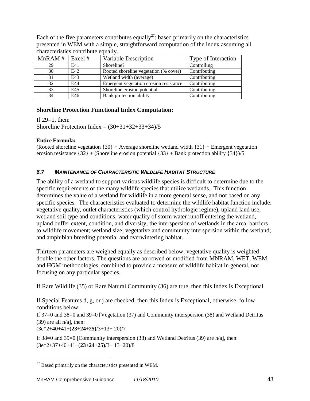| characteristics contribute equally. |     |                                        |                     |  |  |
|-------------------------------------|-----|----------------------------------------|---------------------|--|--|
| MnRAM $\#$   Excel $\#$             |     | Variable Description                   | Type of Interaction |  |  |
| 29                                  | E41 | Shoreline?                             | Controlling         |  |  |
| 30                                  | E42 | Rooted shoreline vegetation (% cover)  | Contributing        |  |  |
| 31                                  | E43 | Wetland width (average)                | Contributing        |  |  |
| 32                                  | E44 | Emergent vegetation erosion resistance | Contributing        |  |  |
| 33                                  | E45 | Shoreline erosion potential            | Contributing        |  |  |
| 34                                  | E46 | Bank protection ability                | Contributing        |  |  |

Each of the five parameters contributes equally<sup>27</sup>: based primarily on the characteristics presented in WEM with a simple, straightforward computation of the index assuming all characteristics contribute equally.

## **Shoreline Protection Functional Index Computation:**

If  $29=1$ , then:

Shoreline Protection Index =  $(30+31+32+33+34)/5$ 

### **Entire Formula:**

(Rooted shoreline vegetation  $\{30\}$  + Average shoreline wetland width  $\{31\}$  + Emergent vegetation erosion resistance  $\{32\}$  + (Shoreline erosion potential  $\{33\}$  + Bank protection ability  $\{34\}/5$ 

## *6.7 MAINTENANCE OF CHARACTERISTIC WILDLIFE HABITAT STRUCTURE*

The ability of a wetland to support various wildlife species is difficult to determine due to the specific requirements of the many wildlife species that utilize wetlands. This function determines the value of a wetland for wildlife in a more general sense, and not based on any specific species. The characteristics evaluated to determine the wildlife habitat function include: vegetative quality, outlet characteristics (which control hydrologic regime), upland land use, wetland soil type and conditions, water quality of storm water runoff entering the wetland, upland buffer extent, condition, and diversity; the interspersion of wetlands in the area; barriers to wildlife movement; wetland size; vegetative and community interspersion within the wetland; and amphibian breeding potential and overwintering habitat.

Thirteen parameters are weighed equally as described below; vegetative quality is weighted double the other factors. The questions are borrowed or modified from MNRAM, WET, WEM, and HGM methodologies, combined to provide a measure of wildlife habitat in general, not focusing on any particular species.

If Rare Wildlife (35) or Rare Natural Community (36) are true, then this Index is Exceptional.

If Special Features d, g, or j are checked, then this Index is Exceptional, otherwise, follow conditions below:

If 37=0 and 38=0 and 39=0 [Vegetation (37) and Community interspersion (38) and Wetland Detritus  $(39)$  are all  $n/a$ , then:

(3e\*2+40+41+(**23**+**24**+**25)**/3+13+ 20)/7

 $\overline{a}$ 

If 38=0 and 39=0 [Community interspersion (38) and Wetland Detritus (39) are  $n/a$ ], then: (3e\*2+37+40+41+(**23**+**24**+**25)**/3+ 13+20)/8

 $^{27}$  Based primarily on the characteristics presented in WEM.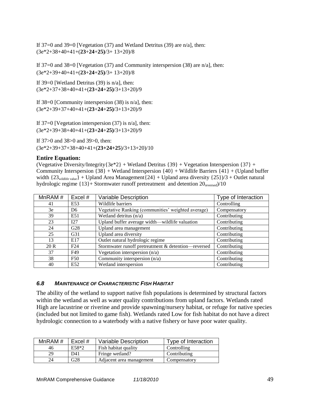If 37=0 and 39=0 [Vegetation (37) and Wetland Detritus (39) are n/a], then: (3e\*2+38+40+41+(**23**+**24**+**25)**/3+ 13+20)/8

If 37=0 and 38=0 [Vegetation (37) and Community interspersion (38) are  $n/a$ ], then: (3e\*2+39+40+41+(**23**+**24**+**25)**/3+ 13+20)/8

If 39=0 [Wetland Detritus  $(39)$  is n/a], then: (3e\*2+37+38+40+41+(**23**+**24**+**25)**/3+13+20)/9

If  $38=0$  [Community interspersion (38) is n/a], then: (3e\*2+39+37+40+41+(**23**+**24**+**25)**/3+13+20)/9

If  $37=0$  [Vegetation interspersion  $(37)$  is n/a], then: (3e\*2+39+38+40+41+(**23**+**24**+**25)**/3+13+20)/9

If 37>0 and 38>0 and 39>0, then: (3e\*2+39+37+38+40+41+(**23+24+25**)/3+13+20)/10

#### **Entire Equation:**

(Vegetative Diversity/Integrity ${3e^*2}$  + Wetland Detritus  ${39}$  + Vegetation Interspersion  ${37}$  + Community Interspersion  $\{38\}$  + Wetland Interspersion  $\{40\}$  + Wildlife Barriers  $\{41\}$  + (Upland buffer width  $\{23_{\text{width}}\}$  + Upland Area Management $\{24\}$  + Upland area diversity  $\{25\}/3$  + Outlet natural hydrologic regime  $\{13\}$ + Stormwater runoff pretreatment and detention  $20_{\text{reversed}}/10$ 

| MnRAM # | Excel #         | <b>Variable Description</b>                         | Type of Interaction |
|---------|-----------------|-----------------------------------------------------|---------------------|
| 41      | E53             | Wildlife barriers                                   | Controlling         |
| 3e      | D <sub>6</sub>  | Vegetative Ranking (communities' weighted average)  | Compensatory        |
| 39      | E51             | Wetland detritus (n/a)                              | Contributing        |
| 23      | I27             | Upland buffer average width—wildlife valuation      | Contributing        |
| 24      | G28             | Upland area management                              | Contributing        |
| 25      | G31             | Upland area diversity                               | Contributing        |
| 13      | E17             | Outlet natural hydrologic regime                    | Contributing        |
| 20 R    | F24             | Stormwater runoff pretreatment & detention-reversed | Contributing        |
| 37      | F49             | Vegetation interspersion $(n/a)$                    | Contributing        |
| 38      | F <sub>50</sub> | Community interspersion (n/a)                       | Contributing        |
| 40      | E52             | Wetland interspersion                               | Contributing        |

### *6.8 MAINTENANCE OF CHARACTERISTIC FISH HABITAT*

The ability of the wetland to support native fish populations is determined by structural factors within the wetland as well as water quality contributions from upland factors. Wetlands rated High are lacustrine or riverine and provide spawning/nursery habitat, or refuge for native species (included but not limited to game fish). Wetlands rated Low for fish habitat do not have a direct hydrologic connection to a waterbody with a native fishery or have poor water quality.

| MnRAM # | Excel $#$ | Variable Description     | Type of Interaction |
|---------|-----------|--------------------------|---------------------|
| 46      | $E58*2$   | Fish habitat quality     | Controlling         |
| 29      | D41       | Fringe wetland?          | Contributing        |
| 24      | G28       | Adjacent area management | Compensatory        |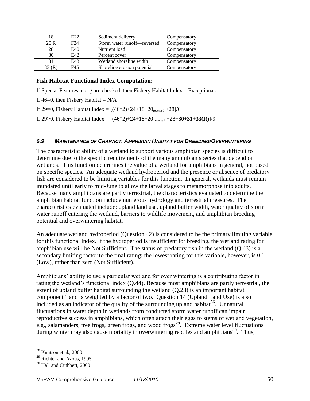|       | E22 | Sediment delivery           | Compensatory |
|-------|-----|-----------------------------|--------------|
| 20 R  | F24 | Storm water runoff-reversed | Compensatory |
| 28    | E40 | Nutrient load               | Compensatory |
| 30    | E42 | Percent cover               | Compensatory |
|       | E43 | Wetland shoreline width     | Compensatory |
| 33(R) | F45 | Shoreline erosion potential | Compensatory |

### **Fish Habitat Functional Index Computation:**

If Special Features a or g are checked, then Fishery Habitat Index  $=$  Exceptional.

If  $46=0$ , then Fishery Habitat = N/A

If 29=0, Fishery Habitat Index =  $[(46*2)+24+18+20<sub>reversed</sub> +28]/6$ 

If 29>0, Fishery Habitat Index = [(46\*2)+24+18+20 reversed +28+**30**+**31**+**33(R)**]/9

#### *6.9 MAINTENANCE OF CHARACT. AMPHIBIAN HABITAT FOR BREEDING/OVERWINTERING*

The characteristic ability of a wetland to support various amphibian species is difficult to determine due to the specific requirements of the many amphibian species that depend on wetlands. This function determines the value of a wetland for amphibians in general, not based on specific species. An adequate wetland hydroperiod and the presence or absence of predatory fish are considered to be limiting variables for this function. In general, wetlands must remain inundated until early to mid-June to allow the larval stages to metamorphose into adults. Because many amphibians are partly terrestrial, the characteristics evaluated to determine the amphibian habitat function include numerous hydrology and terrestrial measures. The characteristics evaluated include: upland land use, upland buffer width, water quality of storm water runoff entering the wetland, barriers to wildlife movement, and amphibian breeding potential and overwintering habitat.

An adequate wetland hydroperiod (Question 42) is considered to be the primary limiting variable for this functional index. If the hydroperiod is insufficient for breeding, the wetland rating for amphibian use will be Not Sufficient. The status of predatory fish in the wetland (Q.43) is a secondary limiting factor to the final rating; the lowest rating for this variable, however, is 0.1 (Low), rather than zero (Not Sufficient).

Amphibians' ability to use a particular wetland for over wintering is a contributing factor in rating the wetland's functional index (Q.44). Because most amphibians are partly terrestrial, the extent of upland buffer habitat surrounding the wetland  $(Q.23)$  is an important habitat component<sup>28</sup> and is weighted by a factor of two. Question 14 (Upland Land Use) is also included as an indicator of the quality of the surrounding upland habitat<sup>56</sup>. Unnatural fluctuations in water depth in wetlands from conducted storm water runoff can impair reproductive success in amphibians, which often attach their eggs to stems of wetland vegetation, e.g., salamanders, tree frogs, green frogs, and wood frogs<sup>29</sup>. Extreme water level fluctuations during winter may also cause mortality in overwintering reptiles and amphibians<sup>30</sup>. Thus,

 $\overline{a}$ 

 $^{28}$  Knutson et al., 2000

 $29$  Richter and Azous, 1995

<sup>&</sup>lt;sup>30</sup> Hall and Cuthbert, 2000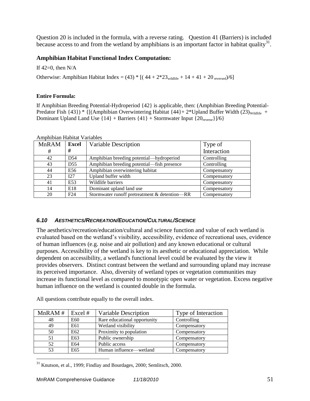Question 20 is included in the formula, with a reverse rating. Question 41 (Barriers) is included because access to and from the wetland by amphibians is an important factor in habitat quality<sup>31</sup>.

## **Amphibian Habitat Functional Index Computation:**

If  $42=0$ , then  $N/A$ 

Otherwise: Amphibian Habitat Index =  $(43)$  \* [ $(44 + 2 \times 23$ <sub>wildlife</sub> + 14 + 41 + 20 <sub>reversed</sub>)/6]

#### **Entire Formula:**

If Amphibian Breeding Potential-Hydroperiod {42} is applicable, then: (Amphibian Breeding Potential-Predator Fish  $\{43\}$ ) \*  $\{[(Amphibian Overview-Habitat\{44\}+2*UpdateBul]$ Buffer Width  $(23)_{\text{Wildiffe}}$  + Dominant Upland Land Use  $\{14\}$  + Barriers  $\{41\}$  + Stormwater Input  $\{20_{\text{reverse}}\}/6$ 

| <b>MnRAM</b> | <b>Excel</b>    | Variable Description                          | Type of      |
|--------------|-----------------|-----------------------------------------------|--------------|
| #            | #               |                                               | Interaction  |
| 42           | D <sub>54</sub> | Amphibian breeding potential—hydroperiod      | Controlling  |
| 43           | D <sub>55</sub> | Amphibian breeding potential—fish presence    | Controlling  |
| 44           | E56             | Amphibian overwintering habitat               | Compensatory |
| 23           | I27             | Upland buffer width                           | Compensatory |
| 41           | E53             | Wildlife barriers                             | Compensatory |
| 14           | E18             | Dominant upland land use                      | Compensatory |
| 20           | F24             | Stormwater runoff pretreatment & detention-RR | Compensatory |

Amphibian Habitat Variables

### *6.10 AESTHETICS/RECREATION/EDUCATION/CULTURAL/SCIENCE*

The aesthetics/recreation/education/cultural and science function and value of each wetland is evaluated based on the wetland's visibility, accessibility, evidence of recreational uses, evidence of human influences (e.g. noise and air pollution) and any known educational or cultural purposes. Accessibility of the wetland is key to its aesthetic or educational appreciation. While dependent on accessibility, a wetland's functional level could be evaluated by the view it provides observers. Distinct contrast between the wetland and surrounding upland may increase its perceived importance. Also, diversity of wetland types or vegetation communities may increase its functional level as compared to monotypic open water or vegetation. Excess negative human influence on the wetland is counted double in the formula.

| MnRAM # | Excel # | Variable Description         | Type of Interaction |
|---------|---------|------------------------------|---------------------|
| 48      | E60     | Rare educational opportunity | Controlling         |
| 49      | E61     | Wetland visibility           | Compensatory        |
| 50      | E62     | Proximity to population      | Compensatory        |
| 51      | E63     | Public ownership             | Compensatory        |
| 52      | E64     | Public access                | Compensatory        |
| 53      | E65     | Human influence—wetland      | Compensatory        |

All questions contribute equally to the overall index.

 $\overline{a}$ 

<sup>31</sup> Knutson, et al., 1999; Findlay and Bourdages, 2000; Semlitsch, 2000.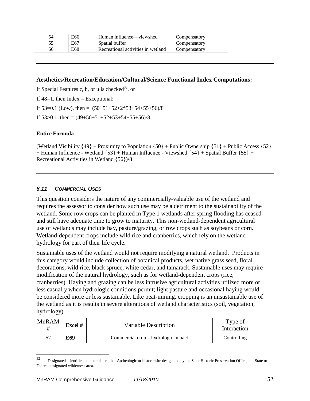| 54   | E66 | Human influence—viewshed           | Compensatory |
|------|-----|------------------------------------|--------------|
| ر. ر | E67 | Spatial buffer                     | Compensatorv |
|      | E68 | Recreational activities in wetland | Compensatorv |

### **Aesthetics/Recreation/Education/Cultural/Science Functional Index Computations:**

If Special Features c, h, or u is checked<sup>32</sup>, or If  $48=1$ , then Index = Exceptional; If  $53=0.1$  (Low), then =  $(50+51+52+2*53+54+55+56)/8$ If  $53 > 0.1$ , then =  $(49 + 50 + 51 + 52 + 53 + 54 + 55 + 56)$ /8

#### **Entire Formula**

 $\overline{a}$ 

(Wetland Visibility  $\{49\}$  + Proximity to Population  $\{50\}$  + Public Ownership  $\{51\}$  + Public Access  $\{52\}$ + Human Influence - Wetland {53} + Human Influence - Viewshed {54} + Spatial Buffer {55} + Recreational Activities in Wetland {56})/8

### *6.11 COMMERCIAL USES*

This question considers the nature of any commercially-valuable use of the wetland and requires the assessor to consider how such use may be a detriment to the sustainability of the wetland. Some row crops can be planted in Type 1 wetlands after spring flooding has ceased and still have adequate time to grow to maturity. This non-wetland-dependent agricultural use of wetlands may include hay, pasture/grazing, or row crops such as soybeans or corn. Wetland-dependent crops include wild rice and cranberries, which rely on the wetland hydrology for part of their life cycle.

Sustainable uses of the wetland would not require modifying a natural wetland. Products in this category would include collection of botanical products, wet native grass seed, floral decorations, wild rice, black spruce, white cedar, and tamarack. Sustainable uses may require modification of the natural hydrology, such as for wetland-dependent crops (rice, cranberries). Haying and grazing can be less intrusive agricultural activities utilized more or less casually when hydrologic conditions permit; light pasture and occasional haying would be considered more or less sustainable. Like peat-mining, cropping is an unsustainable use of the wetland as it is results in severe alterations of wetland characteristics (soil, vegetation, hydrology).

| <b>MnRAM</b><br># | <b>Excel</b> # | Variable Description              | Type of<br>Interaction |
|-------------------|----------------|-----------------------------------|------------------------|
| 57                | E69            | Commercial crop—hydrologic impact | Controlling            |

 $32$  c = Designated scientific and natural area; h = Archeologic or historic site designated by the State Historic Preservation Office; u = State or Federal designated wilderness area.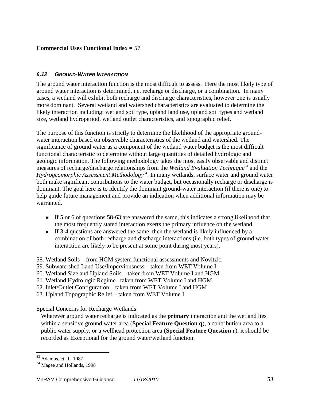## **Commercial Uses Functional Index =** 57

#### *6.12 GROUND-WATER INTERACTION*

The ground water interaction function is the most difficult to assess. Here the most likely type of ground water interaction is determined, i.e. recharge or discharge, or a combination. In many cases, a wetland will exhibit both recharge and discharge characteristics, however one is usually more dominant. Several wetland and watershed characteristics are evaluated to determine the likely interaction including: wetland soil type, upland land use, upland soil types and wetland size, wetland hydroperiod, wetland outlet characteristics, and topographic relief.

The purpose of this function is strictly to determine the likelihood of the appropriate groundwater interaction based on observable characteristics of the wetland and watershed. The significance of ground water as a component of the wetland water budget is the most difficult functional characteristic to determine without large quantities of detailed hydrologic and geologic information. The following methodology takes the most easily observable and distinct measures of recharge/discharge relationships from the *Wetland Evaluation Technique<sup>33</sup>* and the *Hydrogeomorphic Assessment Methodology<sup>34</sup>* . In many wetlands, surface water and ground water both make significant contributions to the water budget, but occasionally recharge or discharge is dominant. The goal here is to identify the dominant ground-water interaction (if there is one) to help guide future management and provide an indication when additional information may be warranted.

- If 5 or 6 of questions 58-63 are answered the same, this indicates a strong likelihood that the most frequently stated interaction exerts the primary influence on the wetland.
- If 3-4 questions are answered the same, then the wetland is likely influenced by a combination of both recharge and discharge interactions (i.e. both types of ground water interaction are likely to be present at some point during most years).
- 58. Wetland Soils from HGM system functional assessments and Novitzki
- 59. Subwatershed Land Use/Imperviousness taken from WET Volume I
- 60. Wetland Size and Upland Soils taken from WET Volume I and HGM
- 61. Wetland Hydrologic Regime– taken from WET Volume I and HGM
- 62. Inlet/Outlet Configuration taken from WET Volume I and HGM
- 63. Upland Topographic Relief taken from WET Volume I

Special Concerns for Recharge Wetlands

Wherever ground water recharge is indicated as the **primary** interaction and the wetland lies within a sensitive ground water area (**Special Feature Question q**), a contribution area to a public water supply, or a wellhead protection area (**Special Feature Question r**), it should be recorded as Exceptional for the ground water/wetland function.

 $\overline{a}$ 

<sup>33</sup> Adamus, et al., 1987

<sup>&</sup>lt;sup>34</sup> Magee and Hollands, 1998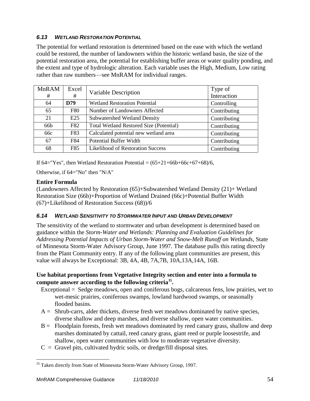## *6.13 WETLAND RESTORATION POTENTIAL*

The potential for wetland restoration is determined based on the ease with which the wetland could be restored, the number of landowners within the historic wetland basin, the size of the potential restoration area, the potential for establishing buffer areas or water quality ponding, and the extent and type of hydrologic alteration. Each variable uses the High, Medium, Low rating rather than raw numbers—see MnRAM for individual ranges.

| <b>MnRAM</b><br># | Excel<br>#      | Variable Description                           | Type of<br>Interaction |
|-------------------|-----------------|------------------------------------------------|------------------------|
| 64                | D79             | <b>Wetland Restoration Potential</b>           | Controlling            |
| 65                | F80             | Number of Landowners Affected                  | Contributing           |
| 21                | E <sub>25</sub> | <b>Subwatershed Wetland Density</b>            | Contributing           |
| 66 <sub>b</sub>   | F82             | <b>Total Wetland Restored Size (Potential)</b> | Contributing           |
| 66c               | F83             | Calculated potential new wetland area          | Contributing           |
| 67                | F84             | Potential Buffer Width                         | Contributing           |
| 68                | F85             | <b>Likelihood of Restoration Success</b>       | Contributing           |

If  $64 =$  Yes", then Wetland Restoration Potential =  $(65+21+66b+66c+67+68)/6$ ,

Otherwise, if 64="No" then "N/A"

## **Entire Formula**

(Landowners Affected by Restoration (65)+Subwatershed Wetland Density (21)+ Wetland Restoration Size (66b)+Proportion of Wetland Drained (66c)+Potential Buffer Width (67)+Likelihood of Restoration Success (68))/6

## *6.14 WETLAND SENSITIVITY TO STORMWATER INPUT AND URBAN DEVELOPMENT*

The sensitivity of the wetland to stormwater and urban development is determined based on guidance within the *Storm-Water and Wetlands: Planning and Evaluation Guidelines for Addressing Potential Impacts of Urban Storm-Water and Snow-Melt Runoff on Wetlands*, State of Minnesota Storm-Water Advisory Group, June 1997. The database pulls this rating directly from the Plant Community entry. If any of the following plant communities are present, this value will always be Exceptional: 3B, 4A, 4B, 7A,7B, 10A,13A,14A, 16B.

## **Use habitat proportions from Vegetative Integrity section and enter into a formula to compute answer according to the following criteria<sup>35</sup> .**

- Exceptional = Sedge meadows, open and coniferous bogs, calcareous fens, low prairies, wet to wet-mesic prairies, coniferous swamps, lowland hardwood swamps, or seasonally flooded basins.
- A = Shrub-carrs, alder thickets, diverse fresh wet meadows dominated by native species, diverse shallow and deep marshes, and diverse shallow, open water communities.
- $B =$  Floodplain forests, fresh wet meadows dominated by reed canary grass, shallow and deep marshes dominated by cattail, reed canary grass, giant reed or purple loosestrife, and shallow, open water communities with low to moderate vegetative diversity.
- $C =$  Gravel pits, cultivated hydric soils, or dredge/fill disposal sites.

 $\overline{a}$  $35$  Taken directly from State of Minnesota Storm-Water Advisory Group, 1997.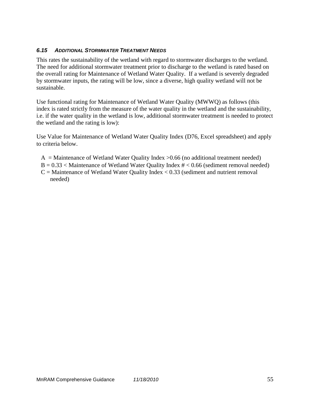## *6.15 ADDITIONAL STORMWATER TREATMENT NEEDS*

This rates the sustainability of the wetland with regard to stormwater discharges to the wetland. The need for additional stormwater treatment prior to discharge to the wetland is rated based on the overall rating for Maintenance of Wetland Water Quality. If a wetland is severely degraded by stormwater inputs, the rating will be low, since a diverse, high quality wetland will not be sustainable.

Use functional rating for Maintenance of Wetland Water Quality (MWWQ) as follows (this index is rated strictly from the measure of the water quality in the wetland and the sustainability, i.e. if the water quality in the wetland is low, additional stormwater treatment is needed to protect the wetland and the rating is low):

Use Value for Maintenance of Wetland Water Quality Index (D76, Excel spreadsheet) and apply to criteria below.

- $A =$ Maintenance of Wetland Water Quality Index  $> 0.66$  (no additional treatment needed)
- $B = 0.33$  < Maintenance of Wetland Water Quality Index  $\#$  < 0.66 (sediment removal needed)
- $C =$  Maintenance of Wetland Water Quality Index  $< 0.33$  (sediment and nutrient removal needed)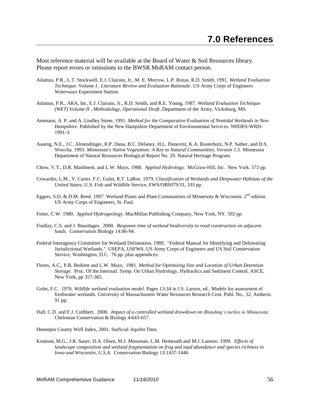Most reference material will be available at the Board of Water & Soil Resources library. Please report errors or omissions to the BWSR MnRAM contact person.

- Adamus, P.R., L.T. Stockwell, E.J. Clairain, Jr., M. E. Morrow, L.P. Rozas, R.D. Smith, 1991. *Wetland Evaluation Technique: Volume I , Literature Review and Evaluation Rationale*. US Army Corps of Engineers Waterways Experiment Station.
- Adamus, P.R., ARA, Inc, E.J. Clairain, Jr., R.D. Smith, and R.E. Young, 1987. *Wetland Evaluation Technique (WET) Volume II , Methodology, Operational Draft*. Department of the Army, Vicksburg, MS.
- Ammann, A. P. and A. Lindley Stone, 1991. *Method for the Comparative Evaluation of Nontidal Wetlands in New Hampshire*. Published by the New Hampshire Department of Environmental Services. NHDES-WRD-1991-3.
- Aaseng, N.E., J.C. Almendinger, R.P. Dana, B.C. Delaney, H.L. Dunevitz, K.A. Rusterholz, N.P. Sather, and D.S. Wovcha. 1993. *Minnesota's Native Vegetation: A Key to Natural Communities, Version 1.5.* Minnesota Department of Natural Resources Biological Report No. 20. Natural Heritage Program.
- Chow, V.T., D.R. Maidment, and L.W. Mays, 1988. *Applied Hydrology.* McGraw-Hill, Inc. New York. 572 pp.
- Cowardin, L.M., V. Carter, F.C. Golet, R.T. LaRoe. 1979. *Classification of Wetlands and Deepwater Habitats of the United States.* U.S. Fish and Wildlife Service, FWS/OBS079/31, 103 pp.
- Eggers, S.D. & D.M. Reed. 1997. Wetland Plants and Plant Communities of Minnesota & Wisconsin. 2<sup>nd</sup> edition. US Army Corps of Engineers, St. Paul.
- Fetter, C.W. 1980. *Applied Hydrogeology.* MacMillan Publishing Company, New York, NY. 592 pp.
- Findlay, C.S. and J. Bourdages. 2000. *Response time of wetland biodiversity to road construction on adjacent lands.* Conservation Biology 14:86-94.
- Federal Interagency Committee for Wetland Delineation. 1989. "Federal Manual for Identifying and Delineating Jurisdictional Wetlands." USEPA, USFWS, US Army Corps of Engineers and US Soil Conservation Service, Washington, D.C. 76 pp. plus appendices.
- Flores, A.C., P.B. Bedient and L.W. Mays, 1981. *Method for Optimizing Size and Location of Urban Detention Storage.* Proc. Of the Internatl. Symp. On Urban Hydrology, Hydraulics and Sediment Control, ASCE, New York, pp 357-365.
- Golet, F.C. 1976. *Wildlife wetland evaluation model.* Pages 13-34 in J.S. Larson, ed., Models for assessment of freshwater wetlands. University of Massachusetts Water Resources Research Cent. Publ. No., 32, Amherst. 91 pp*.*
- Hall, C.D. and F.J. Cuthbert. 2000*. Impact of a controlled wetland drawdown on Blanding's turtles in Minnesota.* Chelonian Conservation & Biology 4:643-657.

Hennepin County Well Index, 2001. Surficial Aquifer Data.

Knutson, M.G., J.R. Sauer, D.A. Olsen, M.J. Mossman, L.M. Hemesath and M.J. Lannoo. 1999. *Effects of landscape composition and wetland fragmentation on frog and toad abundance and species richness in Iowa and Wisconsin, U.S.A.* Conservation Biology 13:1437-1446.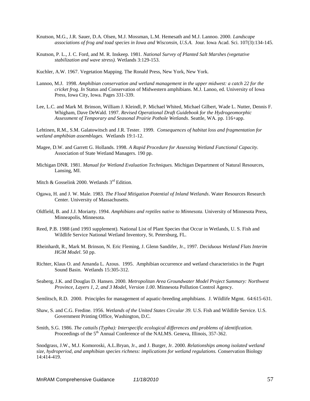- Knutson, M.G., J.R. Sauer, D.A. Olsen, M.J. Mossman, L.M. Hemesath and M.J. Lannoo. 2000. *Landscape associations of frog and toad species in Iowa and Wisconsin, U.S.A.* Jour. Iowa Acad. Sci. 107(3):134-145.
- Knutson, P. L., J. C. Ford, and M. R. Inskeep. 1981. *National Survey of Planted Salt Marshes (vegetative stabilization and wave stress).* Wetlands 3:129-153.
- Kuchler, A.W. 1967. Vegetation Mapping. The Ronald Press, New York, New York.
- Lannoo, M.J. 1998. *Amphibian conservation and wetland management in the upper midwest: a catch 22 for the cricket frog. In* Status and Conservation of Midwestern amphibians. M.J. Lanoo, ed. University of Iowa Press, Iowa City, Iowa. Pages 331-339.
- Lee, L.C. and Mark M. Brinson, William J. Kleindl, P. Michael Whited, Michael Gilbert, Wade L. Nutter, Dennis F. Whigham, Dave DeWald. 1997. *Revised Operational Draft Guidebook for the Hydrogeomorphic Assessment of Temporary and Seasonal Prairie Pothole Wetlands*. Seattle, WA. pp. 116+app.

Lehtinen, R.M., S.M. Galatowitsch and J.R. Tester. 1999. *Consequences of habitat loss and fragmentation for wetland amphibian assemblages.* Wetlands 19:1-12.

- Magee, D.W. and Garrett G. Hollands. 1998. *A Rapid Procedure for Assessing Wetland Functional Capacity.* Association of State Wetland Managers. 190 pp.
- Michigan DNR. 1981. *Manual for Wetland Evaluation Techniques.* Michigan Department of Natural Resources, Lansing, MI.
- Mitch & Gosselink 2000. Wetlands  $3<sup>rd</sup>$  Edition.
- Ogawa, H. and J. W. Male. 1983. *The Flood Mitigation Potential of Inland Wetlands*. Water Resources Research Center. University of Massachusetts.
- Oldfield, B. and J.J. Moriarty. 1994. *Amphibians and reptiles native to Minnesota.* University of Minnesota Press, Minneapolis, Minnesota.
- Reed, P.B. 1988 (and 1993 supplement). National List of Plant Species that Occur in Wetlands, U. S. Fish and Wildlife Service National Wetland Inventory, St. Petersburg, FL.
- Rheinhardt, R., Mark M. Brinson, N. Eric Fleming, J. Glenn Sandifer, Jr., 1997. *Deciduous Wetland Flats Interim HGM Model*. 50 pp.
- Richter, Klaus O. and Amanda L. Azous. 1995. Amphibian occurrence and wetland characteristics in the Puget Sound Basin. Wetlands 15:305-312.
- Seaberg, J.K. and Douglas D. Hansen. 2000. *Metropolitan Area Groundwater Model Project Summary: Northwest Province, Layers 1, 2, and 3 Model, Version 1.00*. Minnesota Pollution Control Agency.
- Semlitsch, R.D. 2000. Principles for management of aquatic-breeding amphibians. J. Wildlife Mgmt. 64:615-631.
- Shaw, S. and C.G. Fredine. 1956. *Wetlands of the United States Circular 39.* U.S. Fish and Wildlife Service. U.S. Government Printing Office, Washington, D.C.
- Smith, S.G. 1986. *The cattails (Typha): Interspecific ecological differences and problems of identification.* Proceedings of the 5<sup>th</sup> Annual Conference of the NALMS. Geneva, Illinois, 357-362.

Snodgrass, J.W., M.J. Komoroski, A.L.Bryan, Jr., and J. Burger, Jr. 2000. *Relationships among isolated wetland size, hydroperiod, and amphibian species richness: implications for wetland regulations.* Conservation Biology 14:414-419.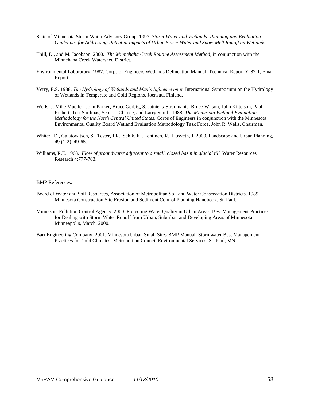- State of Minnesota Storm-Water Advisory Group. 1997. *Storm-Water and Wetlands: Planning and Evaluation Guidelines for Addressing Potential Impacts of Urban Storm-Water and Snow-Melt Runoff on Wetlands.*
- Thill, D., and M. Jacobson. 2000. *The Minnehaha Creek Routine Assessment Method*, in conjunction with the Minnehaha Creek Watershed District.
- Environmental Laboratory. 1987. Corps of Engineers Wetlands Delineation Manual. Technical Report Y-87-1, Final Report.
- Verry, E.S. 1988. *The Hydrology of Wetlands and Man's Influence on it.* International Symposium on the Hydrology of Wetlands in Temperate and Cold Regions. Joensuu, Finland.
- Wells, J. Mike Mueller, John Parker, Bruce Gerbig, S. Jatnieks-Straumanis, Bruce Wilson, John Kittelson, Paul Richert, Teri Sardinas, Scott LaChance, and Larry Smith, 1988. *The Minnesota Wetland Evaluation Methodology for the North Central United States*. Corps of Engineers in conjunction with the Minnesota Environmental Quality Board Wetland Evaluation Methodology Task Force, John R. Wells, Chairman.
- Whited, D., Galatowitsch, S., Tester, J.R., Schik, K., Lehtinen, R., Husveth, J. 2000. Landscape and Urban Planning, 49 (1-2): 49-65.
- Williams, R.E. 1968. *Flow of groundwater adjacent to a small, closed basin in glacial till.* Water Resources Research 4:777-783.

#### BMP References:

- Board of Water and Soil Resources, Association of Metropolitan Soil and Water Conservation Districts. 1989. Minnesota Construction Site Erosion and Sediment Control Planning Handbook. St. Paul.
- Minnesota Pollution Control Agency. 2000. Protecting Water Quality in Urban Areas: Best Management Practices for Dealing with Storm Water Runoff from Urban, Suburban and Developing Areas of Minnesota. Minneapolis, March, 2000.
- Barr Engineering Company. 2001. Minnesota Urban Small Sites BMP Manual: Stormwater Best Management Practices for Cold Climates. Metropolitan Council Environmental Services, St. Paul, MN.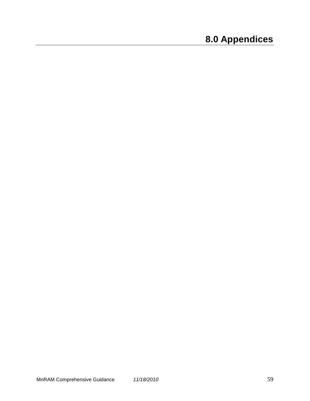# **8.0 Appendices**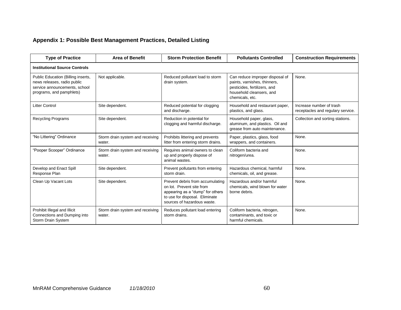# **Appendix 1: Possible Best Management Practices, Detailed Listing**

| <b>Type of Practice</b>                                                                                                        | <b>Area of Benefit</b>                     | <b>Storm Protection Benefit</b>                                                                                                                                    | <b>Pollutants Controlled</b>                                                                                                                   | <b>Construction Requirements</b>                              |  |  |  |
|--------------------------------------------------------------------------------------------------------------------------------|--------------------------------------------|--------------------------------------------------------------------------------------------------------------------------------------------------------------------|------------------------------------------------------------------------------------------------------------------------------------------------|---------------------------------------------------------------|--|--|--|
| <b>Institutional Source Controls</b>                                                                                           |                                            |                                                                                                                                                                    |                                                                                                                                                |                                                               |  |  |  |
| Public Education (Billing inserts,<br>news releases, radio public<br>service announcements, school<br>programs, and pamphlets) | Not applicable.                            | Reduced pollutant load to storm<br>drain system.                                                                                                                   | Can reduce improper disposal of<br>paints, varnishes, thinners,<br>pesticides, fertilizers, and<br>household cleansers, and<br>chemicals, etc. | None.                                                         |  |  |  |
| <b>Litter Control</b>                                                                                                          | Site dependent.                            | Reduced potential for clogging<br>and discharge.                                                                                                                   | Household and restaurant paper,<br>plastics, and glass.                                                                                        | Increase number of trash<br>receptacles and regulary service. |  |  |  |
| <b>Recycling Programs</b>                                                                                                      | Site dependent.                            | Reduction in potential for<br>clogging and harmful discharge.                                                                                                      | Household paper, glass,<br>aluminum, and plastics. Oil and<br>grease from auto maintenance.                                                    | Collection and sorting stations.                              |  |  |  |
| "No Littering" Ordinance                                                                                                       | Storm drain system and receiving<br>water. | Prohibits littering and prevents<br>litter from entering storm drains.                                                                                             | Paper, plastics, glass, food<br>wrappers, and containers.                                                                                      | None.                                                         |  |  |  |
| "Pooper Scooper" Ordinance                                                                                                     | Storm drain system and receiving<br>water. | Requires animal owners to clean<br>up and properly dispose of<br>animal wastes.                                                                                    | Coliform bacteria and<br>nitrogen/urea.                                                                                                        | None.                                                         |  |  |  |
| Develop and Enact Spill<br>Response Plan                                                                                       | Site dependent.                            | Prevent pollutants from entering<br>storm drain.                                                                                                                   | Hazardous chemical, harmful<br>chemicals, oil, and grease.                                                                                     | None.                                                         |  |  |  |
| Clean Up Vacant Lots                                                                                                           | Site dependent.                            | Prevent debris from accumulating<br>on lot. Prevent site from<br>appearing as a "dump" for others<br>to use for disposal. Eliminate<br>sources of hazardous waste. | Hazardous and/or harmful<br>chemicals, wind blown for water<br>borne debris.                                                                   | None.                                                         |  |  |  |
| Prohibit Illegal and Illicit<br>Connections and Dumping into<br>Storm Drain System                                             | Storm drain system and receiving<br>water. | Reduces pollutant load entering<br>storm drains.                                                                                                                   | Coliform bacteria, nitrogen,<br>contaminants, and toxic or<br>harmful chemicals.                                                               | None.                                                         |  |  |  |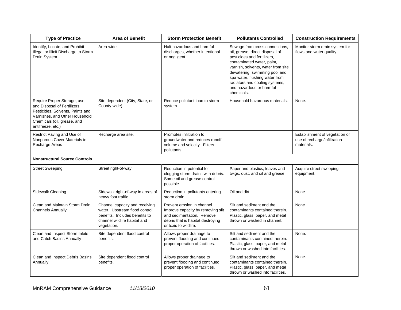| <b>Type of Practice</b>                                                                                                                                                                | <b>Area of Benefit</b>                                                                                                                           | <b>Storm Protection Benefit</b>                                                                                                                             | <b>Pollutants Controlled</b>                                                                                                                                                                                                                                                                                        | <b>Construction Requirements</b>                                             |
|----------------------------------------------------------------------------------------------------------------------------------------------------------------------------------------|--------------------------------------------------------------------------------------------------------------------------------------------------|-------------------------------------------------------------------------------------------------------------------------------------------------------------|---------------------------------------------------------------------------------------------------------------------------------------------------------------------------------------------------------------------------------------------------------------------------------------------------------------------|------------------------------------------------------------------------------|
| Identify, Locate, and Prohibit<br>Illegal or Illicit Discharge to Storm<br>Drain System                                                                                                | Area-wide.                                                                                                                                       | Halt hazardous and harmful<br>discharges, whether intentional<br>or negligent.                                                                              | Sewage from cross connections,<br>oil, grease, direct disposal of<br>pesticides and fertilizers,<br>contaminated water, paint,<br>varnish, solvents, water from site<br>dewatering, swimming pool and<br>spa water, flushing water from<br>radiators and cooling systems,<br>and hazardous or harmful<br>chemicals. | Monitor storm drain system for<br>flows and water quality.                   |
| Require Proper Storage, use,<br>and Disposal of Fertilizers,<br>Pesticides, Solvents, Paints and<br>Varnishes, and Other Household<br>Chemicals (oil, grease, and<br>antifreeze, etc.) | Site dependent (City, State, or<br>County-wide).                                                                                                 | Reduce pollutant load to storm<br>system.                                                                                                                   | Household hazardous materials.                                                                                                                                                                                                                                                                                      | None.                                                                        |
| Restrict Paving and Use of<br>Nonporous Cover Materials in<br>Recharge Areas                                                                                                           | Recharge area site.                                                                                                                              | Promotes infiltration to<br>groundwater and reduces runoff<br>volume and velocity. Filters<br>pollutants.                                                   |                                                                                                                                                                                                                                                                                                                     | Establishment of vegetation or<br>use of recharge/infiltration<br>materials. |
| <b>Nonstructural Source Controls</b>                                                                                                                                                   |                                                                                                                                                  |                                                                                                                                                             |                                                                                                                                                                                                                                                                                                                     |                                                                              |
| <b>Street Sweeping</b>                                                                                                                                                                 | Street right-of-way.                                                                                                                             | Reduction in potential for<br>clogging storm drains with debris.<br>Some oil and grease control<br>possible.                                                | Paper and plastics, leaves and<br>twigs, dust, and oil and grease.                                                                                                                                                                                                                                                  | Acquire street sweeping<br>equipment.                                        |
| Sidewalk Cleaning                                                                                                                                                                      | Sidewalk right-of-way in areas of<br>heavy foot traffic.                                                                                         | Reduction in pollutants entering<br>storm drain.                                                                                                            | Oil and dirt.                                                                                                                                                                                                                                                                                                       | None.                                                                        |
| Clean and Maintain Storm Drain<br><b>Channels Annually</b>                                                                                                                             | Channel capacity and receiving<br>water. Upstream flood control<br>benefits. Includes benefits to<br>channel wildlife habitat and<br>vegetation. | Prevent erosion in channel.<br>Improve capacity by removing silt<br>and sedimentation. Remove<br>debris that is habitat destroying<br>or toxic to wildlife. | Silt and sediment and the<br>contaminants contained therein.<br>Plastic, glass, paper, and metal<br>thrown or washed in channel.                                                                                                                                                                                    | None.                                                                        |
| Clean and Inspect Storm Inlets<br>and Catch Basins Annually                                                                                                                            | Site dependent flood control<br>benefits.                                                                                                        | Allows proper drainage to<br>prevent flooding and continued<br>proper operation of facilities.                                                              | Silt and sediment and the<br>contaminants contained therein.<br>Plastic, glass, paper, and metal<br>thrown or washed into facilities.                                                                                                                                                                               | None.                                                                        |
| Clean and Inspect Debris Basins<br>Annually                                                                                                                                            | Site dependent flood control<br>benefits.                                                                                                        | Allows proper drainage to<br>prevent flooding and continued<br>proper operation of facilities.                                                              | Silt and sediment and the<br>contaminants contained therein.<br>Plastic, glass, paper, and metal<br>thrown or washed into facilities.                                                                                                                                                                               | None.                                                                        |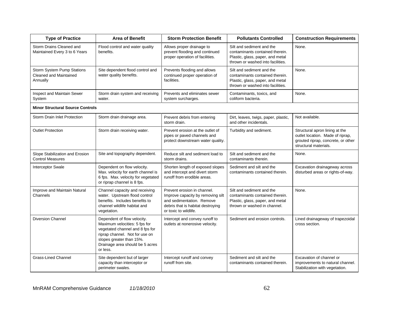| <b>Type of Practice</b>                                                 | <b>Area of Benefit</b>                                                                                                                                                                                       | <b>Storm Protection Benefit</b>                                                                                                                             | <b>Pollutants Controlled</b>                                                                                                          | <b>Construction Requirements</b>                                                                                                  |
|-------------------------------------------------------------------------|--------------------------------------------------------------------------------------------------------------------------------------------------------------------------------------------------------------|-------------------------------------------------------------------------------------------------------------------------------------------------------------|---------------------------------------------------------------------------------------------------------------------------------------|-----------------------------------------------------------------------------------------------------------------------------------|
| Storm Drains Cleaned and<br>Maintained Every 3 to 6 Years               | Flood control and water quality<br>benefits.                                                                                                                                                                 | Allows proper drainage to<br>prevent flooding and continued<br>proper operation of facilities.                                                              | Silt and sediment and the<br>contaminants contained therein.<br>Plastic, glass, paper, and metal<br>thrown or washed into facilities. | None.                                                                                                                             |
| Storm System Pump Stations<br><b>Cleaned and Maintained</b><br>Annually | Site dependent flood control and<br>water quality benefits.                                                                                                                                                  | Prevents flooding and allows<br>continued proper operation of<br>facilities.                                                                                | Silt and sediment and the<br>contaminants contained therein.<br>Plastic, glass, paper, and metal<br>thrown or washed into facilities. | None.                                                                                                                             |
| Inspect and Maintain Sewer<br>System                                    | Storm drain system and receiving<br>water.                                                                                                                                                                   | Prevents and eliminates sewer<br>system surcharges.                                                                                                         | Contaminants, toxics, and<br>coliform bacteria.                                                                                       | None.                                                                                                                             |
| <b>Minor Structural Source Controls</b>                                 |                                                                                                                                                                                                              |                                                                                                                                                             |                                                                                                                                       |                                                                                                                                   |
| Storm Drain Inlet Protection                                            | Storm drain drainage area.                                                                                                                                                                                   | Prevent debris from entering<br>storm drain.                                                                                                                | Dirt, leaves, twigs, paper, plastic,<br>and other incidentals.                                                                        | Not available.                                                                                                                    |
| <b>Outlet Protection</b>                                                | Storm drain receiving water.                                                                                                                                                                                 | Prevent erosion at the outlet of<br>pipes or paved channels and<br>protect downstream water quality.                                                        | Turbidity and sediment.                                                                                                               | Structural apron lining at the<br>outlet location. Made of riprap,<br>grouted riprap, concrete, or other<br>structural materials. |
| Slope Stabilization and Erosion<br><b>Control Measures</b>              | Site and topography dependent.                                                                                                                                                                               | Reduce silt and sediment load to<br>storm drains.                                                                                                           | Silt and sediment and the<br>contaminants therein.                                                                                    | None.                                                                                                                             |
| Interceptor Swale                                                       | Dependent on flow velocity.<br>Max. velocity for earth channel is<br>6 fps. Max. velocity for vegetated<br>or riprap channel is 8 fps.                                                                       | Shorten length of exposed slopes<br>and intercept and divert storm<br>runoff from erodible areas.                                                           | Sediment and silt and the<br>contaminants contained therein.                                                                          | Excavation drainageway across<br>disturbed areas or rights-of-way.                                                                |
| Improve and Maintain Natural<br>Channels                                | Channel capacity and receiving<br>water. Upstream flood control<br>benefits. Includes benefits to<br>channel wildlife habitat and<br>vegetation.                                                             | Prevent erosion in channel.<br>Improve capacity by removing silt<br>and sedimentation. Remove<br>debris that is habitat destroying<br>or toxic to wildlife. | Silt and sediment and the<br>contaminants contained therein.<br>Plastic, glass, paper, and metal<br>thrown or washed in channel.      | None.                                                                                                                             |
| <b>Diversion Channel</b>                                                | Dependent of flow velocity.<br>Maximum velocities: 5 fps for<br>vegetated channel and 8 fps for<br>riprap channel. Not for use on<br>slopes greater than 15%.<br>Drainage area should be 5 acres<br>or less. | Intercept and convey runoff to<br>outlets at nonerosive velocity.                                                                                           | Sediment and erosion controls.                                                                                                        | Lined drainageway of trapezoidal<br>cross section.                                                                                |
| <b>Grass-Lined Channel</b>                                              | Site dependent but of larger<br>capacity than interceptor or<br>perimeter swales.                                                                                                                            | Intercept runoff and convey<br>runoff from site.                                                                                                            | Sediment and silt and the<br>contaminants contained therein.                                                                          | Excavation of channel or<br>improvements to natural channel.<br>Stabilization with vegetation.                                    |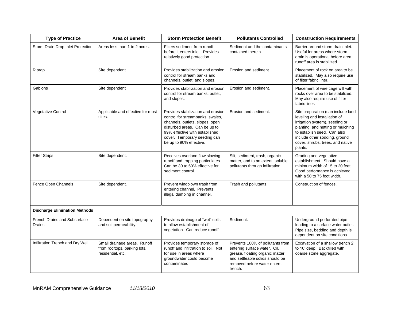| <b>Type of Practice</b>                | <b>Area of Benefit</b>                                                            | <b>Storm Protection Benefit</b>                                                                                                                                                                                                         | <b>Pollutants Controlled</b>                                                                                                                                                      | <b>Construction Requirements</b>                                                                                                                                                                                                                         |  |
|----------------------------------------|-----------------------------------------------------------------------------------|-----------------------------------------------------------------------------------------------------------------------------------------------------------------------------------------------------------------------------------------|-----------------------------------------------------------------------------------------------------------------------------------------------------------------------------------|----------------------------------------------------------------------------------------------------------------------------------------------------------------------------------------------------------------------------------------------------------|--|
| Storm Drain Drop Inlet Protection      | Areas less than 1 to 2 acres.                                                     | Filters sediment from runoff<br>before it enters inlet. Provides<br>relatively good protection.                                                                                                                                         | Sediment and the contaminants<br>contained therein.                                                                                                                               | Barrier around storm drain inlet.<br>Useful for areas where storm<br>drain is operational before area<br>runoff area is stabilized.                                                                                                                      |  |
| Riprap                                 | Site dependent                                                                    | Provides stabilization and erosion<br>control for stream banks and<br>channels, outlet, and slopes.                                                                                                                                     | Erosion and sediment.                                                                                                                                                             | Placement of rock on area to be<br>stabilized. May also require use<br>of filter fabric liner.                                                                                                                                                           |  |
| Gabions                                | Site dependent                                                                    | Provides stabilization and erosion<br>control for stream banks, outlet,<br>and slopes.                                                                                                                                                  | Erosion and sediment.                                                                                                                                                             | Placement of wire cage will with<br>rocks over area to be stabilized.<br>May also require use of filter<br>fabric liner.                                                                                                                                 |  |
| Vegetative Control                     | Applicable and effective for most<br>sites.                                       | Provides stabilization and erosion<br>control for streambanks, swales,<br>channels, outlets, slopes, open<br>disturbed areas. Can be up to<br>99% effective with established<br>cover. Temporary seeding can<br>be up to 90% effective. | Erosion and sediment.                                                                                                                                                             | Site preparation (can include land<br>leveling and installation of<br>irrigation system), seeding or<br>planting, and netting or mulching<br>to establish seed. Can also<br>include other sodding, ground<br>cover, shrubs, trees, and native<br>plants. |  |
| <b>Filter Strips</b>                   | Site dependent.                                                                   | Receives overland flow slowing<br>runoff and trapping particulates.<br>Can be 30 to 50% effective for<br>sediment control.                                                                                                              | Silt, sediment, trash, organic<br>matter, and to an extent, soluble<br>pollutants through infiltration.                                                                           | Grading and vegetative<br>establishment. Should have a<br>minimum width of 15 to 20 feet.<br>Good performance is achieved<br>with a 50 to 75 foot width.                                                                                                 |  |
| Fence Open Channels                    | Site dependent.                                                                   | Prevent windblown trash from<br>entering channel. Prevents<br>illegal dumping in channel.                                                                                                                                               | Trash and pollutants.                                                                                                                                                             | Construction of fences.                                                                                                                                                                                                                                  |  |
| <b>Discharge Elimination Methods</b>   |                                                                                   |                                                                                                                                                                                                                                         |                                                                                                                                                                                   |                                                                                                                                                                                                                                                          |  |
| French Drains and Subsurface<br>Drains | Dependent on site topography<br>and soil permeability.                            | Provides drainage of "wet" soils<br>to allow establishment of<br>vegetation. Can reduce runoff.                                                                                                                                         | Sediment.                                                                                                                                                                         | Underground perforated pipe<br>leading to a surface water outlet.<br>Pipe size, bedding and depth is<br>dependent on site conditions.                                                                                                                    |  |
| Infiltration Trench and Dry Well       | Small drainage areas. Runoff<br>from rooftops, parking lots,<br>residential, etc. | Provides temporary storage of<br>runoff and infiltration to soil. Not<br>for use in areas where<br>groundwater could become<br>contaminated.                                                                                            | Prevents 100% of pollutants from<br>entering surface water. Oil,<br>grease, floating organic matter,<br>and settleable solids should be<br>removed before water enters<br>trench. | Excavation of a shallow trench 2'<br>to 10' deep. Backfilled with<br>coarse stone aggregate.                                                                                                                                                             |  |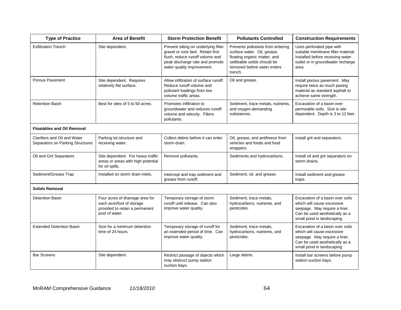| <b>Type of Practice</b>                                          | <b>Area of Benefit</b>                                                                                           | <b>Storm Protection Benefit</b>                                                                                                                                              | <b>Pollutants Controlled</b>                                                                                                                                              | <b>Construction Requirements</b>                                                                                                                                |  |  |
|------------------------------------------------------------------|------------------------------------------------------------------------------------------------------------------|------------------------------------------------------------------------------------------------------------------------------------------------------------------------------|---------------------------------------------------------------------------------------------------------------------------------------------------------------------------|-----------------------------------------------------------------------------------------------------------------------------------------------------------------|--|--|
| <b>Exfiltration Trench</b>                                       | Site dependent.                                                                                                  | Prevent silting on underlying filter<br>gravel or rock bed. Retain first<br>flush, reduce runoff volume and<br>peak discharge rate and promote<br>water quality improvement. | Prevents pollutants from entering<br>surface water. Oil, grease,<br>floating organic matter, and<br>settleable solids should be<br>removed before water enters<br>trench. | Uses perforated pipe with<br>suitable membrane filter material.<br>Installed before receiving water<br>outlet or in groundwater recharge<br>area.               |  |  |
| Porous Pavement                                                  | Site dependent. Requires<br>relatively flat surface.                                                             | Allow infiltration of surface runoff.<br>Reduce runoff volume and<br>pollutant loadings from low<br>volume traffic areas.                                                    | Oil and grease.                                                                                                                                                           | Install porous pavement. May<br>require twice as much paving<br>material as standard asphalt to<br>achieve same strength.                                       |  |  |
| <b>Retention Basin</b>                                           | Best for sites of 5 to 50 acres.                                                                                 | Promotes infiltration to<br>groundwater and reduces runoff<br>volume and velocity. Filters<br>pollutants.                                                                    | Sediment, trace metals, nutrients,<br>and oxygen-demanding<br>substances.                                                                                                 | Excavation of a basin over<br>permeable soils. Size is site<br>dependent. Depth is 3 to 12 feet.                                                                |  |  |
| <b>Floatables and Oil Removal</b>                                |                                                                                                                  |                                                                                                                                                                              |                                                                                                                                                                           |                                                                                                                                                                 |  |  |
| Clarifiers and Oil and Water<br>Separators on Parking Structures | Parking lot structure and<br>receiving water.                                                                    | Collect debris before it can enter<br>storm drain.                                                                                                                           | Oil, grease, and antifreeze from<br>vehicles and foods and food<br>wrappers.                                                                                              | Install grit and separators.                                                                                                                                    |  |  |
| Oil and Grit Separators                                          | Site dependent. For heavy traffic<br>areas or areas with high potential<br>for oil spills.                       | Remove pollutants.                                                                                                                                                           | Sediments and hydrocarbons.                                                                                                                                               | Install oil and grit separators on<br>storm drains.                                                                                                             |  |  |
| Sediment/Grease Trap                                             | Installed on storm drain inlets.                                                                                 | Intercept and trap sediment and<br>grease from runoff.                                                                                                                       | Sediment, oil, and grease.                                                                                                                                                | Install sediment and grease<br>traps.                                                                                                                           |  |  |
| <b>Solids Removal</b>                                            |                                                                                                                  |                                                                                                                                                                              |                                                                                                                                                                           |                                                                                                                                                                 |  |  |
| <b>Detention Basin</b>                                           | Four acres of drainage area for<br>each acre/foot of storage<br>provided to retain a permanent<br>pool of water. | Temporary storage of storm<br>runoff until release. Can also<br>improve water quality.                                                                                       | Sediment, trace metals,<br>hydrocarbons, nutrients, and<br>pesticides.                                                                                                    | Excavation of a basin over soils<br>which will cause excessive<br>seepage. May require a liner.<br>Can be used aesthetically as a<br>small pond in landscaping. |  |  |
| <b>Extended Detention Basin</b>                                  | Size for a minimum detention<br>time of 24 hours.                                                                | Temporary storage of runoff for<br>an extended period of time. Can<br>improve water quality.                                                                                 | Sediment, trace metals,<br>hydrocarbons, nutrients, and<br>pesticides.                                                                                                    | Excavation of a basin over soils<br>which will cause excessive<br>seepage. May require a liner.<br>Can be used aesthetically as a<br>small pond in landscaping. |  |  |
| <b>Bar Screens</b>                                               | Site dependent.                                                                                                  | Restrict passage of objects which<br>may obstruct pump station<br>suction bays.                                                                                              | Large debris.                                                                                                                                                             | Install bar screens before pump<br>station suction bays.                                                                                                        |  |  |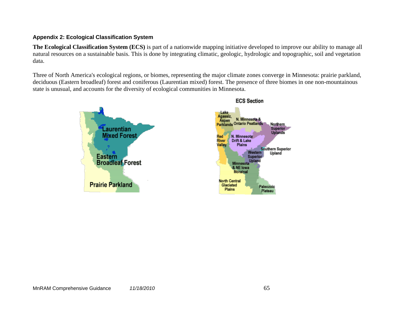## **Appendix 2: Ecological Classification System**

**The Ecological Classification System (ECS)** is part of a nationwide mapping initiative developed to improve our ability to manage all natural resources on a sustainable basis. This is done by integrating climatic, geologic, hydrologic and topographic, soil and vegetation data.

Three of North America's ecological regions, or biomes, representing the major climate zones converge in Minnesota: prairie parkland, deciduous (Eastern broadleaf) forest and coniferous (Laurentian mixed) forest. The presence of three biomes in one non-mountainous state is unusual, and accounts for the diversity of ecological communities in Minnesota.



#### **ECS Section**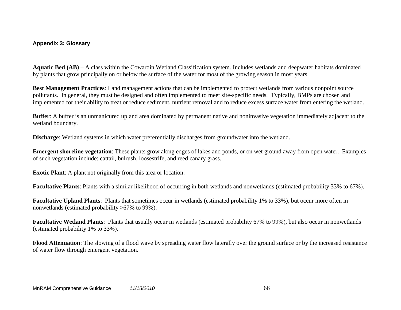### **Appendix 3: Glossary**

**Aquatic Bed (AB)** – A class within the Cowardin Wetland Classification system. Includes wetlands and deepwater habitats dominated by plants that grow principally on or below the surface of the water for most of the growing season in most years.

**Best Management Practices**: Land management actions that can be implemented to protect wetlands from various nonpoint source pollutants. In general, they must be designed and often implemented to meet site-specific needs. Typically, BMPs are chosen and implemented for their ability to treat or reduce sediment, nutrient removal and to reduce excess surface water from entering the wetland.

**Buffer**: A buffer is an unmanicured upland area dominated by permanent native and noninvasive vegetation immediately adjacent to the wetland boundary.

**Discharge**: Wetland systems in which water preferentially discharges from groundwater into the wetland.

**Emergent shoreline vegetation**: These plants grow along edges of lakes and ponds, or on wet ground away from open water. Examples of such vegetation include: cattail, bulrush, loosestrife, and reed canary grass.

**Exotic Plant**: A plant not originally from this area or location.

**Facultative Plants**: Plants with a similar likelihood of occurring in both wetlands and nonwetlands (estimated probability 33% to 67%).

**Facultative Upland Plants**: Plants that sometimes occur in wetlands (estimated probability 1% to 33%), but occur more often in nonwetlands (estimated probability >67% to 99%).

**Facultative Wetland Plants**: Plants that usually occur in wetlands (estimated probability 67% to 99%), but also occur in nonwetlands (estimated probability 1% to 33%).

**Flood Attenuation**: The slowing of a flood wave by spreading water flow laterally over the ground surface or by the increased resistance of water flow through emergent vegetation.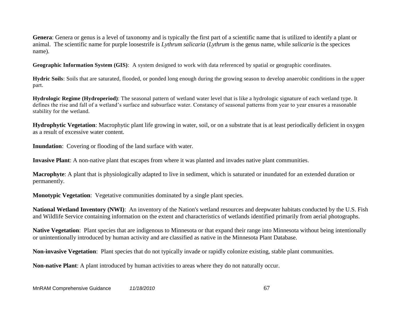**Genera**: Genera or genus is a level of taxonomy and is typically the first part of a scientific name that is utilized to identify a plant or animal. The scientific name for purple loosestrife is *Lythrum salicaria* (*Lythrum* is the genus name, while *salicaria* is the specices name).

**Geographic Information System (GIS)**: A system designed to work with data referenced by spatial or geographic coordinates.

**Hydric Soils**: Soils that are saturated, flooded, or ponded long enough during the growing season to develop anaerobic conditions in the u pper part.

**Hydrologic Regime (Hydroperiod)**: The seasonal pattern of wetland water level that is like a hydrologic signature of each wetland type. It defines the rise and fall of a wetland's surface and subsurface water. Constancy of seasonal patterns from year to year ensur es a reasonable stability for the wetland.

**Hydrophytic Vegetation**: Macrophytic plant life growing in water, soil, or on a substrate that is at least periodically deficient in oxygen as a result of excessive water content.

**Inundation**: Covering or flooding of the land surface with water.

**Invasive Plant**: A non-native plant that escapes from where it was planted and invades native plant communities.

**Macrophyte**: A plant that is physiologically adapted to live in sediment, which is saturated or inundated for an extended duration or permanently.

**Monotypic Vegetation**: Vegetative communities dominated by a single plant species.

**National Wetland Inventory (NWI)**: An inventory of the Nation's wetland resources and deepwater habitats conducted by the U.S. Fish and Wildlife Service containing information on the extent and characteristics of wetlands identified primarily from aerial photographs.

**Native Vegetation**: Plant species that are indigenous to Minnesota or that expand their range into Minnesota without being intentionally or unintentionally introduced by human activity and are classified as native in the Minnesota Plant Database.

**Non-invasive Vegetation**: Plant species that do not typically invade or rapidly colonize existing, stable plant communities.

**Non-native Plant**: A plant introduced by human activities to areas where they do not naturally occur.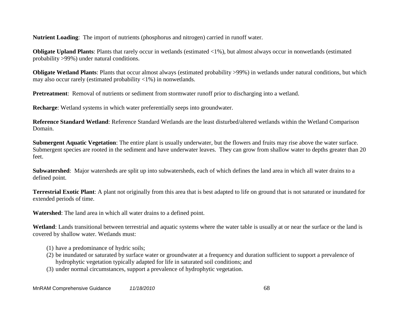**Nutrient Loading**: The import of nutrients (phosphorus and nitrogen) carried in runoff water.

**Obligate Upland Plants**: Plants that rarely occur in wetlands (estimated <1%), but almost always occur in nonwetlands (estimated probability >99%) under natural conditions.

**Obligate Wetland Plants**: Plants that occur almost always (estimated probability >99%) in wetlands under natural conditions, but which may also occur rarely (estimated probability <1%) in nonwetlands.

**Pretreatment**: Removal of nutrients or sediment from stormwater runoff prior to discharging into a wetland.

**Recharge**: Wetland systems in which water preferentially seeps into groundwater.

**Reference Standard Wetland**: Reference Standard Wetlands are the least disturbed/altered wetlands within the Wetland Comparison Domain.

**Submergent Aquatic Vegetation**: The entire plant is usually underwater, but the flowers and fruits may rise above the water surface. Submergent species are rooted in the sediment and have underwater leaves. They can grow from shallow water to depths greater than 20 feet.

**Subwatershed**: Major watersheds are split up into subwatersheds, each of which defines the land area in which all water drains to a defined point.

**Terrestrial Exotic Plant**: A plant not originally from this area that is best adapted to life on ground that is not saturated or inundated for extended periods of time.

**Watershed**: The land area in which all water drains to a defined point.

**Wetland**: Lands transitional between terrestrial and aquatic systems where the water table is usually at or near the surface or the land is covered by shallow water. Wetlands must:

- (1) have a predominance of hydric soils;
- (2) be inundated or saturated by surface water or groundwater at a frequency and duration sufficient to support a prevalence of hydrophytic vegetation typically adapted for life in saturated soil conditions; and
- (3) under normal circumstances, support a prevalence of hydrophytic vegetation.